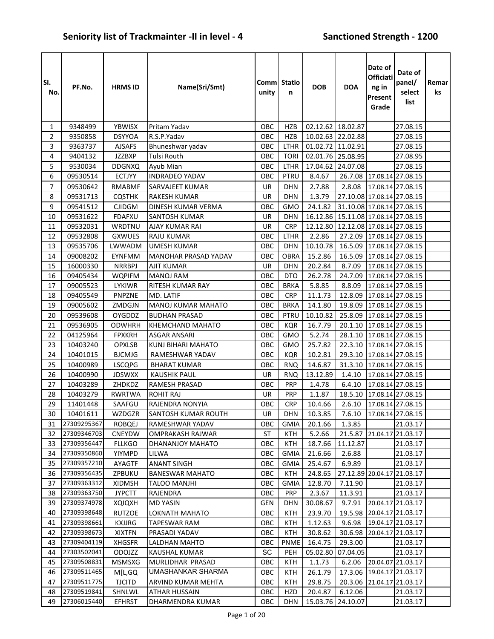| SI.<br>No. | PF.No.               | <b>HRMS ID</b>          | Name(Sri/Smt)                              | Comm Statio<br>unity | n                        | <b>DOB</b>          | <b>DOA</b>                 | Date of<br>Officiati<br>$ng$ in<br>Present<br>Grade | Date of<br>panel/<br>select<br>list                    | Remar<br>ks |
|------------|----------------------|-------------------------|--------------------------------------------|----------------------|--------------------------|---------------------|----------------------------|-----------------------------------------------------|--------------------------------------------------------|-------------|
| 1          | 9348499              | YBWISX                  | Pritam Yadav                               | OBC                  | <b>HZB</b>               | 02.12.62 18.02.87   |                            |                                                     | 27.08.15                                               |             |
| 2          | 9350858              | <b>DSYYOA</b>           | R.S.P.Yadav                                | OBC                  | <b>HZB</b>               | 10.02.63            | 22.02.88                   |                                                     | 27.08.15                                               |             |
| 3          | 9363737              | <b>AJSAFS</b>           | Bhuneshwar yadav                           | OBC                  | <b>LTHR</b>              | 01.02.72 11.02.91   |                            |                                                     | 27.08.15                                               |             |
| 4          | 9404132              | <b>JZZBXP</b>           | <b>Tulsi Routh</b>                         | OBC                  | <b>TORI</b>              | 02.01.76 25.08.95   |                            |                                                     | 27.08.95                                               |             |
| 5          | 9530034              | <b>DDGNXQ</b>           | Ayub Mian                                  | OBC                  | <b>LTHR</b>              | 17.04.62            | 24.07.08                   |                                                     | 27.08.15                                               |             |
| 6          | 09530514             | <b>ECTJYY</b>           | <b>INDRADEO YADAV</b>                      | OBC                  | PTRU                     | 8.4.67              |                            |                                                     | 26.7.08 17.08.14 27.08.15                              |             |
| 7          | 09530642             | RMABMF                  | SARVAJEET KUMAR                            | UR                   | <b>DHN</b>               | 2.7.88              | 2.8.08                     |                                                     | 17.08.14 27.08.15                                      |             |
| 8          | 09531713             | <b>CQSTHK</b>           | <b>RAKESH KUMAR</b>                        | <b>UR</b>            | <b>DHN</b>               | 1.3.79              | 27.10.08 17.08.14 27.08.15 |                                                     |                                                        |             |
| 9          | 09541512             | <b>CJIDGM</b>           | DINESH KUMAR VERMA                         | OBC                  | <b>GMO</b>               | 24.1.82             | 31.10.08 17.08.14 27.08.15 |                                                     |                                                        |             |
| 10         | 09531622             | <b>FDAFXU</b>           | <b>SANTOSH KUMAR</b>                       | UR                   | <b>DHN</b>               | 16.12.86            | 15.11.08 17.08.14 27.08.15 |                                                     |                                                        |             |
| 11         | 09532031             | WRDTNU                  | AJAY KUMAR RAI                             | <b>UR</b>            | <b>CRP</b>               | 12.12.80            | 12.12.08 17.08.14 27.08.15 |                                                     |                                                        |             |
| 12         | 09532808             | <b>GXWUES</b>           | <b>RAJU KUMAR</b>                          | OBC                  | <b>LTHR</b>              | 2.2.86              |                            |                                                     | 27.2.09 17.08.14 27.08.15                              |             |
| 13         | 09535706             | LWWADM                  | <b>UMESH KUMAR</b>                         | OBC                  | <b>DHN</b>               | 10.10.78            | 16.5.09                    |                                                     | 17.08.14 27.08.15                                      |             |
| 14         | 09008202             | <b>EYNFMM</b>           | MANOHAR PRASAD YADAV                       | OBC                  | <b>OBRA</b>              | 15.2.86             |                            |                                                     | 16.5.09 17.08.14 27.08.15                              |             |
| 15         | 16000330             | <b>NRRBPJ</b>           | <b>AJIT KUMAR</b>                          | UR                   | <b>DHN</b>               | 20.2.84             | 8.7.09                     |                                                     | 17.08.14 27.08.15                                      |             |
| 16         | 09405434             | <b>WQPIFM</b>           | <b>MANOJ RAM</b>                           | OBC                  | <b>DTO</b>               | 26.2.78             | 24.7.09                    |                                                     | 17.08.14 27.08.15                                      |             |
| 17         | 09005523             | LYKIWR                  | RITESH KUMAR RAY                           | OBC                  | <b>BRKA</b>              | 5.8.85              | 8.8.09                     |                                                     | 17.08.14 27.08.15                                      |             |
| 18         | 09405549             | PNPZNE                  | MD. LATIF                                  | OBC                  | <b>CRP</b>               | 11.1.73             | 12.8.09                    |                                                     | 17.08.14 27.08.15                                      |             |
| 19         | 09005602             | ZMDGJN                  | <b>MANOJ KUMAR MAHATO</b>                  | ОВС                  | <b>BRKA</b>              | 14.1.80             | 19.8.09                    |                                                     | 17.08.14 27.08.15                                      |             |
| 20         | 09539608             | <b>OYGDDZ</b>           | <b>BUDHAN PRASAD</b>                       | OBC                  | PTRU                     | 10.10.82            | 25.8.09                    |                                                     | 17.08.14 27.08.15                                      |             |
| 21         | 09536905             | <b>ODWHRH</b>           | <b>KHEMCHAND MAHATO</b>                    | OBC                  | KQR                      | 16.7.79             | 20.1.10                    |                                                     | 17.08.14 27.08.15                                      |             |
| 22         | 04125964             | <b>FPXKRH</b>           | <b>ASGAR ANSARI</b>                        | OBC                  | <b>GMO</b>               | 5.2.74              | 28.1.10                    |                                                     | 17.08.14 27.08.15                                      |             |
| 23         | 10403240             | <b>OPXLSB</b>           | KUNJ BIHARI MAHATO                         | OBC                  | <b>GMO</b>               | 25.7.82             | 22.3.10                    |                                                     | 17.08.14 27.08.15                                      |             |
| 24         | 10401015             | <b>BJCMJG</b>           | RAMESHWAR YADAV                            | OBC                  | <b>KQR</b>               | 10.2.81             |                            |                                                     | 29.3.10 17.08.14 27.08.15<br>31.3.10 17.08.14 27.08.15 |             |
| 25         | 10400989<br>10400990 | <b>LSCQPG</b>           | <b>BHARAT KUMAR</b><br><b>KAUSHIK PAUL</b> | OBC<br>UR            | <b>RNQ</b>               | 14.6.87<br>13.12.89 | 1.4.10                     |                                                     |                                                        |             |
| 26<br>27   | 10403289             | <b>JDSWXX</b><br>ZHDKDZ | RAMESH PRASAD                              | OBC                  | <b>RNQ</b><br><b>PRP</b> | 1.4.78              | 6.4.10                     |                                                     | 17.08.14 27.08.15<br>17.08.14 27.08.15                 |             |
| 28         | 10403279             | <b>RWRTWA</b>           | <b>ROHIT RAJ</b>                           | UR                   | <b>PRP</b>               | 1.1.87              | 18.5.10                    |                                                     | 17.08.14 27.08.15                                      |             |
| 29         | 11401448             | SAAFGU                  | RAJENDRA NONYIA                            | OBC                  | <b>CRP</b>               | 10.4.66             | 2.6.10                     |                                                     | 17.08.14 27.08.15                                      |             |
| $30\,$     | 10401611             | WZDGZR                  | SANTOSH KUMAR ROUTH                        | UR                   | DHN                      |                     |                            |                                                     | 10.3.85 7.6.10 17.08.14 27.08.15                       |             |
| 31         | 27309295367          | ROBQEJ                  | RAMESHWAR YADAV                            | ОВС                  | <b>GMIA</b>              | 20.1.66             | 1.3.85                     |                                                     | 21.03.17                                               |             |
| 32         | 27309346703          | CNEYDW                  | <b>OMPRAKASH RAJWAR</b>                    | ST                   | KTH                      | 5.2.66              | 21.5.87                    |                                                     | 21.04.17 21.03.17                                      |             |
| 33         | 27309356447          | <b>FLLKGO</b>           | DHANANJOY MAHATO                           | OBC                  | KTH                      | 18.7.66             | 11.12.87                   |                                                     | 21.03.17                                               |             |
| 34         | 27309350860          | YIYMPD                  | LILWA                                      | OBC                  | <b>GMIA</b>              | 21.6.66             | 2.6.88                     |                                                     | 21.03.17                                               |             |
| 35         | 27309357210          | AYAGTF                  | <b>ANANT SINGH</b>                         | OBC                  | <b>GMIA</b>              | 25.4.67             | 6.9.89                     |                                                     | 21.03.17                                               |             |
| 36         | 27309356435          | ZPBUKU                  | <b>BANESWAR MAHATO</b>                     | OBC                  | <b>KTH</b>               | 24.8.65             |                            |                                                     | 27.12.89 20.04.17 21.03.17                             |             |
| 37         | 27309363312          | <b>XIDMSH</b>           | <b>TALOO MANJHI</b>                        | OBC                  | <b>GMIA</b>              | 12.8.70             | 7.11.90                    |                                                     | 21.03.17                                               |             |
| 38         | 27309363750          | <b>JYPCTT</b>           | RAJENDRA                                   | OBC                  | <b>PRP</b>               | 2.3.67              | 11.3.91                    |                                                     | 21.03.17                                               |             |
| 39         | 27309374978          | <b>XQIQXH</b>           | <b>MD YASIN</b>                            | GEN                  | <b>DHN</b>               | 30.08.67            | 9.7.91                     |                                                     | 20.04.17 21.03.17                                      |             |
| 40         | 27309398648          | <b>RUTZOE</b>           | LOKNATH MAHATO                             | OBC                  | <b>KTH</b>               | 23.9.70             | 19.5.98                    |                                                     | 20.04.17 21.03.17                                      |             |
| 41         | 27309398661          | <b>KXJJRG</b>           | TAPESWAR RAM                               | OBC                  | KTH                      | 1.12.63             | 9.6.98                     |                                                     | 19.04.17 21.03.17                                      |             |
| 42         | 27309398673          | <b>XIXTFN</b>           | PRASADI YADAV                              | OBC                  | <b>KTH</b>               | 30.8.62             | 30.6.98                    |                                                     | 20.04.17 21.03.17                                      |             |
| 43         | 27309404119          | <b>XHGSFR</b>           | LALDHAN MAHTO                              | ОВС                  | PNME                     | 16.4.75             | 29.3.00                    |                                                     | 21.03.17                                               |             |
| 44         | 27303502041          | <b>ODOJZZ</b>           | KAUSHAL KUMAR                              | SC                   | PEH                      | 05.02.80            | 07.04.05                   |                                                     | 21.03.17                                               |             |
| 45         | 27309508831          | <b>MSMSXG</b>           | MURLIDHAR PRASAD                           | ОВС                  | KTH                      | 1.1.73              | 6.2.06                     |                                                     | 20.04.07 21.03.17                                      |             |
| 46         | 27309511465          | M[L,GQ                  | UMASHANKAR SHARMA                          | OBC                  | <b>KTH</b>               | 26.1.79             |                            |                                                     | 17.3.06 19.04.17 21.03.17                              |             |
| 47         | 27309511775          | <b>TJCITD</b>           | ARVIND KUMAR MEHTA                         | OBC                  | <b>KTH</b>               | 29.8.75             | 20.3.06                    |                                                     | 21.04.17 21.03.17                                      |             |
| 48         | 27309519841          | SHNLWL                  | <b>ATHAR HUSSAIN</b>                       | OBC                  | HZD                      | 20.4.87             | 6.12.06                    |                                                     | 21.03.17                                               |             |
| 49         | 27306015440          | <b>EFHRST</b>           | DHARMENDRA KUMAR                           | OBC                  | <b>DHN</b>               | 15.03.76 24.10.07   |                            |                                                     | 21.03.17                                               |             |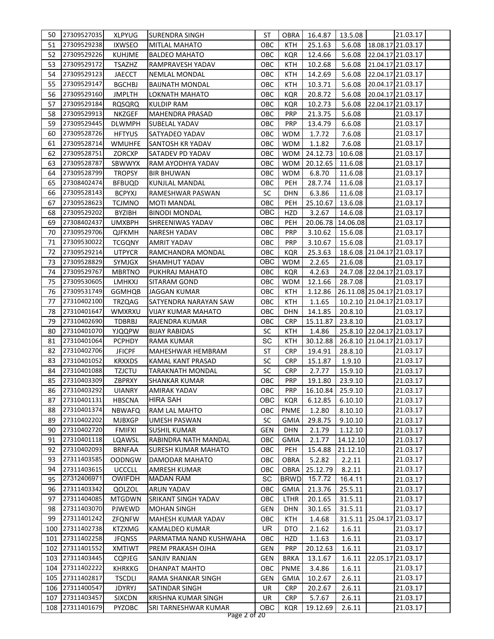| 50       | 27309527035                | <b>XLPYUG</b>           | SURENDRA SINGH             | ST         | OBRA        | 16.4.87                  | 13.5.08                    | 21.03.17                  |  |
|----------|----------------------------|-------------------------|----------------------------|------------|-------------|--------------------------|----------------------------|---------------------------|--|
| 51       | 27309529238                | <b>IXWSEO</b>           | <b>MITLAL MAHATO</b>       | OBC        | KTH         | 25.1.63                  | 5.6.08                     | 18.08.17 21.03.17         |  |
| 52       | 27309529226                | <b>KUHJME</b>           | <b>BALDEO MAHATO</b>       | ОВС        | KQR         | 12.4.66                  | 5.6.08                     | 22.04.17 21.03.17         |  |
| 53       | 27309529172                | <b>TSAZHZ</b>           | <b>RAMPRAVESH YADAV</b>    | ОВС        | KTH         | 10.2.68                  | 5.6.08                     | 21.04.17 21.03.17         |  |
| 54       | 27309529123                | <b>JAECCT</b>           | NEMLAL MONDAL              | OBC        | <b>KTH</b>  | 14.2.69                  | 5.6.08                     | 22.04.17 21.03.17         |  |
| 55       | 27309529147                | <b>BGCHBJ</b>           | <b>BAIJNATH MONDAL</b>     | OBC        | <b>KTH</b>  | 10.3.71                  | 5.6.08                     | 20.04.17 21.03.17         |  |
| 56       | 27309529160                | <b>JMPLTH</b>           | LOKNATH MAHATO             | OBC        | <b>KQR</b>  | 20.8.72                  | 5.6.08                     | 20.04.17 21.03.17         |  |
| 57       | 27309529184                | <b>RQSQRQ</b>           | KULDIP RAM                 | ОВС        | <b>KQR</b>  | 10.2.73                  | 5.6.08                     | 22.04.17 21.03.17         |  |
| 58       | 27309529913                | <b>NKZGEF</b>           | <b>MAHENDRA PRASAD</b>     | ОВС        | <b>PRP</b>  | 21.3.75                  | 5.6.08                     | 21.03.17                  |  |
| 59       | 27309529445                | <b>DLWMPH</b>           | <b>SUBELAL YADAV</b>       | ОВС        | <b>PRP</b>  | 13.4.79                  | 6.6.08                     | 21.03.17                  |  |
| 60       | 27309528726                | <b>HFTYUS</b>           | SATYADEO YADAV             | ОВС        | <b>WDM</b>  | 1.7.72                   | 7.6.08                     | 21.03.17                  |  |
| 61       | 27309528714                | <b>WMUHFE</b>           | <b>SANTOSH KR YADAV</b>    | ОВС        | <b>WDM</b>  | 1.1.82                   | 7.6.08                     | 21.03.17                  |  |
| 62       | 27309528751                | ZORCXP                  | SATADEV PD YADAV           | OBC        | <b>WDM</b>  | 24.12.73                 | 10.6.08                    | 21.03.17                  |  |
| 63       | 27309528787                | SBWWYX                  | RAM AYODHYA YADAV          | ОВС        | <b>WDM</b>  | 20.12.65                 | 11.6.08                    | 21.03.17                  |  |
| 64       | 27309528799                | <b>TROPSY</b>           | <b>BIR BHUWAN</b>          | ОВС        | <b>WDM</b>  | 6.8.70                   | 11.6.08                    | 21.03.17                  |  |
| 65       | 27308402474                | <b>BFBUQD</b>           | KUNJLAL MANDAL             | овс        | <b>PEH</b>  | 28.7.74                  | 11.6.08                    | 21.03.17                  |  |
| 66       | 27309528143                | <b>BCPYXJ</b>           | RAMESHWAR PASWAN           | <b>SC</b>  | DHN         | 6.3.86                   | 11.6.08                    | 21.03.17                  |  |
| 67       | 27309528623                | <b>TCJMNO</b>           | MOTI MANDAL                | ОВС        | <b>PEH</b>  | 25.10.67                 | 13.6.08                    | 21.03.17                  |  |
| 68       | 27309529202                | BYZIBH                  | <b>BINODI MONDAL</b>       | OBC        | HZD         | 3.2.67                   | 14.6.08                    | 21.03.17                  |  |
| 69       | 27308402437                | UMXBPH                  | SHREENIWAS YADAV           | OBC        | <b>PEH</b>  | 20.06.78                 | 14.06.08                   | 21.03.17                  |  |
| 70       | 27309529706                | <b>QJFKMH</b>           | NARESH YADAV               | ОВС        | <b>PRP</b>  | 3.10.62                  | 15.6.08                    | 21.03.17                  |  |
| 71       | 27309530022                | <b>TCGQNY</b>           | AMRIT YADAV                | ОВС        | <b>PRP</b>  | 3.10.67                  | 15.6.08                    | 21.03.17                  |  |
| 72       | 27309529214                | <b>UTPYCR</b>           | RAMCHANDRA MONDAL          | ОВС        | <b>KQR</b>  | 25.3.63                  |                            | 18.6.08 21.04.17 21.03.17 |  |
| 73       | 27309528829                | SYMJGX                  | SHAMHUT YADAV              | ОВС        | WDM         | 2.2.65                   | 21.6.08                    | 21.03.17                  |  |
| 74       | 27309529767                | <b>MBRTNO</b>           | PUKHRAJ MAHATO             | OBC        | <b>KQR</b>  | 4.2.63                   |                            | 24.7.08 22.04.17 21.03.17 |  |
| 75       | 27309530605                | LMHKXJ                  | SITARAM GOND               | OBC        | <b>WDM</b>  | 12.1.66                  | 28.7.08                    | 21.03.17                  |  |
| 76       | 27309531749                |                         |                            |            |             |                          | 26.11.08 25.04.17 21.03.17 |                           |  |
|          |                            | <b>GGMHQB</b>           | <b>JAGGAN KUMAR</b>        | ОВС        | KTH         | 1.12.86                  |                            |                           |  |
| 77<br>78 | 27310402100<br>27310401647 | <b>TRZQAG</b><br>WMXRXU | SATYENDRA NARAYAN SAW      | ОВС        | KTH         | 1.1.65                   |                            | 10.2.10 21.04.17 21.03.17 |  |
| 79       | 27310402690                |                         | <b>VIJAY KUMAR MAHATO</b>  | ОВС        | DHN         | 14.1.85                  | 20.8.10                    | 21.03.17                  |  |
|          | 27310401070                | TDBRBJ                  | RAJENDRA KUMAR             | OBC        | <b>CRP</b>  | 15.11.87                 | 23.8.10                    | 21.03.17                  |  |
| 80       | 27310401064                | <b>YJQQPW</b>           | <b>BIJAY RABIDAS</b>       | SC         | <b>KTH</b>  | 1.4.86                   |                            | 25.8.10 22.04.17 21.03.17 |  |
| 81       | 27310402706                | <b>PCPHDY</b>           | <b>RAMA KUMAR</b>          | SC         | <b>KTH</b>  | 30.12.88                 |                            | 26.8.10 21.04.17 21.03.17 |  |
| 82       |                            | <b>JFICPF</b>           | MAHESHWAR HEMBRAM          | ST         | <b>CRP</b>  | 19.4.91                  | 28.8.10                    | 21.03.17                  |  |
| 83       | 27310401052                | <b>KRXXDS</b>           | KAMAL KANT PRASAD          | <b>SC</b>  | <b>CRP</b>  | 15.1.87                  | 1.9.10                     | 21.03.17                  |  |
| 84       | 27310401088                | <b>TZJCTU</b>           | <b>TARAKNATH MONDAL</b>    | <b>SC</b>  | <b>CRP</b>  | 2.7.77                   | 15.9.10                    | 21.03.17                  |  |
| 85       | 27310403309                | ZBPRXY                  | <b>SHANKAR KUMAR</b>       | OBC        | <b>PRP</b>  | 19.1.80                  | 23.9.10                    | 21.03.17                  |  |
|          | 86 27310403292 UIANRY      |                         | <b>AMIRAK YADAV</b>        |            |             | OBC PRP 16.10.84 25.9.10 |                            | 21.03.17                  |  |
| 87       | 27310401131                | <b>HBSCNA</b>           | <b>HIRA SAH</b>            | ОВС        | <b>KQR</b>  | 6.12.85                  | 6.10.10                    | 21.03.17                  |  |
| 88       | 27310401374                | <b>NBWAFQ</b>           | RAM LAL MAHTO              | ОВС        | <b>PNME</b> | 1.2.80                   | 8.10.10                    | 21.03.17                  |  |
| 89       | 27310402202                | <b>MJBXGP</b>           | <b>UMESH PASWAN</b>        | <b>SC</b>  | <b>GMIA</b> | 29.8.75                  | 9.10.10                    | 21.03.17                  |  |
| 90       | 27310402720                | <b>FMIFXI</b>           | <b>SUSHIL KUMAR</b>        | <b>GEN</b> | <b>DHN</b>  | 2.1.79                   | 1.12.10                    | 21.03.17                  |  |
| 91       | 27310401118                | LQAWSL                  | RABINDRA NATH MANDAL       | OBC        | <b>GMIA</b> | 2.1.77                   | 14.12.10                   | 21.03.17                  |  |
| 92       | 27310402093                | <b>BRNFAA</b>           | <b>SURESH KUMAR MAHATO</b> | OBC        | PEH         | 15.4.88                  | 21.12.10                   | 21.03.17                  |  |
| 93       | 27311403585                | <b>OODNGW</b>           | DAMODAR MAHATO             | OBC        | <b>OBRA</b> | 5.2.82                   | 2.2.11                     | 21.03.17                  |  |
| 94       | 27311403615                | <b>UCCCLL</b>           | <b>AMRESH KUMAR</b>        | ОВС        | <b>OBRA</b> | 25.12.79                 | 8.2.11                     | 21.03.17                  |  |
| 95       | 27312406971                | <b>OWIFDH</b>           | <b>MADAN RAM</b>           | SC         | <b>BRWD</b> | 15.7.72                  | 16.4.11                    | 21.03.17                  |  |
| 96       | 27311403342                | QOLZOL                  | <b>ARUN YADAV</b>          | овс        | GMIA        | 21.3.76                  | 25.5.11                    | 21.03.17                  |  |
| 97       | 27311404085                | <b>MTGDWN</b>           | SRIKANT SINGH YADAV        | овс        | LTHR        | 20.1.65                  | 31.5.11                    | 21.03.17                  |  |
| 98       | 27311403070                | PJWEWD                  | <b>MOHAN SINGH</b>         | GEN        | <b>DHN</b>  | 30.1.65                  | 31.5.11                    | 21.03.17                  |  |
| 99       | 27311401242                | <b>ZFQNFW</b>           | MAHESH KUMAR YADAV         | ОВС        | <b>KTH</b>  | 1.4.68                   |                            | 31.5.11 25.04.17 21.03.17 |  |
| 100      | 27311402738                | <b>KTZXMG</b>           | <b>KAMALDEO KUMAR</b>      | UR.        | DTO         | 2.1.62                   | 1.6.11                     | 21.03.17                  |  |
| 101      | 27311402258                | <b>JFQNSS</b>           | PARMATMA NAND KUSHWAHA     | OBC        | HZD         | 1.1.63                   | 1.6.11                     | 21.03.17                  |  |
| 102      | 27311401552                | <b>XMTIWT</b>           | PREM PRAKASH OJHA          | GEN        | <b>PRP</b>  | 20.12.63                 | 1.6.11                     | 21.03.17                  |  |
| 103      | 27311403445                | <b>CQPJEG</b>           | <b>SANJIV RANJAN</b>       | GEN        | <b>BRKA</b> | 13.1.67                  | 1.6.11                     | 22.05.17 21.03.17         |  |
| 104      | 27311402222                | <b>KHRKKG</b>           | DHANPAT MAHTO              | OBC        | <b>PNME</b> | 3.4.86                   | 1.6.11                     | 21.03.17                  |  |
| 105      | 27311402817                | <b>TSCDLI</b>           | RAMA SHANKAR SINGH         | GEN        | <b>GMIA</b> | 10.2.67                  | 2.6.11                     | 21.03.17                  |  |
| 106      | 27311400547                | <b>JDYRYJ</b>           | SATINDAR SINGH             | UR         | <b>CRP</b>  | 20.2.67                  | 2.6.11                     | 21.03.17                  |  |
| 107      | 27311403457                | <b>SIXCDN</b>           | <b>KRISHNA KUMAR SINGH</b> | UR         | <b>CRP</b>  | 5.7.67                   | 2.6.11                     | 21.03.17                  |  |
| 108      | 27311401679                | <b>PYZOBC</b>           | SRI TARNESHWAR KUMAR       | OBC        | <b>KQR</b>  | 19.12.69                 | 2.6.11                     | 21.03.17                  |  |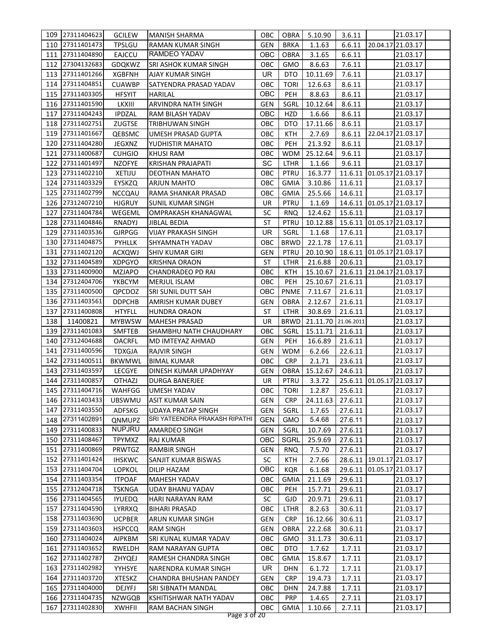|            | 109 27311404623            | <b>GCILEW</b>                  | <b>MANISH SHARMA</b>                           | OBC        | OBRA                | 5.10.90              | 3.6.11                | 21.03.17                  |  |
|------------|----------------------------|--------------------------------|------------------------------------------------|------------|---------------------|----------------------|-----------------------|---------------------------|--|
| 110        | 27311401473                | <b>TPSLGU</b>                  | RAMAN KUMAR SINGH                              | GEN        | <b>BRKA</b>         | 1.1.63               | 6.6.11                | 20.04.17 21.03.17         |  |
| 111        | 27311404890                | EAJCCU                         | RAMDEO YADAV                                   | OBC        | <b>OBRA</b>         | 3.1.65               | 6.6.11                | 21.03.17                  |  |
| 112        | 27304132683                | <b>GDQKWZ</b>                  | SRI ASHOK KUMAR SINGH                          | OBC        | <b>GMO</b>          | 8.6.63               | 7.6.11                | 21.03.17                  |  |
| 113        | 27311401266                | <b>XGBFNH</b>                  | <b>AJAY KUMAR SINGH</b>                        | UR.        | DTO                 | 10.11.69             | 7.6.11                | 21.03.17                  |  |
| 114        | 27311404851                | <b>CUAWBP</b>                  | SATYENDRA PRASAD YADAV                         | OBC        | <b>TORI</b>         | 12.6.63              | 8.6.11                | 21.03.17                  |  |
| 115        | 27311403305                | <b>HFSYIT</b>                  | <b>HARILAL</b>                                 | OBC        | <b>PEH</b>          | 8.8.63               | 8.6.11                | 21.03.17                  |  |
| 116        | 27311401590                | LKXIII                         | ARVINDRA NATH SINGH                            | GEN        | SGRL                | 10.12.64             | 8.6.11                | 21.03.17                  |  |
| 117        | 27311404243                | <b>IPDZAL</b>                  | RAM BILASH YADAV                               | OBC        | HZD                 | 1.6.66               | 8.6.11                | 21.03.17                  |  |
| 118        | 27311402751                | <b>ZUGTSE</b>                  | <b>TRIBHUWAN SINGH</b>                         | OBC        | DTO                 | 17.11.66             | 8.6.11                | 21.03.17                  |  |
| 119        | 27311401667                | QEBSMC                         | UMESH PRASAD GUPTA                             | OBC        | <b>KTH</b>          | 2.7.69               | 8.6.11                | 22.04.17 21.03.17         |  |
| 120        | 27311404280                | JEGXNZ                         | YUDHISTIR MAHATO                               | OBC        | <b>PEH</b>          | 21.3.92              | 8.6.11                | 21.03.17                  |  |
| 121        | 27311400687                | <b>CUHGIO</b>                  | KHUSI RAM                                      | ОВС        | WDM                 | 25.12.64             | 9.6.11                | 21.03.17                  |  |
| 122        | 27311401497                | <b>NZOFYE</b>                  | KRISHAN PRAJAPATI                              | SC         | <b>LTHR</b>         | 1.1.66               | 9.6.11                | 21.03.17                  |  |
| 123        | 27311402210                |                                |                                                | овс        | <b>PTRU</b>         |                      |                       | 11.6.11 01.05.17 21.03.17 |  |
| 124        | 27311403329                | XETIJU                         | DEOTHAN MAHATO                                 |            | <b>GMIA</b>         | 16.3.77              |                       | 21.03.17                  |  |
|            |                            | <b>EYSKZQ</b>                  | ARJUN MAHTO                                    | овс        |                     | 3.10.86              | 11.6.11               |                           |  |
| 125        | 27311402799                | <b>NCCQAU</b>                  | RAMA SHANKAR PRASAD                            | ОВС        | <b>GMIA</b>         | 25.5.66              | 14.6.11               | 21.03.17                  |  |
| 126        | 27312407210                | <b>HJGRUY</b>                  | <b>SUNIL KUMAR SINGH</b>                       | UR         | PTRU                | 1.1.69               |                       | 14.6.11 01.05.17 21.03.17 |  |
| 127        | 27311404784                | WEGEML                         | OMPRAKASH KHANAGWAL                            | SC         | <b>RNQ</b>          | 12.4.62              | 15.6.11               | 21.03.17                  |  |
| 128        | 27311404846                | RNADYJ                         | JIBLAL BEDIA                                   | <b>ST</b>  | <b>PTRU</b>         | 10.12.88             |                       | 15.6.11 01.05.17 21.03.17 |  |
| 129<br>130 | 27311403536<br>27311404875 | <b>GJRPGG</b>                  | <b>VIJAY PRAKASH SINGH</b>                     | UR         | SGRL                | 1.1.68               | 17.6.11               | 21.03.17                  |  |
|            |                            | PYHLLK                         | SHYAMNATH YADAV                                | овс        | <b>BRWD</b>         | 22.1.78              | 17.6.11               | 21.03.17                  |  |
| 131        | 27311402120                | ACXQWJ                         | SHIV KUMAR GIRI                                | GEN        | <b>PTRU</b>         | 20.10.90             |                       | 18.6.11 01.05.17 21.03.17 |  |
| 132        | 27311404589                | <b>XDPGYO</b>                  | <b>KRISHNA ORAON</b>                           | ST         | LTHR                | 21.6.88              | 20.6.11               | 21.03.17                  |  |
| 133        | 27311400900                | <b>MZJAPO</b>                  | CHANDRADEO PD RAI                              | овс        | KTH                 | 15.10.67             |                       | 21.6.11 21.04.17 21.03.17 |  |
| 134<br>135 | 27312404706<br>27311400500 | YKBCYM                         | <b>MERJUL ISLAM</b>                            | OBC<br>OBC | PEH                 | 25.10.67             | 21.6.11               | 21.03.17<br>21.03.17      |  |
|            |                            | QPCDOZ                         | <b>SRI SUNIL DUTT SAH</b>                      |            | <b>PNME</b>         | 7.11.67              | 21.6.11               |                           |  |
| 136        | 27311403561<br>27311400808 | <b>DDPCHB</b>                  | AMRISH KUMAR DUBEY                             | GEN        | <b>OBRA</b>         | 2.12.67              | 21.6.11               | 21.03.17                  |  |
| 137<br>138 | 11400821                   | <b>HTYFLL</b>                  | HUNDRA ORAON                                   | ST         | LTHR                | 30.8.69              | 21.6.11               | 21.03.17<br>21.03.17      |  |
| 139        | 27311401083                | <b>MYBWSW</b><br><b>SMFTEB</b> | <b>MAHESH PRASAD</b><br>SHAMBHU NATH CHAUDHARY | UR<br>овс  | <b>BRWD</b><br>SGRL | 21.11.70<br>15.11.71 | 21.06.2011<br>21.6.11 | 21.03.17                  |  |
| 140        | 27312404688                | <b>OACRFL</b>                  | MD IMTEYAZ AHMAD                               | GEN        | <b>PEH</b>          | 16.6.89              | 21.6.11               | 21.03.17                  |  |
| 141        | 27311400596                | <b>TDXGJA</b>                  | <b>RAJVIR SINGH</b>                            | GEN        | <b>WDM</b>          | 6.2.66               | 22.6.11               | 21.03.17                  |  |
| 142        | 27311400511                | <b>BKWMWL</b>                  | <b>BIMAL KUMAR</b>                             | OBC        | <b>CRP</b>          | 2.1.71               | 23.6.11               | 21.03.17                  |  |
| 143        | 27311403597                | <b>LECGYE</b>                  | DINESH KUMAR UPADHYAY                          | <b>GEN</b> | OBRA                | 15.12.67             | 24.6.11               | 21.03.17                  |  |
|            | 144 27311400857            | <b>OTHAZJ</b>                  | <b>DURGA BANERJEE</b>                          | UR.        | <b>PTRU</b>         | 3.3.72               |                       | 25.6.11 01.05.17 21.03.17 |  |
|            | 145 27311404716 WAHFGG     |                                | <b>UMESH YADAV</b>                             | OBC        |                     | TORI 1.2.87 25.6.11  |                       | 21.03.17                  |  |
|            | 146 27311403433            | <b>UBSWMU</b>                  | ASIT KUMAR SAIN                                | GEN        | <b>CRP</b>          | 24.11.63             | 27.6.11               | 21.03.17                  |  |
| 147        | 27311403550                | ADFSKG                         | <b>UDAYA PRATAP SINGH</b>                      | GEN        | SGRL                | 1.7.65               | 27.6.11               | 21.03.17                  |  |
| 148        | 27311402891                | QNMUPZ                         | SRI YATEENDRA PRAKASH RIPATHI                  | <b>GEN</b> | <b>GMO</b>          | 5.4.68               | 27.6.11               | 21.03.17                  |  |
| 149        | 27311400833                | <b>NUPJRU</b>                  | AMARDEO SINGH                                  | GEN        | SGRL                | 10.7.69              | 27.6.11               | 21.03.17                  |  |
| 150        | 27311408467                | <b>TPYMXZ</b>                  | <b>RAJ KUMAR</b>                               | OBC        | SGRL                | 25.9.69              | 27.6.11               | 21.03.17                  |  |
| 151        | 27311400869                | PRWTGZ                         | <b>RAMBIR SINGH</b>                            | GEN        | <b>RNQ</b>          | 7.5.70               | 27.6.11               | 21.03.17                  |  |
| 152        | 27311401424                | <b>IHSKWC</b>                  | SANJIT KUMAR BISWAS                            | SC         | <b>KTH</b>          | 2.7.66               |                       | 28.6.11 19.01.17 21.03.17 |  |
| 153        | 27311404704                | <b>LOPKOL</b>                  | <b>DILIP HAZAM</b>                             | OBC        | <b>KQR</b>          | 6.1.68               |                       | 29.6.11 01.05.17 21.03.17 |  |
| 154        | 27311403354                | <b>ITPOAF</b>                  | MAHESH YADAV                                   | OBC        | <b>GMIA</b>         | 21.1.69              | 29.6.11               | 21.03.17                  |  |
|            | 155 27312404718            | TSKNGA                         | UDAY BHANU YADAV                               | овс        | PEH                 | 15.7.71              | 29.6.11               | 21.03.17                  |  |
|            | 156 27311404565            | <b>IYUEDQ</b>                  | HARI NARAYAN RAM                               | <b>SC</b>  | GJD                 | 20.9.71              | 29.6.11               | 21.03.17                  |  |
| 157        | 27311404590                | <b>LYRRXQ</b>                  | <b>BIHARI PRASAD</b>                           | овс        | LTHR                | 8.2.63               | 30.6.11               | 21.03.17                  |  |
| 158        | 27311403690                | <b>UCPBER</b>                  | ARUN KUMAR SINGH                               | GEN        | <b>CRP</b>          | 16.12.66             | 30.6.11               | 21.03.17                  |  |
| 159        | 27311403603                | <b>HSPCCQ</b>                  | <b>RAM SINGH</b>                               | GEN        | OBRA                | 22.2.68              | 30.6.11               | 21.03.17                  |  |
| 160        | 27311404024                | AIPKBM                         | SRI KUNAL KUMAR YADAV                          | OBC        | <b>GMO</b>          | 31.1.73              | 30.6.11               | 21.03.17                  |  |
| 161        | 27311403652                | <b>RWELDH</b>                  | RAM NARAYAN GUPTA                              | OBC        | DTO                 | 1.7.62               | 1.7.11                | 21.03.17                  |  |
| 162        | 27311402787                | ZHYQEJ                         | RAMESH CHANDRA SINGH                           | OBC        | GMIA                | 15.8.67              | 1.7.11                | 21.03.17                  |  |
| 163        | 27311402982                | YYHSYE                         | NARENDRA KUMAR SINGH                           | UR         | <b>DHN</b>          | 6.1.72               | 1.7.11                | 21.03.17                  |  |
| 164        | 27311403720                | <b>XTESKZ</b>                  | CHANDRA BHUSHAN PANDEY                         | GEN        | <b>CRP</b>          | 19.4.73              | 1.7.11                | 21.03.17                  |  |
| 165        | 27311404000                | DEJYFJ                         | SRI SIBNATH MANDAL                             | OBC        | DHN                 | 24.7.88              | 1.7.11                | 21.03.17                  |  |
| 166        | 27311404735                | <b>NZWGQB</b>                  | KSHITISHWAR NATH YADAV                         | OBC        | <b>PRP</b>          | 1.4.65               | 2.7.11                | 21.03.17                  |  |
| 167        | 27311402830                | <b>XWHFII</b>                  | RAM BACHAN SINGH                               | OBC        | <b>GMIA</b>         | 1.10.66              | 2.7.11                | 21.03.17                  |  |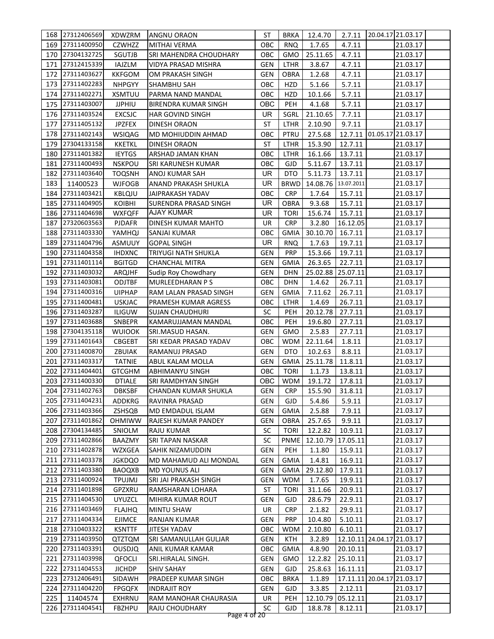|     | 168 27312406569 | <b>XDWZRM</b>                  | ANGNU ORAON                   | ST         | <b>BRKA</b> | 12.4.70                       | 2.7.11     | 20.04.17 21.03.17          |          |  |
|-----|-----------------|--------------------------------|-------------------------------|------------|-------------|-------------------------------|------------|----------------------------|----------|--|
| 169 | 27311400950     | <b>CZWHZZ</b>                  | <b>MITHAI VERMA</b>           | ОВС        | <b>RNQ</b>  | 1.7.65                        | 4.7.11     |                            | 21.03.17 |  |
| 170 | 27304132725     | SGUTJB                         | <b>SRI MAHENDRA CHOUDHARY</b> | ОВС        | GMO         | 25.11.65                      | 4.7.11     |                            | 21.03.17 |  |
| 171 | 27312415339     | IAJZLM                         | VIDYA PRASAD MISHRA           | GEN        | LTHR        | 3.8.67                        | 4.7.11     |                            | 21.03.17 |  |
| 172 | 27311403627     | <b>KKFGOM</b>                  | OM PRAKASH SINGH              | GEN        | <b>OBRA</b> | 1.2.68                        | 4.7.11     |                            | 21.03.17 |  |
| 173 | 27311402283     | <b>NHPGYY</b>                  | <b>SHAMBHU SAH</b>            | OBC        | HZD         | 5.1.66                        | 5.7.11     |                            | 21.03.17 |  |
| 174 | 27311402271     | <b>XSMTUU</b>                  | PARMA NAND MANDAL             | OBC        | HZD         | 10.1.66                       | 5.7.11     |                            | 21.03.17 |  |
| 175 | 27311403007     | <b>JJPHIU</b>                  | BIRENDRA KUMAR SINGH          | ОВС        | <b>PEH</b>  | 4.1.68                        | 5.7.11     |                            | 21.03.17 |  |
| 176 | 27311403524     | <b>EXCSJC</b>                  | HAR GOVIND SINGH              | UR.        | SGRL        | 21.10.65                      | 7.7.11     |                            | 21.03.17 |  |
| 177 | 27311405132     | <b>JPZFEX</b>                  | <b>DINESH ORAON</b>           | ST         | LTHR        | 2.10.90                       | 9.7.11     |                            | 21.03.17 |  |
| 178 | 27311402143     | <b>WSIQAG</b>                  | MD MOHIUDDIN AHMAD            | овс        | <b>PTRU</b> | 27.5.68                       |            | 12.7.11 01.05.17 21.03.17  |          |  |
| 179 | 27304133158     | <b>KKETKL</b>                  | DINESH ORAON                  | ST         | LTHR        | 15.3.90                       | 12.7.11    |                            | 21.03.17 |  |
| 180 | 27311401382     | <b>IEYTGS</b>                  | ARSHAD JAMAN KHAN             | овс        | LTHR        | 16.1.66                       | 13.7.11    |                            | 21.03.17 |  |
| 181 | 27311400493     | <b>NSKPOU</b>                  | SRI KARUNESH KUMAR            | ОВС        | GJD         | 5.11.67                       | 13.7.11    |                            | 21.03.17 |  |
| 182 | 27311403640     | <b>TOQSNH</b>                  | ANOJ KUMAR SAH                | <b>UR</b>  | DTO         | 5.11.73                       | 13.7.11    |                            | 21.03.17 |  |
| 183 | 11400523        | <b>WJFOGB</b>                  | ANAND PRAKASH SHUKLA          | UR         | <b>BRWD</b> | 14.08.76                      | 13.07.2011 |                            | 21.03.17 |  |
| 184 | 27311403421     | KBLQJU                         | JAIPRAKASH YADAV              | ОВС        | <b>CRP</b>  | 1.7.64                        | 15.7.11    |                            | 21.03.17 |  |
| 185 | 27311404905     | <b>KOIBHI</b>                  | SURENDRA PRASAD SINGH         | UR         | OBRA        | 9.3.68                        | 15.7.11    |                            | 21.03.17 |  |
| 186 | 27311404698     | <b>WXFQFF</b>                  | AJAY KUMAR                    | UR         | <b>TORI</b> | 15.6.74                       | 15.7.11    |                            | 21.03.17 |  |
| 187 | 27320603563     | <b>PJDAFR</b>                  | DINESH KUMAR MAHTO            | UR         | <b>CRP</b>  | 3.2.80                        | 16.12.05   |                            | 21.03.17 |  |
| 188 | 27311403330     | YAMHQJ                         | SANJAI KUMAR                  | овс        | GMIA        | 30.10.70                      | 16.7.11    |                            | 21.03.17 |  |
| 189 | 27311404796     | ASMUUY                         | <b>GOPAL SINGH</b>            | UR.        | <b>RNQ</b>  | 1.7.63                        | 19.7.11    |                            | 21.03.17 |  |
| 190 | 27311404358     |                                | <b>TRIYUGI NATH SHUKLA</b>    | GEN        | <b>PRP</b>  | 15.3.66                       | 19.7.11    |                            | 21.03.17 |  |
| 191 | 27311401114     | <b>IHDXNC</b><br><b>BGITGD</b> | <b>CHANCHAL MITRA</b>         | GEN        | <b>GMIA</b> | 26.3.65                       | 22.7.11    |                            | 21.03.17 |  |
|     | 27311403032     |                                |                               |            |             |                               |            |                            |          |  |
| 192 |                 | ARQJHF                         | Sudip Roy Chowdhary           | GEN        | <b>DHN</b>  | 25.02.88                      | 25.07.11   |                            | 21.03.17 |  |
| 193 | 27311403081     | ODJTBF                         | <b>MURLEEDHARAN PS</b>        | ОВС        | <b>DHN</b>  | 1.4.62                        | 26.7.11    |                            | 21.03.17 |  |
| 194 | 27311400316     | <b>UIPHAP</b>                  | RAM LALAN PRASAD SINGH        | <b>GEN</b> | <b>GMIA</b> | 7.11.62                       | 26.7.11    |                            | 21.03.17 |  |
| 195 | 27311400481     | <b>USKJAC</b>                  | PRAMESH KUMAR AGRESS          | OBC        | LTHR        | 1.4.69                        | 26.7.11    |                            | 21.03.17 |  |
| 196 | 27311403287     | <b>ILIGUW</b>                  | <b>SUJAN CHAUDHURI</b>        | SC         | PEH         | 20.12.78                      | 27.7.11    |                            | 21.03.17 |  |
| 197 | 27311403688     | SNBEPR                         | KAMARUJJAMAN MANDAL           | OBC        | PEH         | 19.6.80                       | 27.7.11    |                            | 21.03.17 |  |
| 198 | 27304135118     | <b>WUIOOK</b>                  | SRI.MASUD HASAN.              | <b>GEN</b> | GMO         | 2.5.83                        | 27.7.11    |                            | 21.03.17 |  |
| 199 | 27311401643     | <b>CBGEBT</b>                  | SRI KEDAR PRASAD YADAV        | ОВС        | WDM         | 22.11.64                      | 1.8.11     |                            | 21.03.17 |  |
| 200 | 27311400870     | ZBUIAK                         | RAMANUJ PRASAD                | GEN        | DTO         | 10.2.63                       | 8.8.11     |                            | 21.03.17 |  |
| 201 | 27311403317     | <b>TATNIE</b>                  | <b>ABUL KALAM MOLLA</b>       | GEN        | <b>GMIA</b> | 25.11.78                      | 11.8.11    |                            | 21.03.17 |  |
| 202 | 27311404401     | <b>GTCGHM</b>                  | <b>ABHIMANYU SINGH</b>        | OBC        | <b>TORI</b> | 1.1.73                        | 13.8.11    |                            | 21.03.17 |  |
| 203 | 27311400330     | <b>DTIALE</b>                  | SRI RAMDHYAN SINGH            | OBC        | <b>WDM</b>  | 19.1.72                       | 17.8.11    |                            | 21.03.17 |  |
|     | 204 27311402763 | <b>DBKSBF</b>                  | CHANDAN KUMAR SHUKLA          |            |             | GEN   CRP   15.5.90   31.8.11 |            |                            | 21.03.17 |  |
|     | 205 27311404231 | ADDKRG                         | RAVINRA PRASAD                | GEN        | <b>GJD</b>  | 5.4.86                        | 5.9.11     |                            | 21.03.17 |  |
|     | 206 27311403366 | ZSHSQB                         | MD EMDADUL ISLAM              | GEN        | <b>GMIA</b> | 2.5.88                        | 7.9.11     |                            | 21.03.17 |  |
| 207 | 27311401862     | <b>OHMIWW</b>                  | RAJESH KUMAR PANDEY           | GEN        | <b>OBRA</b> | 25.7.65                       | 9.9.11     |                            | 21.03.17 |  |
| 208 | 27304134485     | SNIOLM                         | <b>RAJU KUMAR</b>             | SC         | <b>TORI</b> | 12.2.82                       | 10.9.11    |                            | 21.03.17 |  |
| 209 | 27311402866     | BAAZMY                         | SRI TAPAN NASKAR              | SC         | <b>PNME</b> | 12.10.79                      | 17.05.11   |                            | 21.03.17 |  |
| 210 | 27311402878     | WZXGEA                         | SAHIK NIZAMUDDIN              | GEN        | <b>PEH</b>  | 1.1.80                        | 15.9.11    |                            | 21.03.17 |  |
| 211 | 27311403378     | JGKDQO                         | MD MAHAMUD ALI MONDAL         | GEN        | GMIA        | 1.4.81                        | 16.9.11    |                            | 21.03.17 |  |
| 212 | 27311403380     | <b>BAOQXB</b>                  | <b>MD YOUNUS ALI</b>          | GEN        | <b>GMIA</b> | 29.12.80                      | 17.9.11    |                            | 21.03.17 |  |
| 213 | 27311400924     | <b>TPUJMJ</b>                  | SRI JAI PRAKASH SINGH         | GEN        | <b>WDM</b>  | 1.7.65                        | 19.9.11    |                            | 21.03.17 |  |
| 214 | 27311401898     | GPZXRU                         | RAMSHARAN LOHARA              | ST         | <b>TORI</b> | 31.1.66                       | 20.9.11    |                            | 21.03.17 |  |
| 215 | 27311404530     | <b>UYUZCL</b>                  | MIHIRA KUMAR ROUT             | GEN        | GJD         | 28.6.79                       | 22.9.11    |                            | 21.03.17 |  |
|     | 216 27311403469 | <b>FLAJHQ</b>                  | <b>MINTU SHAW</b>             | UR         | <b>CRP</b>  | 2.1.82                        | 29.9.11    |                            | 21.03.17 |  |
| 217 | 27311404334     | <b>EJIMCE</b>                  | RANJAN KUMAR                  | GEN        | <b>PRP</b>  | 10.4.80                       | 5.10.11    |                            | 21.03.17 |  |
| 218 | 27310403322     | <b>KSNTTF</b>                  | JITESH YADAV                  | OBC        | <b>WDM</b>  | 2.10.80                       | 6.10.11    |                            | 21.03.17 |  |
| 219 | 27311403950     | QTZTQM                         | SRI SAMANULLAH GULJAR         | GEN        | <b>KTH</b>  | 3.2.89                        |            | 12.10.11 24.04.17 21.03.17 |          |  |
| 220 | 27311403391     | <b>OUSDJQ</b>                  | ANIL KUMAR KAMAR              | OBC        | <b>GMIA</b> | 4.8.90                        | 20.10.11   |                            | 21.03.17 |  |
| 221 | 27311403998     | QFOCLI                         | SRI.HIRALAL SINGH.            | GEN        | <b>GMO</b>  | 12.2.82                       | 25.10.11   |                            | 21.03.17 |  |
| 222 | 27311404553     | <b>JICHDP</b>                  | <b>SHIV SAHAY</b>             | GEN        | <b>GJD</b>  | 25.8.63                       | 16.11.11   |                            | 21.03.17 |  |
| 223 | 27312406491     | SIDAWH                         | PRADEEP KUMAR SINGH           | OBC        | <b>BRKA</b> | 1.1.89                        |            | 17.11.11 20.04.17 21.03.17 |          |  |
| 224 | 27311404220     | <b>FPGQFX</b>                  | <b>INDRAJIT ROY</b>           | GEN        | <b>GJD</b>  | 3.3.85                        | 2.12.11    |                            | 21.03.17 |  |
| 225 | 11404574        | <b>EXHRNU</b>                  | RAM MANOHAR CHAURASIA         | UR         | <b>PEH</b>  | 12.10.79                      | 05.12.11   |                            | 21.03.17 |  |
| 226 | 27311404541     | <b>FBZHPU</b>                  | RAJU CHOUDHARY                | SC         | GJD         | 18.8.78                       | 8.12.11    |                            | 21.03.17 |  |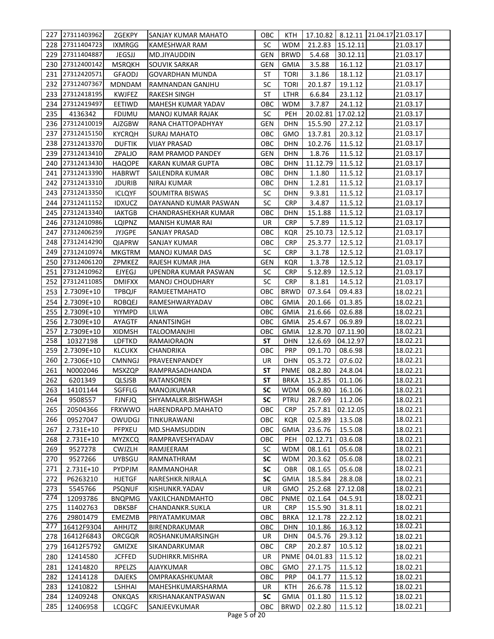| 227 | 27311403962 | <b>ZGEKPY</b> | SANJAY KUMAR MAHATO      | ОВС        | KTH         |                 |          | 17.10.82   8.12.11   21.04.17   21.03.17 |  |
|-----|-------------|---------------|--------------------------|------------|-------------|-----------------|----------|------------------------------------------|--|
| 228 | 27311404723 | <b>IXMRGG</b> | <b>KAMESHWAR RAM</b>     | <b>SC</b>  | <b>WDM</b>  | 21.2.83         | 15.12.11 | 21.03.17                                 |  |
| 229 | 27311404887 | JEGSJJ        | MD.JIYAUDDIN             | GEN        | <b>BRWD</b> | 5.4.68          | 30.12.11 | 21.03.17                                 |  |
| 230 | 27312400142 | <b>MSRQKH</b> | <b>SOUVIK SARKAR</b>     | GEN        | <b>GMIA</b> | 3.5.88          | 16.1.12  | 21.03.17                                 |  |
| 231 | 27312420571 | <b>GFAODJ</b> | <b>GOVARDHAN MUNDA</b>   | ST         | <b>TORI</b> | 3.1.86          | 18.1.12  | 21.03.17                                 |  |
| 232 | 27312407367 | MDNDAM        | RAMNANDAN GANJHU         | SC         | <b>TORI</b> | 20.1.87         | 19.1.12  | 21.03.17                                 |  |
| 233 | 27312418195 | <b>KWJFEZ</b> | <b>RAKESH SINGH</b>      | <b>ST</b>  | LTHR        | 6.6.84          | 23.1.12  | 21.03.17                                 |  |
| 234 | 27312419497 | EETIWD        | MAHESH KUMAR YADAV       | OBC        | <b>WDM</b>  | 3.7.87          | 24.1.12  | 21.03.17                                 |  |
| 235 | 4136342     | <b>FDIJMU</b> | <b>MANOJ KUMAR RAJAK</b> | <b>SC</b>  | <b>PEH</b>  | 20.02.81        | 17.02.12 | 21.03.17                                 |  |
| 236 | 27312410019 | <b>AJZGBW</b> | RANA CHATTOPADHYAY       | <b>GEN</b> | <b>DHN</b>  | 15.5.90         | 27.2.12  | 21.03.17                                 |  |
| 237 | 27312415150 | <b>KYCRQH</b> | SURAJ MAHATO             | ОВС        | GMO         | 13.7.81         | 20.3.12  | 21.03.17                                 |  |
| 238 | 27312413370 | <b>DUFTIK</b> | <b>VIJAY PRASAD</b>      | ОВС        | <b>DHN</b>  | 10.2.76         | 11.5.12  | 21.03.17                                 |  |
| 239 | 27312413410 | ZPALJO        | RAM PRAMOD PANDEY        | <b>GEN</b> | <b>DHN</b>  | 1.8.76          | 11.5.12  | 21.03.17                                 |  |
| 240 | 27312413430 | <b>HAQOPE</b> | KARAN KUMAR GUPTA        | ОВС        | <b>DHN</b>  | 11.12.79        | 11.5.12  | 21.03.17                                 |  |
| 241 | 27312413390 | HABRWT        | SAILENDRA KUMAR          | OBC        | <b>DHN</b>  | 1.1.80          | 11.5.12  | 21.03.17                                 |  |
| 242 | 27312413310 | <b>JDURIB</b> | NIRAJ KUMAR              | овс        | <b>DHN</b>  | 1.2.81          | 11.5.12  | 21.03.17                                 |  |
| 243 | 27312413350 | <b>ICLQYF</b> | SOUMITRA BISWAS          | <b>SC</b>  | DHN         | 9.3.81          | 11.5.12  | 21.03.17                                 |  |
| 244 | 27312411152 | <b>IDXUCZ</b> | DAYANAND KUMAR PASWAN    | <b>SC</b>  | <b>CRP</b>  | 3.4.87          | 11.5.12  | 21.03.17                                 |  |
| 245 | 27312413340 | <b>IAKTGB</b> | CHANDRASHEKHAR KUMAR     | овс        | DHN         | 15.1.88         | 11.5.12  | 21.03.17                                 |  |
| 246 | 27312410986 | LQIPNZ        | MANISH KUMAR RAI         | UR         | <b>CRP</b>  | 5.7.89          | 11.5.12  | 21.03.17                                 |  |
| 247 | 27312406259 | <b>JYJGPE</b> | <b>SANJAY PRASAD</b>     | ОВС        | <b>KQR</b>  | 25.10.73        | 12.5.12  | 21.03.17                                 |  |
| 248 | 27312414290 | <b>QIAPRW</b> | SANJAY KUMAR             | овс        | <b>CRP</b>  | 25.3.77         | 12.5.12  | 21.03.17                                 |  |
| 249 | 27312410974 | <b>MKGTRM</b> | MANOJ KUMAR DAS          | SC         | <b>CRP</b>  | 3.1.78          | 12.5.12  | 21.03.17                                 |  |
| 250 | 27312406120 | ZPMKEZ        | RAJESH KUMAR JHA         | GEN        | <b>KQR</b>  | 1.3.78          | 12.5.12  | 21.03.17                                 |  |
| 251 | 27312410962 | <b>EJYEGJ</b> | UPENDRA KUMAR PASWAN     | <b>SC</b>  | <b>CRP</b>  | 5.12.89         | 12.5.12  | 21.03.17                                 |  |
| 252 | 27312411085 | <b>DMIFXX</b> | <b>MANOJ CHOUDHARY</b>   | <b>SC</b>  | <b>CRP</b>  | 8.1.81          | 14.5.12  | 21.03.17                                 |  |
| 253 | 2.7309E+10  | <b>TPBQJF</b> | RAMJEETMAHATO            | овс        | <b>BRWD</b> | 07.3.64         | 09.4.83  | 18.02.21                                 |  |
| 254 | 2.7309E+10  | <b>ROBQEJ</b> | RAMESHWARYADAV           | овс        | <b>GMIA</b> | 20.1.66         | 01.3.85  | 18.02.21                                 |  |
| 255 | 2.7309E+10  | YIYMPD        | LILWA                    | OBC        | <b>GMIA</b> | 21.6.66         | 02.6.88  | 18.02.21                                 |  |
| 256 | 2.7309E+10  | AYAGTF        | <b>ANANTSINGH</b>        | OBC        | <b>GMIA</b> | 25.4.67         | 06.9.89  | 18.02.21                                 |  |
| 257 | 2.7309E+10  | <b>XIDMSH</b> | <b>TALOOMANJHI</b>       | OBC        | <b>GMIA</b> | 12.8.70         | 07.11.90 | 18.02.21                                 |  |
| 258 | 10327198    | <b>LDFTKD</b> | <b>RAMAIORAON</b>        | <b>ST</b>  | <b>DHN</b>  | 12.6.69         | 04.12.97 | 18.02.21                                 |  |
| 259 | 2.7309E+10  | <b>KLCUKX</b> | <b>CHANDRIKA</b>         | ОВС        | <b>PRP</b>  | 09.1.70         | 08.6.98  | 18.02.21                                 |  |
| 260 | 2.7306E+10  | <b>CMNNGJ</b> | PRAVEENPANDEY            | UR         | <b>DHN</b>  | 05.3.72         | 07.6.02  | 18.02.21                                 |  |
| 261 | N0002046    | <b>MSXZQP</b> | RAMPRASADHANDA           | <b>ST</b>  | <b>PNME</b> | 08.2.80         | 24.8.04  | 18.02.21                                 |  |
| 262 | 6201349     | QLSJSB        | <b>RATANSOREN</b>        | <b>ST</b>  | <b>BRKA</b> | 15.2.85         | 01.1.06  | 18.02.21                                 |  |
| 263 | 14101144    | SGFFLG        | MANOJKUMAR               | SC         | <b>WDM</b>  | 06.9.80 16.1.06 |          | 18.02.21                                 |  |
| 264 | 9508557     | <b>FJNFJQ</b> | SHYAMALKR.BISHWASH       | SC         | <b>PTRU</b> | 28.7.69         | 11.2.06  | 18.02.21                                 |  |
| 265 | 20504366    | <b>FRXWWO</b> | HARENDRAPD.MAHATO        | ОВС        | <b>CRP</b>  | 25.7.81         | 02.12.05 | 18.02.21                                 |  |
| 266 | 09527047    | OWUDGJ        | <b>TINKURAWANI</b>       | OBC        | <b>KQR</b>  | 02.5.89         | 13.5.08  | 18.02.21                                 |  |
| 267 | 2.731E+10   | PFPXEU        | MD.SHAMSUDDIN            | OBC        | <b>GMIA</b> | 23.6.76         | 15.5.08  | 18.02.21                                 |  |
| 268 | 2.731E+10   | <b>MYZKCQ</b> | RAMPRAVESHYADAV          | OBC        | PEH         | 02.12.71        | 03.6.08  | 18.02.21                                 |  |
| 269 | 9527278     | <b>CWJZLH</b> | RAMJEERAM                | <b>SC</b>  | <b>WDM</b>  | 08.1.61         | 05.6.08  | 18.02.21                                 |  |
| 270 | 9527266     | <b>UYBSGU</b> | RAMNATHRAM               | <b>SC</b>  | <b>WDM</b>  | 20.3.62         | 05.6.08  | 18.02.21                                 |  |
| 271 | 2.731E+10   | PYDPJM        | RAMMANOHAR               | <b>SC</b>  | <b>OBR</b>  | 08.1.65         | 05.6.08  | 18.02.21                                 |  |
| 272 | P6263210    | <b>HJETGF</b> | NARESHKR.NIRALA          | <b>SC</b>  | <b>GMIA</b> | 18.5.84         | 28.8.08  | 18.02.21                                 |  |
| 273 | 5545766     | <b>PSQNUF</b> | KISHUNKR.YADAV           | UR         | GMO         | 25.2.68         | 27.12.08 | 18.02.21                                 |  |
| 274 | 12093786    | <b>BNQPMG</b> | VAKILCHANDMAHTO          | OBC        | <b>PNME</b> | 02.1.64         | 04.5.91  | 18.02.21                                 |  |
| 275 | 11402763    | <b>DBKSBF</b> | CHANDANKR.SUKLA          | UR         | <b>CRP</b>  | 15.5.90         | 31.8.11  | 18.02.21                                 |  |
| 276 | 29801479    | EMEZMB        | PRIYATAMKUMAR            | OBC        | <b>BRKA</b> | 12.1.78         | 22.2.12  | 18.02.21                                 |  |
| 277 | 16412F9304  | <b>AHHJTZ</b> | BIRENDRAKUMAR            | OBC        | <b>DHN</b>  | 10.1.86         | 16.3.12  | 18.02.21                                 |  |
| 278 | 16412F6843  | ORCGQR        | ROSHANKUMARSINGH         | UR         | <b>DHN</b>  | 04.5.76         | 29.3.12  | 18.02.21                                 |  |
| 279 | 16412F5792  | <b>GMIZXE</b> | SIKANDARKUMAR            | ОВС        | <b>CRP</b>  | 20.2.87         | 10.5.12  | 18.02.21                                 |  |
| 280 | 12414580    | <b>JCFFED</b> | SUDHIRKR.MISHRA          | UR         | <b>PNME</b> | 04.01.83        | 11.5.12  | 18.02.21                                 |  |
| 281 | 12414820    | RPELZS        | AJAYKUMAR                | овс        | GMO         | 27.1.75         | 11.5.12  | 18.02.21                                 |  |
| 282 | 12414128    | <b>DAJEKS</b> | OMPRAKASHKUMAR           | OBC        | <b>PRP</b>  | 04.1.77         | 11.5.12  | 18.02.21                                 |  |
| 283 | 12410822    | LSHHAI        | MAHESHKUMARSHARMA        | UR         | KTH         | 26.6.78         | 11.5.12  | 18.02.21                                 |  |
| 284 | 12409248    | <b>ONKQAS</b> | KRISHANAKANTPASWAN       | SC         | <b>GMIA</b> | 01.1.80         | 11.5.12  | 18.02.21                                 |  |
| 285 | 12406958    | <b>LCQGFC</b> | SANJEEVKUMAR             | ОВС        | <b>BRWD</b> | 02.2.80         | 11.5.12  | 18.02.21                                 |  |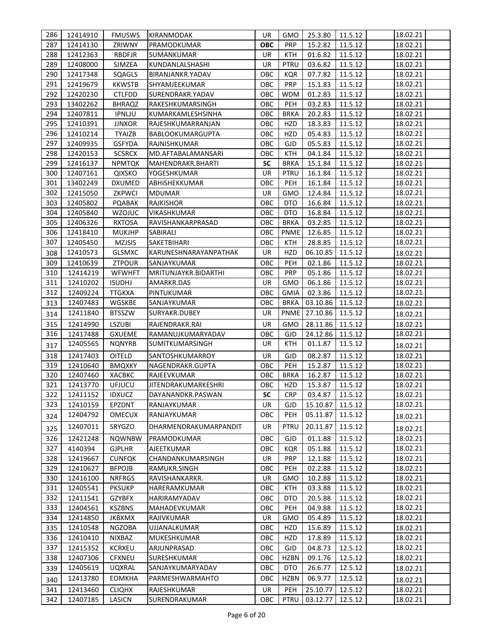| 286        | 12414910             | <b>FMUSWS</b>                  | KIRANMODAK                        | UR         | GMO                      | 25.3.80            | 11.5.12            | 18.02.21             |
|------------|----------------------|--------------------------------|-----------------------------------|------------|--------------------------|--------------------|--------------------|----------------------|
| 287        | 12414130             | ZRIWNY                         | PRAMODKUMAR                       | <b>OBC</b> | <b>PRP</b>               | 15.2.82            | 11.5.12            | 18.02.21             |
| 288        | 12412363             | <b>RBDFJR</b>                  | SUMANKUMAR                        | <b>UR</b>  | KTH                      | 01.6.82            | 11.5.12            | 18.02.21             |
| 289        | 12408000             | SJMZEA                         | KUNDANLALSHASHI                   | <b>UR</b>  | PTRU                     | 03.6.82            | 11.5.12            | 18.02.21             |
| 290        | 12417348             | SQAGLS                         | BIRANJANKR.YADAV                  | ОВС        | <b>KQR</b>               | 07.7.82            | 11.5.12            | 18.02.21             |
| 291        | 12419679             | <b>KKWSTB</b>                  | SHYAMJEEKUMAR                     | OBC        | <b>PRP</b>               | 15.1.83            | 11.5.12            | 18.02.21             |
| 292        | 12420230             | <b>CTLFDD</b>                  | SURENDRAKR.YADAV                  | OBC        | <b>WDM</b>               | 01.2.83            | 11.5.12            | 18.02.21             |
| 293        | 13402262             | <b>BHRAQZ</b>                  | RAKESHKUMARSINGH                  | OBC        | PEH                      | 03.2.83            | 11.5.12            | 18.02.21             |
| 294        | 12407811             | <b>IPNLJU</b>                  | KUMARKAMLESHSINHA                 | OBC        | <b>BRKA</b>              | 20.2.83            | 11.5.12            | 18.02.21             |
| 295        | 12410391             | <b>JJNXOR</b>                  | RAJESHKUMARRANJAN                 | OBC        | HZD                      | 18.3.83            | 11.5.12            | 18.02.21             |
| 296        | 12410214             | <b>TYAIZB</b>                  | <b>BABLOOKUMARGUPTA</b>           | OBC        | HZD                      | 05.4.83            | 11.5.12            | 18.02.21             |
| 297        | 12409935             | <b>GSFYDA</b>                  | RAJNISHKUMAR                      | ОВС        | GJD                      | 05.5.83            | 11.5.12            | 18.02.21             |
| 298        | 12420153             | <b>SCSRCX</b>                  | MD.AFTABALAMANSARI                | ОВС        | KTH                      | 04.1.84            | 11.5.12            | 18.02.21             |
| 299        | 12416137             | <b>NPMTQK</b>                  | MAHENDRAKR.BHARTI                 | <b>SC</b>  | <b>BRKA</b>              | 15.1.84            | 11.5.12            | 18.02.21             |
| 300        | 12407161             | <b>QIXSKO</b>                  | YOGESHKUMAR                       | <b>UR</b>  | <b>PTRU</b>              | 16.1.84            | 11.5.12            | 18.02.21             |
| 301        | 13402249             | <b>DXUMED</b>                  | ABHISHEKKUMAR                     | ОВС        | PEH                      | 16.1.84            | 11.5.12            | 18.02.21             |
| 302        | 12415050             | ZKPWCI                         | <b>MDUMAR</b>                     | <b>UR</b>  | <b>GMO</b>               | 12.4.84            | 11.5.12            | 18.02.21             |
| 303        | 12405802             | PQABAK                         | <b>RAJKISHOR</b>                  | ОВС        | <b>DTO</b>               | 16.6.84            | 11.5.12            | 18.02.21             |
| 304        | 12405840             | WZOJUC                         | VIKASHKUMAR                       | OBC        | <b>DTO</b>               | 16.8.84            | 11.5.12            | 18.02.21             |
| 305        | 12406326             | <b>RXTOSA</b>                  | RAVISHANKARPRASAD                 | OBC        | <b>BRKA</b>              | 03.2.85            | 11.5.12            | 18.02.21             |
| 306        | 12418410             | <b>MUKJHP</b>                  | SABIRALI                          | OBC        | <b>PNME</b>              | 12.6.85            | 11.5.12            | 18.02.21             |
| 307        | 12405450             | <b>MZJSIS</b>                  | SAKETBIHARI                       | ОВС        | <b>KTH</b>               | 28.8.85            | 11.5.12            | 18.02.21             |
| 308        | 12410573             | <b>GLSMXC</b>                  | KARUNESHNARAYANPATHAK             | UR         | HZD                      | 06.10.85           | 11.5.12            | 18.02.21             |
| 309        | 12410639             | <b>ZTPOUR</b>                  | SANJAYKUMAR                       | ОВС        | PEH                      | 02.1.86            | 11.5.12            | 18.02.21             |
| 310        | 12414219             | <b>WFWHFT</b>                  | MRITUNJAYKR.BIDARTHI              | ОВС        | <b>PRP</b>               | 05.1.86            | 11.5.12            | 18.02.21             |
| 311        | 12410202             | <b>ISUDHJ</b>                  | AMARKR.DAS                        | <b>UR</b>  | GMO                      | 06.1.86            | 11.5.12            | 18.02.21             |
| 312        | 12409224             | <b>TTGKXA</b>                  | PINTUKUMAR                        | OBC        | <b>GMIA</b>              | 02.3.86            | 11.5.12            | 18.02.21             |
| 313        | 12407483             | WGSKBE                         | SANJAYKUMAR                       | OBC        | <b>BRKA</b>              | 03.10.86           | 11.5.12            | 18.02.21             |
| 314        | 12411840             | <b>BTSSZW</b>                  | SURYAKR.DUBEY                     | <b>UR</b>  | <b>PNME</b>              | 27.10.86           | 11.5.12            | 18.02.21             |
| 315        | 12414990             | <b>LSZUBI</b>                  | RAJENDRAKR.RAI                    | UR         | GMO                      | 28.11.86           | 11.5.12            | 18.02.21             |
| 316        | 12417488             | <b>GXUEME</b>                  | RAMANUJKUMARYADAV                 | OBC        | <b>GJD</b>               | 24.12.86           | 11.5.12            | 18.02.21             |
| 317        | 12405565             | <b>NQNYRB</b>                  | SUMITKUMARSINGH                   | UR         | KTH                      | 01.1.87            | 11.5.12            | 18.02.21             |
| 318        | 12417403             | OITELD                         | SANTOSHKUMARROY                   | UR         | <b>GJD</b>               | 08.2.87            | 11.5.12            | 18.02.21             |
| 319        | 12410640             | <b>BMQXKY</b>                  | NAGENDRAKR.GUPTA                  | OBC        | PEH                      | 15.2.87            | 11.5.12            | 18.02.21             |
| 320        | 12407460             | XACBKC                         | RAJEEVKUMAR                       | OBC        | <b>BRKA</b>              | 16.2.87            | 11.5.12            | 18.02.21             |
| 321        | 12413770             | UFJUCU                         | JITENDRAKUMARKESHRI               | OBC        | <b>HZD</b>               | 15.3.87            | 11.5.12            | 18.02.21             |
| 322        | 12411152             | <b>IDXUCZ</b>                  | DAYANANDKR.PASWAN                 | SC         | <b>CRP</b>               | 03.4.87            | 11.5.12            | 18.02.21             |
| 323        | 12410159             | EPZDNT                         | RANJAYKUMAR                       | UR         | <b>GJD</b>               | 15.10.87           | 11.5.12            | 18.02.21             |
| 324        | 12404792             | <b>OMECUX</b>                  | RANJAYKUMAR                       | ОВС        | PEH                      | 05.11.87           | 11.5.12            | 18.02.21             |
|            | 12407011             | SRYGZO                         | DHARMENDRAKUMARPANDIT             | UR         | <b>PTRU</b>              | 20.11.87           | 11.5.12            |                      |
| 325        |                      |                                |                                   |            |                          |                    |                    | 18.02.21             |
| 326        | 12421248             | <b>NQWNBW</b>                  | PRAMODKUMAR                       | OBC        | <b>GJD</b>               | 01.1.88            | 11.5.12            | 18.02.21             |
| 327<br>328 | 4140394              | <b>GJPLHR</b>                  | <b>AJEETKUMAR</b>                 | ОВС<br>UR  | <b>KQR</b>               | 05.1.88            | 11.5.12            | 18.02.21             |
| 329        | 12419667<br>12410627 | <b>CUNFQK</b><br><b>BFPOJB</b> | CHANDANKUMARSINGH<br>RAMUKR.SINGH | OBC        | <b>PRP</b><br><b>PEH</b> | 12.1.88<br>02.2.88 | 11.5.12<br>11.5.12 | 18.02.21<br>18.02.21 |
| 330        | 12416100             | <b>NRFRGS</b>                  | RAVISHANKARKR.                    | UR         | <b>GMO</b>               | 10.2.88            | 11.5.12            | 18.02.21             |
| 331        | 12405541             | <b>PKSUKP</b>                  | HARERAMKUMAR                      | OBC        | KTH                      | 03.3.88            |                    | 18.02.21             |
| 332        | 12411541             |                                | HARIRAMYADAV                      | OBC        | <b>DTO</b>               | 20.5.88            | 11.5.12            |                      |
| 333        | 12404561             | <b>GZYBFX</b><br><b>KSZBNS</b> | MAHADEVKUMAR                      | OBC        | PEH                      | 04.9.88            | 11.5.12<br>11.5.12 | 18.02.21<br>18.02.21 |
| 334        | 12414850             | <b>JKBXMX</b>                  | RAJIVKUMAR                        | UR         | <b>GMO</b>               | 05.4.89            | 11.5.12            | 18.02.21             |
| 335        | 12410548             | <b>NGZOBA</b>                  | UJJANALKUMAR                      | OBC        | HZD                      | 15.6.89            | 11.5.12            | 18.02.21             |
| 336        | 12410410             | <b>NIXBAZ</b>                  | MUKESHKUMAR                       | ОВС        | HZD                      | 17.8.89            | 11.5.12            | 18.02.21             |
| 337        | 12415352             | <b>KCRXEU</b>                  | ARJUNPRASAD                       | ОВС        | GJD                      | 04.8.73            | 12.5.12            | 18.02.21             |
| 338        | 12407306             | <b>CFXNEU</b>                  | SURESHKUMAR                       | OBC        | <b>HZBN</b>              | 09.1.76            | 12.5.12            | 18.02.21             |
| 339        | 12405619             | <b>UQXRAL</b>                  | SANJAYKUMARYADAV                  | ОВС        | DTO                      | 26.6.77            | 12.5.12            |                      |
|            | 12413780             | <b>EOMKHA</b>                  | PARMESHWARMAHTO                   | OBC        | <b>HZBN</b>              | 06.9.77            | 12.5.12            | 18.02.21             |
| 340        |                      |                                |                                   |            |                          |                    |                    | 18.02.21             |
| 341        | 12413460             | <b>CLIQHX</b>                  | RAJESHKUMAR                       | UR         | PEH                      | 25.10.77           | 12.5.12            | 18.02.21             |
| 342        | 12407185             | LASICN                         | SURENDRAKUMAR                     | OBC        | <b>PTRU</b>              | 03.12.77           | 12.5.12            | 18.02.21             |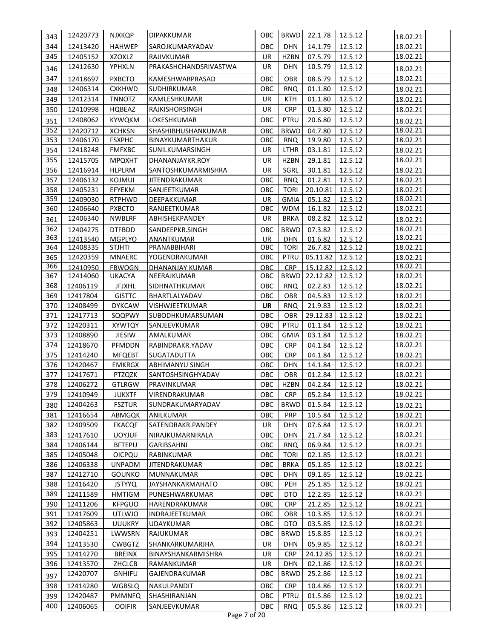| 343        | 12420773             | <b>NJXKQP</b>                  | DIPAKKUMAR                    | OBC              | <b>BRWD</b>               | 22.1.78            | 12.5.12            | 18.02.21             |
|------------|----------------------|--------------------------------|-------------------------------|------------------|---------------------------|--------------------|--------------------|----------------------|
| 344        | 12413420             | <b>HAHWEP</b>                  | SAROJKUMARYADAV               | <b>OBC</b>       | <b>DHN</b>                | 14.1.79            | 12.5.12            | 18.02.21             |
| 345        | 12405152             | XZOXLZ                         | RAJIVKUMAR                    | UR               | <b>HZBN</b>               | 07.5.79            | 12.5.12            | 18.02.21             |
| 346        | 12412630             | YPHXLN                         | PRAKASHCHANDSRIVASTWA         | <b>UR</b>        | <b>DHN</b>                | 10.5.79            | 12.5.12            | 18.02.21             |
| 347        | 12418697             | <b>PXBCTO</b>                  | KAMESHWARPRASAD               | OBC              | <b>OBR</b>                | 08.6.79            | 12.5.12            | 18.02.21             |
| 348        | 12406314             | <b>CXKHWD</b>                  | SUDHIRKUMAR                   | OBC              | <b>RNQ</b>                | 01.1.80            | 12.5.12            | 18.02.21             |
| 349        | 12412314             | <b>TNNOTZ</b>                  | KAMLESHKUMAR                  | <b>UR</b>        | <b>KTH</b>                | 01.1.80            | 12.5.12            | 18.02.21             |
|            | 12410998             | HQBEAZ                         | RAJKISHORSINGH                | <b>UR</b>        | <b>CRP</b>                | 01.3.80            | 12.5.12            | 18.02.21             |
| 350        | 12408062             |                                |                               | OBC              | PTRU                      |                    |                    |                      |
| 351        |                      | <b>KYWQKM</b>                  | LOKESHKUMAR                   |                  |                           | 20.6.80            | 12.5.12            | 18.02.21             |
| 352        | 12420712             | <b>XCHKSN</b>                  | SHASHIBHUSHANKUMAR            | ОВС              | <b>BRWD</b>               | 04.7.80            | 12.5.12            | 18.02.21             |
| 353        | 12406170             | <b>FSXPHC</b>                  | BINAYKUMARTHAKUR              | ОВС              | <b>RNQ</b>                | 19.9.80            | 12.5.12            | 18.02.21             |
| 354        | 12418248             | <b>FMFXBC</b>                  | SUNILKUMARSINGH               | <b>UR</b>        | LTHR                      | 03.1.81            | 12.5.12            | 18.02.21             |
| 355        | 12415705             | <b>MPQXHT</b>                  | DHANANJAYKR.ROY               | UR               | <b>HZBN</b>               | 29.1.81            | 12.5.12            | 18.02.21             |
| 356        | 12416914             | <b>HLPLRM</b>                  | SANTOSHKUMARMISHRA            | UR               | SGRL                      | 30.1.81            | 12.5.12            | 18.02.21             |
| 357        | 12406132             | KOJMUI                         | <b>JITENDRAKUMAR</b>          | OBC              | <b>RNQ</b>                | 01.2.81            | 12.5.12            | 18.02.21             |
| 358<br>359 | 12405231             | EFYEKM                         | SANJEETKUMAR                  | OBC              | <b>TORI</b>               | 20.10.81           | 12.5.12            | 18.02.21<br>18.02.21 |
| 360        | 12409030<br>12406640 | <b>RTPHWD</b><br><b>PXBCTO</b> | DEEPAKKUMAR<br>RANJEETKUMAR   | <b>UR</b><br>ОВС | <b>GMIA</b><br><b>WDM</b> | 05.1.82<br>16.1.82 | 12.5.12<br>12.5.12 | 18.02.21             |
|            | 12406340             | <b>NWBLRF</b>                  | ABHISHEKPANDEY                | UR               | <b>BRKA</b>               | 08.2.82            | 12.5.12            |                      |
| 361<br>362 |                      |                                |                               |                  |                           |                    |                    | 18.02.21             |
| 363        | 12404275<br>12413540 | <b>DTFBDD</b><br><b>MGPLYO</b> | SANDEEPKR.SINGH<br>ANANTKUMAR | OBC<br><b>UR</b> | <b>BRWD</b><br><b>DHN</b> | 07.3.82<br>01.6.82 | 12.5.12<br>12.5.12 | 18.02.21<br>18.02.21 |
| 364        | 12408335             | <b>STJHTI</b>                  | PRANABBIHARI                  | ОВС              | <b>TORI</b>               | 26.7.82            | 12.5.12            | 18.02.21             |
| 365        | 12420359             | <b>MNAERC</b>                  | YOGENDRAKUMAR                 | OBC              | PTRU                      | 05.11.82           | 12.5.12            | 18.02.21             |
| 366        | 12410950             | <b>FBWOGN</b>                  | <b>DHANANJAY KUMAR</b>        | <b>OBC</b>       | <b>CRP</b>                | 15.12.82           | 12.5.12            | 18.02.21             |
| 367        | 12414060             | UKACYA                         | NEERAJKUMAR                   | OBC              | <b>BRWD</b>               | 22.12.82           | 12.5.12            | 18.02.21             |
| 368        | 12406119             | <b>JFJXHL</b>                  | SIDHNATHKUMAR                 | OBC              | <b>RNQ</b>                | 02.2.83            | 12.5.12            | 18.02.21             |
| 369        | 12417804             | <b>GISTTC</b>                  | BHARTLALYADAV                 | OBC              | OBR                       | 04.5.83            | 12.5.12            | 18.02.21             |
| 370        | 12408499             | <b>DYKCAW</b>                  | VISHWJEETKUMAR                | UR               | <b>RNQ</b>                | 21.9.83            | 12.5.12            | 18.02.21             |
| 371        | 12417713             | SQQPWY                         | SUBODHKUMARSUMAN              | ОВС              | OBR                       | 29.12.83           | 12.5.12            | 18.02.21             |
| 372        | 12420311             | <b>XYWTQY</b>                  | SANJEEVKUMAR                  | OBC              | PTRU                      | 01.1.84            | 12.5.12            | 18.02.21             |
| 373        | 12408890             | <b>JIESIW</b>                  | AMALKUMAR                     | OBC              | <b>GMIA</b>               | 03.1.84            | 12.5.12            | 18.02.21             |
| 374        | 12418670             | PFMDDN                         | RABINDRAKR.YADAV              | OBC              | <b>CRP</b>                | 04.1.84            | 12.5.12            | 18.02.21             |
| 375        | 12414240             | <b>MFQEBT</b>                  | SUGATADUTTA                   | OBC              | <b>CRP</b>                | 04.1.84            | 12.5.12            | 18.02.21             |
| 376        | 12420467             | <b>EMKRGX</b>                  | <b>ABHIMANYU SINGH</b>        | OBC              | <b>DHN</b>                | 14.1.84            | 12.5.12            | 18.02.21             |
| 377        | 12417671             | PTZQZK                         | SANTOSHSINGHYADAV             | OBC              | <b>OBR</b>                | 01.2.84            | 12.5.12            | 18.02.21             |
| 378        | 12406272             | <b>GTLRGW</b>                  | PRAVINKUMAR                   | OBC              | <b>HZBN</b>               | 04.2.84            | 12.5.12            | 18.02.21             |
| 379        | 12410949             | <b>JUKXTF</b>                  | VIRENDRAKUMAR                 | OBC              | <b>CRP</b>                | 05.2.84            | 12.5.12            | 18.02.21             |
| 380        | 12404263             | <b>FSZTUR</b>                  | SUNDRAKUMARYADAV              | OBC              | <b>BRWD</b>               | 01.5.84            | 12.5.12            | 18.02.21             |
| 381        | 12416654             | ABMGQK                         | ANILKUMAR                     | OBC              | <b>PRP</b>                | 10.5.84            | 12.5.12            | 18.02.21             |
| 382        | 12409509             | <b>FKACQF</b>                  | SATENDRAKR.PANDEY             | UR               | <b>DHN</b>                | 07.6.84            | 12.5.12            | 18.02.21             |
| 383        | 12417610             | <b>UOYJUF</b>                  | NIRAJKUMARNIRALA              | OBC              | <b>DHN</b>                | 21.7.84            | 12.5.12            | 18.02.21             |
| 384        | 12406144             | <b>BFTEPU</b>                  | <b>GARIBSAHNI</b>             | OBC              | <b>RNQ</b>                | 06.9.84            | 12.5.12            | 18.02.21             |
| 385        | 12405048             | <b>OICPQU</b>                  | RABINKUMAR                    | OBC              | <b>TORI</b>               | 02.1.85            | 12.5.12            | 18.02.21             |
| 386        | 12406338             | <b>UNPADM</b>                  | <b>JITENDRAKUMAR</b>          | OBC              | <b>BRKA</b>               | 05.1.85            | 12.5.12            | 18.02.21             |
| 387        | 12412710             | <b>GOUNKO</b>                  | MUNNAKUMAR                    | OBC              | <b>DHN</b>                | 09.1.85            | 12.5.12            | 18.02.21             |
| 388        | 12416420             | <b>JSTYYQ</b>                  | <b>JAYSHANKARMAHATO</b>       | OBC              | PEH                       | 25.1.85            | 12.5.12            | 18.02.21             |
| 389        | 12411589             | <b>HMTIGM</b>                  | PUNESHWARKUMAR                | ОВС              | DTO                       | 12.2.85            | 12.5.12            | 18.02.21             |
| 390        | 12411206             | <b>KFPGUO</b>                  | HARENDRAKUMAR                 | ОВС              | <b>CRP</b>                | 21.2.85            | 12.5.12            | 18.02.21             |
| 391        | 12417609             | <b>UTLWJO</b>                  | INDRAJEETKUMAR                | ОВС              | OBR                       | 10.3.85            | 12.5.12            | 18.02.21             |
| 392        | 12405863             | <b>UUUKRY</b>                  | <b>UDAYKUMAR</b>              | OBC              | DTO                       | 03.5.85            | 12.5.12            | 18.02.21             |
| 393        | 12404251             | LWWSRN                         | RAJUKUMAR                     | ОВС              | <b>BRWD</b>               | 15.8.85            | 12.5.12            | 18.02.21             |
| 394        | 12413530             | <b>CWBGTZ</b>                  | SHANKARKUMARJHA               | UR               | <b>DHN</b>                | 05.9.85            | 12.5.12            | 18.02.21             |
| 395        | 12414270             | <b>BREINX</b>                  | BINAYSHANKARMISHRA            | <b>UR</b>        | <b>CRP</b>                | 24.12.85           | 12.5.12            | 18.02.21             |
| 396        | 12413570             | ZHCLCB                         | RAMANKUMAR                    | UR               | <b>DHN</b>                | 02.1.86            | 12.5.12            | 18.02.21             |
| 397        | 12420707             | <b>GNHIFU</b>                  | GAJENDRAKUMAR                 | OBC              | <b>BRWD</b>               | 25.2.86            | 12.5.12            | 18.02.21             |
| 398        | 12414280             | <b>WGBSLQ</b>                  | NAKULPANDIT                   | ОВС              | <b>CRP</b>                | 10.4.86            | 12.5.12            | 18.02.21             |
| 399        | 12420487             | <b>PMMNFQ</b>                  | SHASHIRANJAN                  | OBC              | PTRU                      | 01.5.86            | 12.5.12            | 18.02.21             |
| 400        | 12406065             | <b>OOIFIR</b>                  | SANJEEVKUMAR                  | OBC              | <b>RNQ</b>                | 05.5.86            | 12.5.12            | 18.02.21             |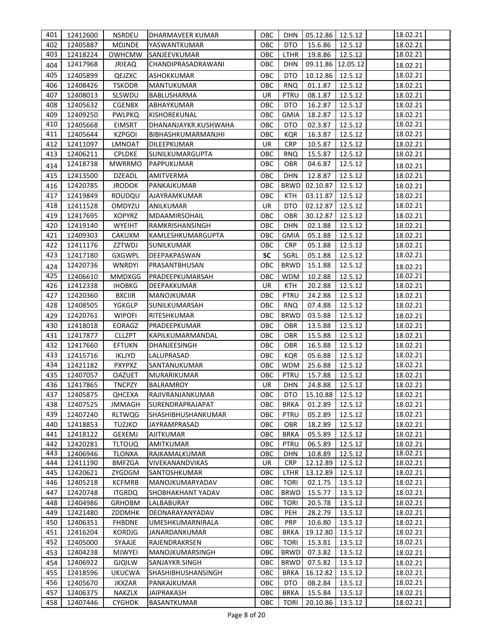| 401        | 12412600             | <b>NSRDEU</b>                  | DHARMAVEER KUMAR                           | OBC        | DHN                      | 05.12.86   12.5.12  |                    | 18.02.21             |
|------------|----------------------|--------------------------------|--------------------------------------------|------------|--------------------------|---------------------|--------------------|----------------------|
| 402        | 12405887             | <b>MDJNDE</b>                  | YASWANTKUMAR                               | OBC        | <b>DTO</b>               | 15.6.86             | 12.5.12            | 18.02.21             |
| 403        | 12418224             | <b>OWHCMW</b>                  | SANJEEVKUMAR                               | OBC        | <b>LTHR</b>              | 19.8.86             | 12.5.12            | 18.02.21             |
| 404        | 12417968             | <b>JRIEAQ</b>                  | CHANDIPRASADRAWANI                         | OBC        | <b>DHN</b>               | 09.11.86 12.05.12   |                    | 18.02.21             |
| 405        | 12405899             | QEJZXC                         | <b>ASHOKKUMAR</b>                          | OBC        | <b>DTO</b>               | 10.12.86            | 12.5.12            | 18.02.21             |
| 406        | 12408426             | <b>TSKODR</b>                  | <b>MANTUKUMAR</b>                          | OBC        | <b>RNQ</b>               | 01.1.87             | 12.5.12            | 18.02.21             |
| 407        | 12408013             | SLSWDU                         | BABLUSHARMA                                | UR         | PTRU                     | 08.1.87             | 12.5.12            | 18.02.21             |
| 408        | 12405632             | <b>CGENBX</b>                  |                                            | OBC        | <b>DTO</b>               | 16.2.87             | 12.5.12            | 18.02.21             |
| 409        |                      |                                | ABHAYKUMAR                                 | OBC        | <b>GMIA</b>              |                     |                    |                      |
| 410        | 12409250             | <b>PWLPKQ</b>                  | KISHOREKUNAL                               |            |                          | 18.2.87             | 12.5.12            | 18.02.21<br>18.02.21 |
| 411        | 12405668<br>12405644 | <b>EIMSRT</b><br><b>KZPGOI</b> | DHANANJAYKR.KUSHWAHA<br>BIBHASHKUMARMANJHI | OBC<br>OBC | DTO<br><b>KQR</b>        | 02.3.87             | 12.5.12<br>12.5.12 | 18.02.21             |
| 412        |                      |                                |                                            | <b>UR</b>  | <b>CRP</b>               | 16.3.87             |                    | 18.02.21             |
| 413        | 12411097             | <b>LMNOAT</b>                  | DILEEPKUMAR                                | OBC        | <b>RNQ</b>               | 10.5.87             | 12.5.12            |                      |
|            | 12406211             | <b>CPLDKE</b>                  | SUNILKUMARGUPTA                            |            |                          | 15.5.87             | 12.5.12            | 18.02.21             |
| 414        | 12418738             | <b>MWRRMO</b>                  | PAPPUKUMAR                                 | OBC        | OBR                      | 04.6.87             | 12.5.12            | 18.02.21             |
| 415        | 12413500             | <b>DZEADL</b>                  | AMITVERMA                                  | OBC        | <b>DHN</b>               | 12.8.87             | 12.5.12            | 18.02.21             |
| 416        | 12420785             | <b>JRODOK</b>                  | PANKAJKUMAR                                | OBC        | <b>BRWD</b>              | 02.10.87            | 12.5.12            | 18.02.21             |
| 417        | 12419849             | ROUDQU                         | AJAYRAMKUMAR                               | OBC        | <b>KTH</b>               | 03.11.87            | 12.5.12            | 18.02.21             |
| 418        | 12411528             | OMDYZU                         | ANILKUMAR                                  | UR         | <b>DTO</b>               | 02.12.87            | 12.5.12            | 18.02.21             |
| 419        | 12417695             | <b>XOPYRZ</b>                  | MDAAMIRSOHAIL                              | OBC        | <b>OBR</b>               | 30.12.87            | 12.5.12            | 18.02.21             |
| 420        | 12419140             | <b>WYEIHT</b>                  | RAMKRISHANSINGH                            | OBC        | <b>DHN</b>               | 02.1.88             | 12.5.12            | 18.02.21             |
| 421        | 12409303             | CAKUXM                         | KAMLESHKUMARGUPTA                          | OBC        | <b>GMIA</b>              | 05.1.88             | 12.5.12            | 18.02.21             |
| 422        | 12411176             | ZZTWDJ                         | SUNILKUMAR                                 | OBC        | <b>CRP</b>               | 05.1.88             | 12.5.12            | 18.02.21             |
| 423        | 12417180             | <b>GXGWPL</b>                  | DEEPAKPASWAN                               | <b>SC</b>  | SGRL                     | 05.1.88             | 12.5.12            | 18.02.21             |
| 424        | 12420736             | <b>WNRDYI</b>                  | PRASANTBHUSAN                              | OBC        | <b>BRWD</b>              | 15.1.88             | 12.5.12            | 18.02.21             |
| 425        | 12406610             | <b>MMDXGG</b>                  | PRADEEPKUMARSAH                            | OBC        | <b>WDM</b>               | 10.2.88             | 12.5.12            | 18.02.21             |
| 426        | 12412338             | <b>IHOBKG</b>                  | DEEPAKKUMAR                                | UR         | <b>KTH</b>               | 20.2.88             | 12.5.12            | 18.02.21             |
| 427        | 12420360             | <b>BXCIIR</b>                  | MANOJKUMAR                                 | OBC        | <b>PTRU</b>              | 24.2.88             | 12.5.12            | 18.02.21             |
| 428        | 12408505             | YGKGLP                         | SUNILKUMARSAH                              | OBC        | <b>RNQ</b>               | 07.4.88             | 12.5.12            | 18.02.21             |
| 429        | 12420761             | <b>WIPOFI</b>                  | RITESHKUMAR                                | OBC        | <b>BRWD</b>              | 03.5.88             | 12.5.12            | 18.02.21             |
| 430        | 12418018             | EORAGZ                         | PRADEEPKUMAR                               | OBC        | OBR                      | 13.5.88             | 12.5.12            | 18.02.21             |
| 431        | 12417877             | <b>CLLZPT</b>                  | KAPILKUMARMANDAL                           | OBC        | OBR                      | 15.5.88             | 12.5.12            | 18.02.21             |
| 432        | 12417660             | <b>EFTUKN</b>                  | DHANJEESINGH                               | OBC        | <b>OBR</b>               | 16.5.88             | 12.5.12            | 18.02.21             |
| 433        | 12415716             | <b>IKLJYD</b>                  | LALUPRASAD                                 | OBC        | <b>KQR</b>               | 05.6.88             | 12.5.12            | 18.02.21             |
| 434        | 12421182             | <b>PXYPXZ</b>                  | SANTANUKUMAR                               | OBC        | <b>WDM</b>               | 25.6.88             | 12.5.12            | 18.02.21             |
| 435        | 12407057             | <b>OAZUET</b>                  | MURARIKUMAR                                | OBC        | PTRU                     | 15.7.88             | 12.5.12            | 18.02.21             |
| 436        | 12417865             | <b>TNCPZY</b>                  | <b>BALRAMROY</b>                           | <b>UR</b>  | <b>DHN</b>               | 24.8.88             | 12.5.12            | 18.02.21             |
| 437        | 12405875             | <b>QHCEXA</b>                  | RAJIVRANJANKUMAR                           | OBC        | <b>DTO</b>               | 15.10.88            | 12.5.12            | 18.02.21             |
| 438        | 12407525             | <b>JMMAGH</b>                  | SURENDRAPRAJAPAT                           | OBC        | <b>BRKA</b>              | 01.2.89             | 12.5.12            | 18.02.21             |
| 439        |                      |                                |                                            |            | <b>PTRU</b>              |                     |                    | 18.02.21             |
| 440        | 12407240<br>12418853 | <b>RLTWQG</b><br>TUZJKO        | SHASHIBHUSHANKUMAR<br>JAYRAMPRASAD         | OBC<br>OBC | <b>OBR</b>               | 05.2.89<br>18.2.89  | 12.5.12<br>12.5.12 | 18.02.21             |
|            | 12418122             |                                |                                            | OBC        | <b>BRKA</b>              |                     |                    | 18.02.21             |
| 441        |                      | GEXEMJ                         | <b>AJITKUMAR</b>                           |            |                          | 05.5.89             | 12.5.12            |                      |
| 442<br>443 | 12420281             | <b>TLTOUQ</b>                  | <b>AMITKUMAR</b>                           | OBC        | PTRU                     | 06.5.89             | 12.5.12            | 18.02.21<br>18.02.21 |
| 444        | 12406946             | <b>TLONXA</b><br><b>BMFZGA</b> | RAJKAMALKUMAR                              | OBC<br>UR  | <b>DHN</b><br><b>CRP</b> | 10.8.89             | 12.5.12            | 18.02.21             |
| 445        | 12411190<br>12420621 |                                | VIVEKANANDVIKAS<br>SANTOSHKUMAR            | OBC        | LTHR                     | 12.12.89            | 12.5.12            | 18.02.21             |
| 446        | 12405218             | ZYGDGM<br><b>KCFMRB</b>        | MANOJKUMARYADAV                            | OBC        | <b>TORI</b>              | 13.12.89<br>02.1.75 | 12.5.12<br>13.5.12 | 18.02.21             |
| 447        | 12420748             | <b>ITGRDQ</b>                  | <b>SHOBHAKHANT YADAV</b>                   | OBC        | <b>BRWD</b>              | 15.5.77             | 13.5.12            |                      |
|            |                      |                                |                                            |            |                          |                     |                    | 18.02.21             |
| 448        | 12404986             | <b>GRHOBM</b>                  | LALBABURAY                                 | OBC        | <b>TORI</b>              | 20.5.78             | 13.5.12            | 18.02.21             |
| 449        | 12421480             | ZDDMHK                         | DEONARAYANYADAV                            | OBC        | <b>PEH</b>               | 28.2.79             | 13.5.12            | 18.02.21             |
| 450        | 12406351             | <b>FHBDNE</b>                  | UMESHKUMARNIRALA                           | OBC        | <b>PRP</b>               | 10.6.80             | 13.5.12            | 18.02.21             |
| 451        | 12416204             | <b>KORDJG</b>                  | JANARDANKUMAR                              | OBC        | <b>BRKA</b>              | 19.12.80            | 13.5.12            | 18.02.21             |
| 452        | 12405000             | SYAAJE                         | RAJENDRAKRSEN                              | OBC        | <b>TORI</b>              | 15.3.81             | 13.5.12            | 18.02.21             |
| 453        | 12404238             | <b>MJWYEI</b>                  | MANOJKUMARSINGH                            | OBC        | <b>BRWD</b>              | 07.3.82             | 13.5.12            | 18.02.21             |
| 454        | 12406922             | <b>GJQILW</b>                  | SANJAYKR.SINGH                             | OBC        | <b>BRWD</b>              | 07.5.82             | 13.5.12            | 18.02.21             |
| 455        | 12418596             | <b>UKUCWA</b>                  | <b>SHASHIBHUSHANSINGH</b>                  | OBC        | <b>BRKA</b>              | 16.12.82            | 13.5.12            | 18.02.21             |
| 456        | 12405670             | <b>JKXZAR</b>                  | PANKAJKUMAR                                | OBC        | <b>DTO</b>               | 08.2.84             | 13.5.12            | 18.02.21             |
| 457        | 12406375             | NAKZLX                         | <b>JAIPRAKASH</b>                          | OBC        | <b>BRKA</b>              | 15.5.84             | 13.5.12            | 18.02.21             |
| 458        | 12407446             | <b>CYGHDK</b>                  | BASANTKUMAR                                | OBC        | <b>TORI</b>              | 20.10.86            | 13.5.12            | 18.02.21             |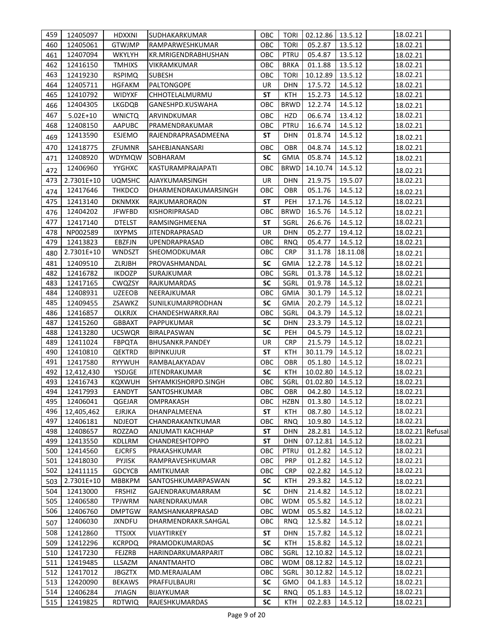| 459        | 12405097             | HDXXNI                         | SUDHAKARKUMAR                   | ОВС        | <b>TORI</b>        | 02.12.86   13.5.12  |                    | 18.02.21             |  |
|------------|----------------------|--------------------------------|---------------------------------|------------|--------------------|---------------------|--------------------|----------------------|--|
| 460        | 12405061             | <b>GTWJMP</b>                  | RAMPARWESHKUMAR                 | OBC        | <b>TORI</b>        | 05.2.87             | 13.5.12            | 18.02.21             |  |
| 461        | 12407094             | <b>WKYLYH</b>                  | <b>KR.MRIGENDRABHUSHAN</b>      | OBC        | PTRU               | 05.4.87             | 13.5.12            | 18.02.21             |  |
| 462        | 12416150             | <b>TMHIXS</b>                  | VIKRAMKUMAR                     | OBC        | <b>BRKA</b>        | 01.1.88             | 13.5.12            | 18.02.21             |  |
| 463        | 12419230             | <b>RSPIMQ</b>                  | <b>SUBESH</b>                   | OBC        | <b>TORI</b>        | 10.12.89            | 13.5.12            | 18.02.21             |  |
| 464        | 12405711             | <b>HGFAKM</b>                  | PALTONGOPE                      | <b>UR</b>  | <b>DHN</b>         | 17.5.72             | 14.5.12            | 18.02.21             |  |
| 465        | 12410792             | <b>WIDYXF</b>                  | CHHOTELALMURMU                  | <b>ST</b>  | <b>KTH</b>         | 15.2.73             | 14.5.12            | 18.02.21             |  |
| 466        | 12404305             | <b>LKGDQB</b>                  | GANESHPD.KUSWAHA                | OBC        | <b>BRWD</b>        | 12.2.74             | 14.5.12            | 18.02.21             |  |
| 467        | $5.02E+10$           | <b>WNICTQ</b>                  | ARVINDKUMAR                     | OBC        | HZD                | 06.6.74             | 13.4.12            | 18.02.21             |  |
| 468        | 12408150             | AAPUBC                         | PRAMENDRAKUMAR                  | OBC        | PTRU               | 16.6.74             | 14.5.12            | 18.02.21             |  |
| 469        | 12413590             | ESJEMO                         | RAJENDRAPRASADMEENA             | <b>ST</b>  | DHN                | 01.8.74             | 14.5.12            | 18.02.21             |  |
| 470        | 12418775             | ZFUMNR                         | SAHEBJANANSARI                  | ОВС        | <b>OBR</b>         | 04.8.74             | 14.5.12            | 18.02.21             |  |
| 471        | 12408920             | WDYMQW                         | SOBHARAM                        | <b>SC</b>  | <b>GMIA</b>        | 05.8.74             | 14.5.12            | 18.02.21             |  |
| 472        | 12406960             | YYGHXC                         | KASTURAMPRAJAPATI               | OBC        | <b>BRWD</b>        | 14.10.74            | 14.5.12            | 18.02.21             |  |
| 473        | 2.7301E+10           | <b>UQMSHC</b>                  | AJAYKUMARSINGH                  | <b>UR</b>  | <b>DHN</b>         | 21.9.75             | 19.5.07            | 18.02.21             |  |
| 474        | 12417646             | <b>THKDCO</b>                  | DHARMENDRAKUMARSINGH            | OBC        | OBR                | 05.1.76             | 14.5.12            | 18.02.21             |  |
| 475        | 12413140             | <b>DKNMXK</b>                  | RAJKUMARORAON                   | <b>ST</b>  | PEH                | 17.1.76             | 14.5.12            | 18.02.21             |  |
| 476        | 12404202             | <b>JFWFBD</b>                  | <b>KISHORIPRASAD</b>            | ОВС        | <b>BRWD</b>        | 16.5.76             | 14.5.12            | 18.02.21             |  |
| 477        | 12417140             | <b>DTELST</b>                  | RAMSINGHMEENA                   | <b>ST</b>  | SGRL               | 26.6.76             | 14.5.12            | 18.02.21             |  |
| 478        | NP002589             | <b>IXYPMS</b>                  | <b>JITENDRAPRASAD</b>           | <b>UR</b>  | <b>DHN</b>         | 05.2.77             | 19.4.12            | 18.02.21             |  |
| 479        | 12413823             | EBZFJN                         | UPENDRAPRASAD                   | OBC        | <b>RNQ</b>         | 05.4.77             | 14.5.12            | 18.02.21             |  |
| 480        | 2.7301E+10           | WNDSZT                         | SHEOMODKUMAR                    | OBC        | <b>CRP</b>         | 31.1.78             | 18.11.08           | 18.02.21             |  |
| 481        | 12409510             | ZLRJBH                         | PROVASHMANDAL                   | <b>SC</b>  | <b>GMIA</b>        | 12.2.78             | 14.5.12            | 18.02.21             |  |
| 482        | 12416782             | <b>IKDOZP</b>                  | SURAJKUMAR                      | OBC        | SGRL               | 01.3.78             | 14.5.12            | 18.02.21             |  |
| 483        | 12417165             | CWQZSY                         | RAJKUMARDAS                     | <b>SC</b>  | SGRL               | 01.9.78             | 14.5.12            | 18.02.21             |  |
| 484        | 12408931             | <b>UZEEOB</b>                  | NEERAJKUMAR                     | OBC        | <b>GMIA</b>        | 30.1.79             | 14.5.12            | 18.02.21             |  |
| 485        | 12409455             | ZSAWKZ                         | SUNILKUMARPRODHAN               | SC         | <b>GMIA</b>        | 20.2.79             | 14.5.12            | 18.02.21             |  |
| 486        | 12416857             | <b>OLKRJX</b>                  | CHANDESHWARKR.RAI               | OBC        | SGRL               | 04.3.79             | 14.5.12            | 18.02.21             |  |
| 487        | 12415260             | <b>GBBAXT</b>                  | PAPPUKUMAR                      | <b>SC</b>  | <b>DHN</b>         | 23.3.79             | 14.5.12            | 18.02.21             |  |
| 488        | 12413280             | <b>UCSWQR</b>                  | <b>BIRALPASWAN</b>              | <b>SC</b>  | <b>PEH</b>         | 04.5.79             | 14.5.12            | 18.02.21             |  |
| 489        | 12411024             | <b>FBPQTA</b>                  | <b>BHUSANKR.PANDEY</b>          | <b>UR</b>  | <b>CRP</b>         | 21.5.79             | 14.5.12            | 18.02.21             |  |
| 490        | 12410810             | <b>QEKTRD</b>                  | <b>BIPINKUJUR</b>               | <b>ST</b>  | KTH                | 30.11.79            | 14.5.12            | 18.02.21             |  |
| 491        | 12417580             | <b>RYYWUH</b>                  | RAMBALAKYADAV                   | OBC        | <b>OBR</b>         | 05.1.80             | 14.5.12            | 18.02.21             |  |
| 492        | 12,412,430           | YSDJGE                         | <b>JITENDRAKUMAR</b>            | <b>SC</b>  | <b>KTH</b>         | 10.02.80            | 14.5.12            | 18.02.21             |  |
| 493        | 12416743             | KQXWUH                         | SHYAMKISHORPD.SINGH             | OBC        | SGRL               | 01.02.80            | 14.5.12            | 18.02.21             |  |
| 494        | 12417993             | <b>EANDYT</b>                  | SANTOSHKUMAR                    | OBC        |                    | OBR 04.2.80 14.5.12 |                    | 18.02.21             |  |
| 495        | 12406041             | QGEJAR                         | <b>OMPRAKASH</b>                | ОВС        | <b>HZBN</b>        | 01.3.80             | 14.5.12            | 18.02.21             |  |
| 496        | 12,405,462           | <b>EJRJKA</b>                  | DHANPALMEENA                    | <b>ST</b>  | KTH                | 08.7.80             | 14.5.12            | 18.02.21             |  |
| 497        | 12406181             | NDJEOT                         | CHANDRAKANTKUMAR                | ОВС        | <b>RNQ</b>         | 10.9.80             | 14.5.12            | 18.02.21             |  |
| 498        | 12408657             | <b>ROZZAO</b>                  | ANJUMATI KACHHAP                | ST         | DHN                | 28.2.81             | 14.5.12            | 18.02.21 Refusal     |  |
| 499        | 12413550             | KDLLRM                         | CHANDRESHTOPPO                  | SΤ         | DHN                | 07.12.81            | 14.5.12            | 18.02.21             |  |
| 500<br>501 | 12414560<br>12418030 | <b>EJCRFS</b><br><b>PYJISK</b> | PRAKASHKUMAR<br>RAMPRAVESHKUMAR | OBC<br>ОВС | PTRU<br><b>PRP</b> | 01.2.82<br>01.2.82  | 14.5.12<br>14.5.12 | 18.02.21<br>18.02.21 |  |
| 502        | 12411115             | <b>GDCYCB</b>                  | AMITKUMAR                       | ОВС        | <b>CRP</b>         | 02.2.82             | 14.5.12            | 18.02.21             |  |
|            | 2.7301E+10           | <b>MBBKPM</b>                  | SANTOSHKUMARPASWAN              | SC         | KTH                | 29.3.82             | 14.5.12            | 18.02.21             |  |
| 503<br>504 | 12413000             | <b>FRSHIZ</b>                  | GAJENDRAKUMARRAM                | SC         | DHN                | 21.4.82             | 14.5.12            | 18.02.21             |  |
| 505        | 12406580             | <b>TPJWRM</b>                  | NARENDRAKUMAR                   | OBC        | <b>WDM</b>         | 05.5.82             | 14.5.12            | 18.02.21             |  |
| 506        | 12406760             | <b>DMPTGW</b>                  | RAMSHANKARPRASAD                | OBC        | <b>WDM</b>         | 05.5.82             | 14.5.12            | 18.02.21             |  |
|            | 12406030             | <b>JXNDFU</b>                  | DHARMENDRAKR.SAHGAL             | ОВС        | <b>RNQ</b>         | 12.5.82             | 14.5.12            |                      |  |
| 507<br>508 | 12412860             | <b>TTSIXX</b>                  | VIJAYTIRKEY                     | SΤ         | DHN                | 15.7.82             | 14.5.12            | 18.02.21<br>18.02.21 |  |
| 509        | 12412296             | <b>KCRPDQ</b>                  | PRAMODKUMARDAS                  | <b>SC</b>  | <b>KTH</b>         | 15.8.82             | 14.5.12            | 18.02.21             |  |
| 510        | 12417230             | FEJZRB                         | HARINDARKUMARPARIT              | OBC        | SGRL               | 12.10.82            | 14.5.12            | 18.02.21             |  |
| 511        | 12419485             | LLSAZM                         | ANANTMAHTO                      | ОВС        | WDM                | 08.12.82            | 14.5.12            | 18.02.21             |  |
| 512        | 12417012             | <b>JBGZTX</b>                  | MD.MERAJALAM                    | ОВС        | SGRL               | 30.12.82            | 14.5.12            | 18.02.21             |  |
| 513        | 12420090             | <b>BEKAWS</b>                  | PRAFFULBAURI                    | SC         | <b>GMO</b>         | 04.1.83             | 14.5.12            | 18.02.21             |  |
| 514        | 12406284             | JYIAGN                         | <b>BIJAYKUMAR</b>               | <b>SC</b>  | <b>RNQ</b>         | 05.1.83             | 14.5.12            | 18.02.21             |  |
| 515        | 12419825             | <b>RDTWIQ</b>                  | RAJESHKUMARDAS                  | SC         | <b>KTH</b>         | 02.2.83             | 14.5.12            | 18.02.21             |  |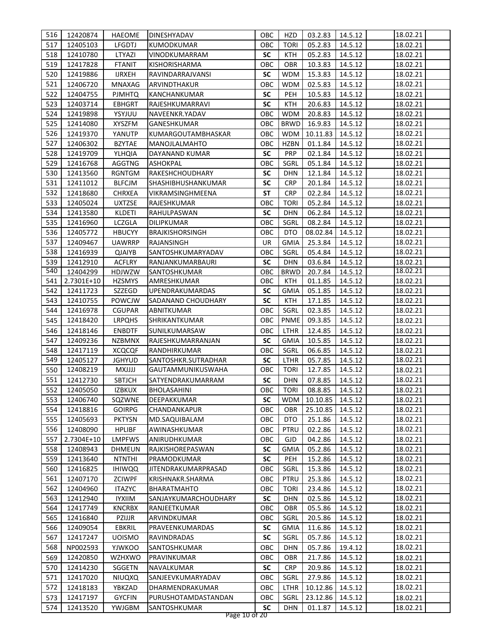| 516        | 12420874               | HAEOME                         | DINESHYADAV                 | ОВС        | HZD                | 03.2.83            | 14.5.12            | 18.02.21             |
|------------|------------------------|--------------------------------|-----------------------------|------------|--------------------|--------------------|--------------------|----------------------|
| 517        | 12405103               | LFGDTJ                         | <b>KUMODKUMAR</b>           | OBC        | <b>TORI</b>        | 05.2.83            | 14.5.12            | 18.02.21             |
| 518        | 12410780               | LTYAZI                         | VINODKUMARRAM               | <b>SC</b>  | <b>KTH</b>         | 05.2.83            | 14.5.12            | 18.02.21             |
| 519        | 12417828               | <b>FTANIT</b>                  | <b>KISHORISHARMA</b>        | ОВС        | <b>OBR</b>         | 10.3.83            | 14.5.12            | 18.02.21             |
| 520        | 12419886               | <b>IJRXEH</b>                  | RAVINDARRAJVANSI            | <b>SC</b>  | <b>WDM</b>         | 15.3.83            | 14.5.12            | 18.02.21             |
| 521        | 12406720               | MNAXAG                         | ARVINDTHAKUR                | OBC        | <b>WDM</b>         | 02.5.83            | 14.5.12            | 18.02.21             |
| 522        | 12404755               | <b>PJMHTQ</b>                  | KANCHANKUMAR                | <b>SC</b>  | PEH                | 10.5.83            | 14.5.12            | 18.02.21             |
| 523        | 12403714               | EBHGRT                         | RAJESHKUMARRAVI             | <b>SC</b>  | KTH                | 20.6.83            | 14.5.12            | 18.02.21             |
| 524        | 12419898               | YSYJUU                         | NAVEENKR.YADAV              | ОВС        | <b>WDM</b>         | 20.8.83            | 14.5.12            | 18.02.21             |
| 525        | 12414080               | <b>XYSZFM</b>                  | GANESHKUMAR                 | ОВС        | <b>BRWD</b>        | 16.9.83            | 14.5.12            | 18.02.21             |
| 526        | 12419370               | YANUTP                         | KUMARGOUTAMBHASKAR          | OBC        | <b>WDM</b>         | 10.11.83           | 14.5.12            | 18.02.21             |
| 527        | 12406302               | <b>BZYTAE</b>                  | MANOJLALMAHTO               | ОВС        | <b>HZBN</b>        | 01.1.84            | 14.5.12            | 18.02.21             |
| 528        |                        |                                | DAYANAND KUMAR              | <b>SC</b>  | <b>PRP</b>         | 02.1.84            | 14.5.12            | 18.02.21             |
| 529        | 12419709<br>12416768   | YLHQIA<br><b>AGGTNG</b>        | <b>ASHOKPAL</b>             | OBC        | SGRL               | 05.1.84            | 14.5.12            | 18.02.21             |
|            |                        |                                |                             | <b>SC</b>  | <b>DHN</b>         |                    |                    |                      |
| 530<br>531 | 12413560               | <b>RGNTGM</b>                  | RAKESHCHOUDHARY             | <b>SC</b>  | <b>CRP</b>         | 12.1.84            | 14.5.12            | 18.02.21<br>18.02.21 |
|            | 12411012               | <b>BLFCJM</b>                  | SHASHIBHUSHANKUMAR          | <b>ST</b>  | <b>CRP</b>         | 20.1.84            | 14.5.12            |                      |
| 532        | 12418680               | <b>CHRXEA</b>                  | VIKRAMSINGHMEENA            |            |                    | 02.2.84            | 14.5.12            | 18.02.21             |
| 533        | 12405024               | <b>UXTZSE</b>                  | RAJESHKUMAR                 | овс        | <b>TORI</b>        | 05.2.84            | 14.5.12            | 18.02.21             |
| 534        | 12413580               | KLDETI                         | RAHULPASWAN                 | <b>SC</b>  | <b>DHN</b>         | 06.2.84            | 14.5.12            | 18.02.21             |
| 535        | 12416960               | <b>LCZGLA</b>                  | DILIPKUMAR                  | овс        | SGRL               | 08.2.84            | 14.5.12            | 18.02.21             |
| 536        | 12405772               | <b>HBUCYY</b>                  | <b>BRAJKISHORSINGH</b>      | овс        | DTO                | 08.02.84           | 14.5.12            | 18.02.21             |
| 537        | 12409467               | UAWRRP                         | RAJANSINGH                  | UR         | <b>GMIA</b>        | 25.3.84            | 14.5.12            | 18.02.21             |
| 538        | 12416939               | <b>QJAIYB</b>                  | SANTOSHKUMARYADAV           | овс        | SGRL               | 05.4.84            | 14.5.12            | 18.02.21             |
| 539<br>540 | 12412910               | <b>ACFLRY</b>                  | RANJANKUMARBAURI            | <b>SC</b>  | <b>DHN</b>         | 03.6.84            | 14.5.12            | 18.02.21<br>18.02.21 |
| 541        | 12404299<br>2.7301E+10 | <b>HDJWZW</b><br><b>HZSMYS</b> | SANTOSHKUMAR<br>AMRESHKUMAR | овс<br>ОВС | <b>BRWD</b><br>KTH | 20.7.84<br>01.1.85 | 14.5.12<br>14.5.12 | 18.02.21             |
| 542        | 12411723               | SZZEGD                         | UPENDRAKUMARDAS             | SC         | GMIA               | 05.1.85            | 14.5.12            | 18.02.21             |
| 543        | 12410755               | POWCJW                         | SADANAND CHOUDHARY          | <b>SC</b>  | KTH                | 17.1.85            | 14.5.12            | 18.02.21             |
| 544        | 12416978               | <b>CGUPAR</b>                  | ABNITKUMAR                  | овс        | SGRL               | 02.3.85            | 14.5.12            | 18.02.21             |
| 545        | 12418420               | <b>LRPQHS</b>                  | SHRIKANTKUMAR               | ОВС        | PNME               | 09.3.85            | 14.5.12            | 18.02.21             |
| 546        | 12418146               | <b>ENBDTF</b>                  | SUNILKUMARSAW               | ОВС        | <b>LTHR</b>        | 12.4.85            | 14.5.12            | 18.02.21             |
| 547        | 12409236               | <b>NZBMNX</b>                  | RAJESHKUMARRANJAN           | <b>SC</b>  | <b>GMIA</b>        | 10.5.85            | 14.5.12            | 18.02.21             |
| 548        | 12417119               | <b>XCQCQF</b>                  | RANDHIRKUMAR                | OBC        | SGRL               | 06.6.85            | 14.5.12            | 18.02.21             |
| 549        | 12405127               | <b>JGHYUD</b>                  | SANTOSHKR.SUTRADHAR         | <b>SC</b>  | LTHR               | 05.7.85            | 14.5.12            | 18.02.21             |
| 550        | 12408219               | LLLLXM                         | GAUTAMMUNIKUSWAHA           | ОВС        | <b>TORI</b>        | 12.7.85            | 14.5.12            | 18.02.21             |
| 551        | 12412730               | SBTJCH                         | SATYENDRAKUMARRAM           | <b>SC</b>  | <b>DHN</b>         | 07.8.85            | 14.5.12            | 18.02.21             |
| 552        | 12405050               | <b>IZBKUX</b>                  | BHOLASAHINI                 | OBC        | TORI               | 08.8.85 14.5.12    |                    | 18.02.21             |
| 553        | 12406740               | SQZWNE                         | DEEPAKKUMAR                 | <b>SC</b>  | <b>WDM</b>         | 10.10.85           | 14.5.12            | 18.02.21             |
| 554        | 12418816               | <b>GOIRPG</b>                  | CHANDANKAPUR                | ОВС        | <b>OBR</b>         | 25.10.85           | 14.5.12            | 18.02.21             |
| 555        | 12405693               | <b>PKTYSN</b>                  | MD.SAQUIBALAM               | ОВС        | DTO                | 25.1.86            | 14.5.12            | 18.02.21             |
| 556        | 12408090               | <b>HPLIBF</b>                  | AWINASHKUMAR                | ОВС        | PTRU               | 02.2.86            | 14.5.12            | 18.02.21             |
| 557        | 2.7304E+10             | <b>LMPFWS</b>                  | ANIRUDHKUMAR                | OBC        | <b>GJD</b>         | 04.2.86            | 14.5.12            | 18.02.21             |
| 558        | 12408943               | <b>DHMEUN</b>                  | RAJKISHOREPASWAN            | SC         | <b>GMIA</b>        | 05.2.86            | 14.5.12            | 18.02.21             |
| 559        | 12413640               | <b>NTNTHI</b>                  | PRAMODKUMAR                 | <b>SC</b>  | PEH                | 15.2.86            | 14.5.12            | 18.02.21             |
| 560        | 12416825               | <b>IHIWQQ</b>                  | JITENDRAKUMARPRASAD         | ОВС        | SGRL               | 15.3.86            | 14.5.12            | 18.02.21             |
| 561        | 12407170               | <b>ZCIWPF</b>                  | KRISHNAKR.SHARMA            | OBC        | <b>PTRU</b>        | 25.3.86            | 14.5.12            | 18.02.21             |
| 562        | 12404960               | <b>ITAZYC</b>                  | <b>BHARATMAHTO</b>          | OBC        | <b>TORI</b>        | 23.4.86            | 14.5.12            | 18.02.21             |
| 563        | 12412940               | <b>IYXIIM</b>                  | SANJAYKUMARCHOUDHARY        | SC         | <b>DHN</b>         | 02.5.86            | 14.5.12            | 18.02.21             |
| 564        | 12417749               | <b>KNCRBX</b>                  | RANJEETKUMAR                | OBC        | <b>OBR</b>         | 05.5.86            | 14.5.12            | 18.02.21             |
| 565        | 12416840               | PZIJJR                         | ARVINDKUMAR                 | OBC        | SGRL               | 20.5.86            | 14.5.12            | 18.02.21             |
| 566        | 12409054               | <b>EBKRIL</b>                  | PRAVEENKUMARDAS             | SC         | <b>GMIA</b>        | 11.6.86            | 14.5.12            | 18.02.21             |
| 567        | 12417247               | <b>UOISMO</b>                  | RAVINDRADAS                 | SC         | SGRL               | 05.7.86            | 14.5.12            | 18.02.21             |
| 568        | NP002593               | YJWKOO                         | SANTOSHKUMAR                | ОВС        | <b>DHN</b>         | 05.7.86            | 19.4.12            | 18.02.21             |
| 569        | 12420850               | <b>WZHXWO</b>                  | PRAVINKUMAR                 | ОВС        | OBR                | 21.7.86            | 14.5.12            | 18.02.21             |
| 570        | 12414230               | SGGETN                         | NAVALKUMAR                  | <b>SC</b>  | <b>CRP</b>         | 20.9.86            | 14.5.12            | 18.02.21             |
| 571        | 12417020               | <b>NIUQXQ</b>                  | SANJEEVKUMARYADAV           | OBC        | SGRL               | 27.9.86            | 14.5.12            | 18.02.21             |
| 572        | 12418183               | YBKZAD                         | DHARMENDRAKUMAR             | OBC        | LTHR               | 10.12.86           | 14.5.12            | 18.02.21             |
| 573        | 12417197               | <b>GYCFIN</b>                  | PURUSHOTAMDASTANDAN         | OBC        | SGRL               | 23.12.86           | 14.5.12            | 18.02.21             |
| 574        | 12413520               | YWJGBM                         | SANTOSHKUMAR                | <b>SC</b>  | <b>DHN</b>         | 01.1.87            | 14.5.12            | 18.02.21             |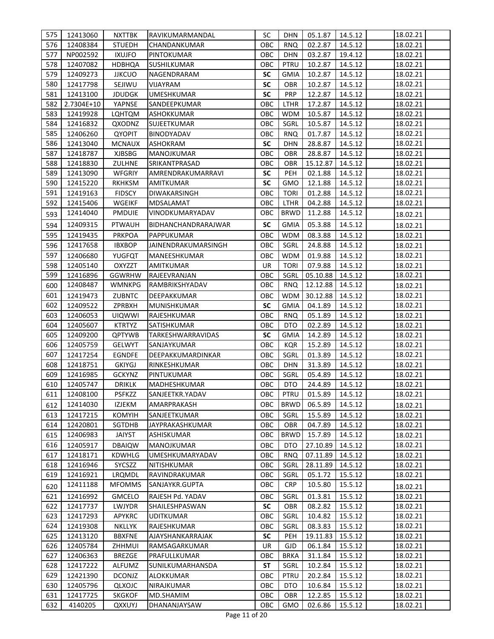| 575 | 12413060   | <b>NXTTBK</b> | RAVIKUMARMANDAL     | SC        | DHN         | 05.1.87  | 14.5.12 | 18.02.21 |
|-----|------------|---------------|---------------------|-----------|-------------|----------|---------|----------|
| 576 | 12408384   | <b>STUEDH</b> | CHANDANKUMAR        | OBC       | <b>RNQ</b>  | 02.2.87  | 14.5.12 | 18.02.21 |
| 577 | NP002592   | <b>IXUJFO</b> | PINTOKUMAR          | OBC       | <b>DHN</b>  | 03.2.87  | 19.4.12 | 18.02.21 |
| 578 | 12407082   | <b>HDBHQA</b> | <b>SUSHILKUMAR</b>  | ОВС       | PTRU        | 10.2.87  | 14.5.12 | 18.02.21 |
| 579 | 12409273   | <b>JJKCUO</b> | NAGENDRARAM         | <b>SC</b> | <b>GMIA</b> | 10.2.87  | 14.5.12 | 18.02.21 |
| 580 | 12417798   | SEJIWU        | <b>VIJAYRAM</b>     | <b>SC</b> | <b>OBR</b>  | 10.2.87  | 14.5.12 | 18.02.21 |
| 581 | 12413100   | <b>JDUDGK</b> | <b>UMESHKUMAR</b>   | <b>SC</b> | <b>PRP</b>  | 12.2.87  | 14.5.12 | 18.02.21 |
| 582 | 2.7304E+10 | YAPNSE        | SANDEEPKUMAR        | OBC       | LTHR        | 17.2.87  | 14.5.12 | 18.02.21 |
| 583 | 12419928   | LQHTQM        | <b>ASHOKKUMAR</b>   | OBC       | <b>WDM</b>  | 10.5.87  | 14.5.12 | 18.02.21 |
| 584 | 12416832   | QXODNZ        | SUJEETKUMAR         | OBC       | SGRL        | 10.5.87  | 14.5.12 | 18.02.21 |
| 585 | 12406260   | <b>QYOPIT</b> | <b>BINODYADAV</b>   | ОВС       | <b>RNQ</b>  | 01.7.87  | 14.5.12 | 18.02.21 |
| 586 | 12413040   | <b>MCNAUX</b> | ASHOKRAM            | <b>SC</b> | <b>DHN</b>  | 28.8.87  | 14.5.12 | 18.02.21 |
| 587 | 12418787   | <b>XJBSBG</b> | MANOJKUMAR          | OBC       | <b>OBR</b>  | 28.8.87  | 14.5.12 | 18.02.21 |
| 588 | 12418830   | <b>ZULHNE</b> | SRIKANTPRASAD       | ОВС       | <b>OBR</b>  | 15.12.87 | 14.5.12 | 18.02.21 |
| 589 | 12413090   | <b>WFGRIY</b> | AMRENDRAKUMARRAVI   | <b>SC</b> | PEH         | 02.1.88  | 14.5.12 | 18.02.21 |
| 590 | 12415220   | <b>RKHKSM</b> | AMITKUMAR           | <b>SC</b> | GMO         | 12.1.88  | 14.5.12 | 18.02.21 |
| 591 | 12419163   | <b>FIDSCY</b> | DIWAKARSINGH        | OBC       | <b>TORI</b> | 01.2.88  | 14.5.12 | 18.02.21 |
| 592 | 12415406   | <b>WGEIKF</b> | <b>MDSALAMAT</b>    | ОВС       | <b>LTHR</b> | 04.2.88  | 14.5.12 | 18.02.21 |
| 593 | 12414040   | <b>PMDUIE</b> | VINODKUMARYADAV     | OBC       | <b>BRWD</b> | 11.2.88  | 14.5.12 | 18.02.21 |
| 594 | 12409315   | <b>PTWAUH</b> | BIDHANCHANDRARAJWAR | <b>SC</b> | <b>GMIA</b> | 05.3.88  | 14.5.12 | 18.02.21 |
| 595 | 12419435   | <b>PRKPOA</b> | PAPPUKUMAR          | OBC       | <b>WDM</b>  | 08.3.88  | 14.5.12 | 18.02.21 |
| 596 | 12417658   | <b>IBXBOP</b> | JAINENDRAKUMARSINGH | ОВС       | SGRL        | 24.8.88  | 14.5.12 | 18.02.21 |
| 597 | 12406680   | YUGFQT        | MANEESHKUMAR        | OBC       | <b>WDM</b>  | 01.9.88  | 14.5.12 | 18.02.21 |
| 598 | 12405140   | <b>OXYZZT</b> | AMITKUMAR           | UR        | <b>TORI</b> | 07.9.88  | 14.5.12 | 18.02.21 |
| 599 | 12416896   | <b>GGWRHW</b> | RAJEEVRANJAN        | OBC       | SGRL        | 05.10.88 | 14.5.12 | 18.02.21 |
| 600 | 12408487   | WMNKPG        | RAMBRIKSHYADAV      | OBC       | <b>RNQ</b>  | 12.12.88 | 14.5.12 | 18.02.21 |
| 601 | 12419473   | ZUBNTC        | DEEPAKKUMAR         | ОВС       | <b>WDM</b>  | 30.12.88 | 14.5.12 | 18.02.21 |
| 602 | 12409522   | ZPRBXH        | MUNISHKUMAR         | <b>SC</b> | GMIA        | 04.1.89  | 14.5.12 | 18.02.21 |
| 603 | 12406053   | <b>UIQWWI</b> | RAJESHKUMAR         | ОВС       | <b>RNQ</b>  | 05.1.89  | 14.5.12 | 18.02.21 |
| 604 | 12405607   | <b>KTRTYZ</b> | SATISHKUMAR         | OBC       | DTO         | 02.2.89  | 14.5.12 | 18.02.21 |
| 605 | 12409200   | <b>QPTYWB</b> | TARKESHWARRAVIDAS   | <b>SC</b> | GMIA        | 14.2.89  | 14.5.12 | 18.02.21 |
| 606 | 12405759   | <b>GELWYT</b> | SANJAYKUMAR         | OBC       | <b>KQR</b>  | 15.2.89  | 14.5.12 | 18.02.21 |
| 607 | 12417254   | <b>EGNDFE</b> | DEEPAKKUMARDINKAR   | OBC       | SGRL        | 01.3.89  | 14.5.12 | 18.02.21 |
| 608 | 12418751   | <b>GKIYGJ</b> | RINKESHKUMAR        | OBC       | <b>DHN</b>  | 31.3.89  | 14.5.12 | 18.02.21 |
| 609 | 12416985   | <b>GCKYNZ</b> | PINTUKUMAR          | OBC       | SGRL        | 05.4.89  | 14.5.12 | 18.02.21 |
| 610 | 12405747   | <b>DRIKLK</b> | MADHESHKUMAR        | OBC       | DTO         | 24.4.89  | 14.5.12 | 18.02.21 |
| 611 | 12408100   | PSFKZZ        | SANJEETKR.YADAV     | OBC       | PTRU        | 01.5.89  | 14.5.12 | 18.02.21 |
| 612 | 12414030   | IZJEKM        | AMARPRAKASH         | OBC       | <b>BRWD</b> | 06.5.89  | 14.5.12 | 18.02.21 |
| 613 | 12417215   | <b>KOMYIH</b> | SANJEETKUMAR        | OBC       | SGRL        | 15.5.89  | 14.5.12 | 18.02.21 |
| 614 | 12420801   | SGTDHB        | JAYPRAKASHKUMAR     | OBC       | <b>OBR</b>  | 04.7.89  | 14.5.12 | 18.02.21 |
| 615 | 12406983   | <b>JAIYST</b> | <b>ASHISKUMAR</b>   | OBC       | <b>BRWD</b> | 15.7.89  | 14.5.12 | 18.02.21 |
| 616 | 12405917   | <b>DBAIQW</b> | MANOJKUMAR          | OBC       | <b>DTO</b>  | 27.10.89 | 14.5.12 | 18.02.21 |
| 617 | 12418171   | <b>KDWHLG</b> | UMESHKUMARYADAV     | OBC       | <b>RNQ</b>  | 07.11.89 | 14.5.12 | 18.02.21 |
| 618 | 12416946   | SYCSZZ        | NITISHKUMAR         | OBC       | SGRL        | 28.11.89 | 14.5.12 | 18.02.21 |
| 619 | 12416921   | LRQMDL        | RAVINDRAKUMAR       | OBC       | SGRL        | 05.1.72  | 15.5.12 | 18.02.21 |
| 620 | 12411188   | <b>MFOMMS</b> | SANJAYKR.GUPTA      | ОВС       | <b>CRP</b>  | 10.5.80  | 15.5.12 | 18.02.21 |
| 621 | 12416992   | <b>GMCELO</b> | RAJESH Pd. YADAV    | OBC       | SGRL        | 01.3.81  | 15.5.12 | 18.02.21 |
| 622 | 12417737   | LWJYDR        | SHAILESHPASWAN      | SC        | <b>OBR</b>  | 08.2.82  | 15.5.12 | 18.02.21 |
| 623 | 12417293   | <b>APYKRC</b> | <b>UDITKUMAR</b>    | OBC       | SGRL        | 10.4.82  | 15.5.12 | 18.02.21 |
| 624 | 12419308   | <b>NKLLYK</b> | RAJESHKUMAR         | OBC       | SGRL        | 08.3.83  | 15.5.12 | 18.02.21 |
| 625 | 12413120   | <b>BBXFNE</b> | AJAYSHANKARRAJAK    | <b>SC</b> | <b>PEH</b>  | 19.11.83 | 15.5.12 | 18.02.21 |
| 626 | 12405784   | ZHHMUI        | RAMSAGARKUMAR       | <b>UR</b> | <b>GJD</b>  | 06.1.84  | 15.5.12 | 18.02.21 |
| 627 | 12406363   | <b>BREZGE</b> | PRAFULLKUMAR        | OBC       | <b>BRKA</b> | 31.1.84  | 15.5.12 | 18.02.21 |
| 628 | 12417222   | ALFUMZ        | SUNILKUMARHANSDA    | <b>ST</b> | SGRL        | 10.2.84  | 15.5.12 | 18.02.21 |
| 629 | 12421390   | <b>DCONJZ</b> | ALOKKUMAR           | ОВС       | PTRU        | 20.2.84  | 15.5.12 | 18.02.21 |
| 630 | 12405796   | QLXOJC        | NIRAJKUMAR          | OBC       | <b>DTO</b>  | 10.6.84  | 15.5.12 | 18.02.21 |
| 631 | 12417725   | <b>SKGKOF</b> | MD.SHAMIM           | OBC       | OBR         | 12.2.85  | 15.5.12 | 18.02.21 |
| 632 | 4140205    | <b>QXXUYJ</b> | DHANANJAYSAW        | OBC       | <b>GMO</b>  | 02.6.86  | 15.5.12 | 18.02.21 |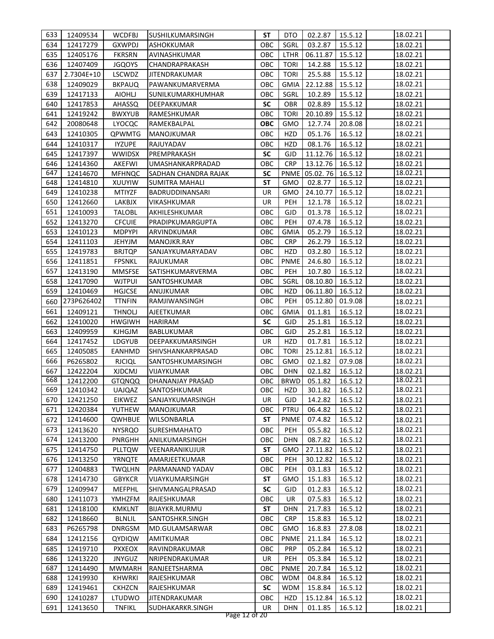| 634<br>12417279<br><b>GXWPDJ</b><br>OBC<br>SGRL<br>03.2.87<br>15.5.12<br>18.02.21<br><b>ASHOKKUMAR</b><br>635<br><b>FKRSRN</b><br>OBC<br><b>LTHR</b><br>06.11.87<br>15.5.12<br>18.02.21<br>12405176<br>AVINASHKUMAR<br>15.5.12<br>636<br>12407409<br><b>JGQOYS</b><br><b>TORI</b><br>14.2.88<br>18.02.21<br>CHANDRAPRAKASH<br>OBC<br>637<br>25.5.88<br>15.5.12<br>18.02.21<br>2.7304E+10<br>LSCWDZ<br>OBC<br><b>TORI</b><br><b>JITENDRAKUMAR</b><br>638<br>PAWANKUMARVERMA<br>OBC<br><b>GMIA</b><br>22.12.88<br>15.5.12<br>18.02.21<br>12409029<br><b>BKPAUQ</b><br>639<br>OBC<br>SGRL<br>10.2.89<br>15.5.12<br>18.02.21<br>12417133<br><b>AIOHLJ</b><br>SUNILKUMARKHUMHAR<br>640<br>12417853<br><b>SC</b><br><b>OBR</b><br>02.8.89<br>15.5.12<br>18.02.21<br>AHASSQ<br>DEEPAKKUMAR<br>641<br>12419242<br><b>BWXYUB</b><br>OBC<br><b>TORI</b><br>20.10.89<br>15.5.12<br>18.02.21<br>RAMESHKUMAR<br>642<br><b>OBC</b><br>20.8.08<br>20080648<br>RAMEKBALPAL<br>GMO<br>12.7.74<br>18.02.21<br>LYOCQC<br>16.5.12<br>643<br>12410305<br>QPWMTG<br>ОВС<br>HZD<br>05.1.76<br><b>MANOJKUMAR</b><br>18.02.21<br>644<br>OBC<br>HZD<br>16.5.12<br>18.02.21<br>12410317<br><b>IYZUPE</b><br>RAJUYADAV<br>08.1.76<br>645<br><b>SC</b><br><b>GJD</b><br>11.12.76<br>16.5.12<br>18.02.21<br>12417397<br><b>WWIDSX</b><br>PREMPRAKASH<br>646<br>OBC<br><b>CRP</b><br>13.12.76<br>16.5.12<br>12414360<br><b>AKEFWI</b><br>UMASHANKARPRADAD<br>18.02.21<br>647<br>18.02.21<br>12414670<br>SADHAN CHANDRA RAJAK<br><b>SC</b><br><b>PNME</b><br>05.02.76 16.5.12<br><b>MFHNQC</b><br>648<br><b>ST</b><br>16.5.12<br>12414810<br>XUUYIW<br><b>GMO</b><br>02.8.77<br>18.02.21<br>SUMITRA MAHALI<br>649<br>UR<br>12410238<br><b>MTIYZF</b><br>GMO<br>24.10.77<br>16.5.12<br>18.02.21<br>BADRUDDINANSARI<br>650<br><b>UR</b><br>PEH<br>12412660<br>12.1.78<br>16.5.12<br>18.02.21<br>LAKBJX<br>VIKASHKUMAR<br>651<br>18.02.21<br>OBC<br><b>GJD</b><br>01.3.78<br>16.5.12<br>12410093<br><b>TALOBL</b><br>AKHILESHKUMAR<br>652<br>OBC<br>PEH<br>07.4.78<br>12413270<br><b>CFCUIE</b><br>PRADIPKUMARGUPTA<br>16.5.12<br>18.02.21<br>653<br>OBC<br><b>GMIA</b><br>05.2.79<br>12410123<br><b>MDPYPI</b><br>ARVINDKUMAR<br>16.5.12<br>18.02.21<br>654<br>12411103<br>OBC<br><b>CRP</b><br>26.2.79<br>16.5.12<br>18.02.21<br><b>JEHYJM</b><br>MANOJKR.RAY<br>655<br>OBC<br>HZD<br>03.2.80<br>12419783<br><b>BRJTQP</b><br>SANJAYKUMARYADAV<br>16.5.12<br>18.02.21<br><b>FPSNKL</b><br>OBC<br><b>PNME</b><br>24.6.80<br>656<br>12411851<br>RAJUKUMAR<br>16.5.12<br>18.02.21<br>657<br>18.02.21<br>12413190<br><b>MMSFSE</b><br>ОВС<br><b>PEH</b><br>10.7.80<br>16.5.12<br>SATISHKUMARVERMA<br>658<br>12417090<br>ОВС<br>SGRL<br>08.10.80<br>16.5.12<br>18.02.21<br>WJTPUI<br>SANTOSHKUMAR<br>659<br>12410469<br><b>HGJCSE</b><br>ANUJKUMAR<br>ОВС<br>HZD<br>06.11.80<br>16.5.12<br>18.02.21<br>OBC<br>273P626402<br><b>TTNFIN</b><br>RAMJIWANSINGH<br><b>PEH</b><br>05.12.80<br>01.9.08<br>660<br>18.02.21<br>12409121<br><b>THNOLJ</b><br><b>AJEETKUMAR</b><br>OBC<br><b>GMIA</b><br>01.1.81<br>16.5.12<br>18.02.21<br>661<br>12410020<br><b>SC</b><br>25.1.81<br>16.5.12<br>18.02.21<br>662<br><b>HWGIWH</b><br><b>HARIRAM</b><br><b>GJD</b><br>663<br>12409959<br>OBC<br><b>GJD</b><br>25.2.81<br>16.5.12<br>18.02.21<br><b>KJHGJM</b><br><b>BABLUKUMAR</b><br>12417452<br><b>UR</b><br>HZD<br>01.7.81<br>16.5.12<br>18.02.21<br>664<br>LDGYUB<br>DEEPAKKUMARSINGH<br>665<br>OBC<br><b>TORI</b><br>25.12.81<br>16.5.12<br>12405085<br>EANHMD<br>SHIVSHANKARPRASAD<br>18.02.21<br>666<br>18.02.21<br>P6265802<br><b>RJCIQL</b><br>SANTOSHKUMARSINGH<br>ОВС<br>GMO<br>02.1.82<br>07.9.08<br>OBC<br>16.5.12<br>18.02.21<br>667<br>12422204<br><b>XJDCMJ</b><br>VIJAYKUMAR<br><b>DHN</b><br>02.1.82<br>668<br>18.02.21<br>OBC<br><b>BRWD</b><br>12412200<br><b>DHANANJAY PRASAD</b><br>05.1.82<br>16.5.12<br><b>GTQNQQ</b><br>30.1.82 16.5.12<br>669<br>UAJQAZ<br>SANTOSHKUMAR<br>OBC<br>HZD  <br>18.02.21<br>12410342<br>670<br>18.02.21<br>12421250<br><b>EIKWEZ</b><br>SANJAYKUMARSINGH<br>UR<br>14.2.82<br>16.5.12<br>GJD<br>671<br>YUTHEW<br>OBC<br>PTRU<br>06.4.82<br>16.5.12<br>18.02.21<br>12420384<br>MANOJKUMAR<br>12414600<br>ST<br><b>PNME</b><br>07.4.82<br>16.5.12<br>672<br>QWHBUE<br>WILSONBARLA<br>18.02.21<br>673<br>12413620<br><b>NYSRQO</b><br>ОВС<br><b>PEH</b><br>05.5.82<br>16.5.12<br>18.02.21<br>SURESHMAHATO<br>674<br>OBC<br>18.02.21<br>12413200<br>PNRGHH<br>ANILKUMARSINGH<br><b>DHN</b><br>08.7.82<br>16.5.12<br>675<br>12414750<br>PLLTQW<br>VEENARANIKUJUR<br>ST<br><b>GMO</b><br>27.11.82<br>16.5.12<br>18.02.21<br>676<br>12413250<br><b>YRNQTE</b><br>AMARJEETKUMAR<br>OBC<br><b>PEH</b><br>30.12.82<br>16.5.12<br>18.02.21<br>677<br>OBC<br>PEH<br>18.02.21<br>12404883<br><b>TWQLHN</b><br>PARMANAND YADAV<br>03.1.83<br>16.5.12<br><b>ST</b><br>678<br>12414730<br><b>GBYKCR</b><br>VIJAYKUMARSINGH<br><b>GMO</b><br>15.1.83<br>16.5.12<br>18.02.21<br>679<br>12409947<br><b>MEFPHL</b><br><b>SC</b><br>01.2.83<br>16.5.12<br>18.02.21<br>SHIVMANGALPRASAD<br>GJD<br>680<br>12411073<br>ОВС<br>07.5.83<br>16.5.12<br>18.02.21<br>YMHZFM<br>RAJESHKUMAR<br>UR<br>681<br>12418100<br>ST<br>DHN<br>21.7.83<br>16.5.12<br><b>KMKLNT</b><br>BIJAYKR.MURMU<br>18.02.21<br>682<br>12418660<br><b>BLNLIL</b><br>ОВС<br><b>CRP</b><br>15.8.83<br>16.5.12<br>18.02.21<br>SANTOSHKR.SINGH<br>683<br>18.02.21<br>P6265798<br><b>DNRGSM</b><br>MD.GULAMSARWAR<br>OBC<br>GMO<br>16.8.83<br>27.8.08<br>12412156<br><b>AMITKUMAR</b><br>OBC<br><b>PNME</b><br>21.1.84<br>16.5.12<br>684<br>QYDIQW<br>18.02.21<br>12419710<br>05.2.84<br>16.5.12<br>18.02.21<br>685<br><b>PXXEOX</b><br>RAVINDRAKUMAR<br>ОВС<br><b>PRP</b><br>12413220<br><b>JNYGUZ</b><br><b>UR</b><br>PEH<br>05.3.84<br>16.5.12<br>18.02.21<br>686<br>NRIPENDRAKUMAR<br>687<br>18.02.21<br>12414490<br><b>MWMARH</b><br>RANJEETSHARMA<br>OBC<br><b>PNME</b><br>20.7.84<br>16.5.12<br>688<br><b>WDM</b><br>04.8.84<br>16.5.12<br>18.02.21<br>12419930<br><b>KHWRKI</b><br>RAJESHKUMAR<br>OBC<br><b>SC</b><br>18.02.21<br>689<br>12419461<br><b>CKHZCN</b><br>RAJESHKUMAR<br><b>WDM</b><br>15.8.84<br>16.5.12 |                                                                                                            | 633 | 12409534 | <b>WCDFBJ</b> | SUSHILKUMARSINGH | SΤ | DTO | 02.2.87 | 15.5.12 | 18.02.21 |
|-----------------------------------------------------------------------------------------------------------------------------------------------------------------------------------------------------------------------------------------------------------------------------------------------------------------------------------------------------------------------------------------------------------------------------------------------------------------------------------------------------------------------------------------------------------------------------------------------------------------------------------------------------------------------------------------------------------------------------------------------------------------------------------------------------------------------------------------------------------------------------------------------------------------------------------------------------------------------------------------------------------------------------------------------------------------------------------------------------------------------------------------------------------------------------------------------------------------------------------------------------------------------------------------------------------------------------------------------------------------------------------------------------------------------------------------------------------------------------------------------------------------------------------------------------------------------------------------------------------------------------------------------------------------------------------------------------------------------------------------------------------------------------------------------------------------------------------------------------------------------------------------------------------------------------------------------------------------------------------------------------------------------------------------------------------------------------------------------------------------------------------------------------------------------------------------------------------------------------------------------------------------------------------------------------------------------------------------------------------------------------------------------------------------------------------------------------------------------------------------------------------------------------------------------------------------------------------------------------------------------------------------------------------------------------------------------------------------------------------------------------------------------------------------------------------------------------------------------------------------------------------------------------------------------------------------------------------------------------------------------------------------------------------------------------------------------------------------------------------------------------------------------------------------------------------------------------------------------------------------------------------------------------------------------------------------------------------------------------------------------------------------------------------------------------------------------------------------------------------------------------------------------------------------------------------------------------------------------------------------------------------------------------------------------------------------------------------------------------------------------------------------------------------------------------------------------------------------------------------------------------------------------------------------------------------------------------------------------------------------------------------------------------------------------------------------------------------------------------------------------------------------------------------------------------------------------------------------------------------------------------------------------------------------------------------------------------------------------------------------------------------------------------------------------------------------------------------------------------------------------------------------------------------------------------------------------------------------------------------------------------------------------------------------------------------------------------------------------------------------------------------------------------------------------------------------------------------------------------------------------------------------------------------------------------------------------------------------------------------------------------------------------------------------------------------------------------------------------------------------------------------------------------------------------------------------------------------------------------------------------------------------------------------------------------------------------------------------------------------------------------------------------------------------------------------------------------------------------------------------------------------------------------------------------------------------------------------------------------------------------------------------------------------------------------------------------------------------------------------------------------------------------------------------------------------------------------------------------------------------------------------------------------------------------------------------------------------------------------------------------------------------------------------------------------------------------------------------------------------------------------------------------------------------------|------------------------------------------------------------------------------------------------------------|-----|----------|---------------|------------------|----|-----|---------|---------|----------|
|                                                                                                                                                                                                                                                                                                                                                                                                                                                                                                                                                                                                                                                                                                                                                                                                                                                                                                                                                                                                                                                                                                                                                                                                                                                                                                                                                                                                                                                                                                                                                                                                                                                                                                                                                                                                                                                                                                                                                                                                                                                                                                                                                                                                                                                                                                                                                                                                                                                                                                                                                                                                                                                                                                                                                                                                                                                                                                                                                                                                                                                                                                                                                                                                                                                                                                                                                                                                                                                                                                                                                                                                                                                                                                                                                                                                                                                                                                                                                                                                                                                                                                                                                                                                                                                                                                                                                                                                                                                                                                                                                                                                                                                                                                                                                                                                                                                                                                                                                                                                                                                                                                                                                                                                                                                                                                                                                                                                                                                                                                                                                                                                                                                                                                                                                                                                                                                                                                                                                                                                                                                                                                                                                                       |                                                                                                            |     |          |               |                  |    |     |         |         |          |
|                                                                                                                                                                                                                                                                                                                                                                                                                                                                                                                                                                                                                                                                                                                                                                                                                                                                                                                                                                                                                                                                                                                                                                                                                                                                                                                                                                                                                                                                                                                                                                                                                                                                                                                                                                                                                                                                                                                                                                                                                                                                                                                                                                                                                                                                                                                                                                                                                                                                                                                                                                                                                                                                                                                                                                                                                                                                                                                                                                                                                                                                                                                                                                                                                                                                                                                                                                                                                                                                                                                                                                                                                                                                                                                                                                                                                                                                                                                                                                                                                                                                                                                                                                                                                                                                                                                                                                                                                                                                                                                                                                                                                                                                                                                                                                                                                                                                                                                                                                                                                                                                                                                                                                                                                                                                                                                                                                                                                                                                                                                                                                                                                                                                                                                                                                                                                                                                                                                                                                                                                                                                                                                                                                       |                                                                                                            |     |          |               |                  |    |     |         |         |          |
|                                                                                                                                                                                                                                                                                                                                                                                                                                                                                                                                                                                                                                                                                                                                                                                                                                                                                                                                                                                                                                                                                                                                                                                                                                                                                                                                                                                                                                                                                                                                                                                                                                                                                                                                                                                                                                                                                                                                                                                                                                                                                                                                                                                                                                                                                                                                                                                                                                                                                                                                                                                                                                                                                                                                                                                                                                                                                                                                                                                                                                                                                                                                                                                                                                                                                                                                                                                                                                                                                                                                                                                                                                                                                                                                                                                                                                                                                                                                                                                                                                                                                                                                                                                                                                                                                                                                                                                                                                                                                                                                                                                                                                                                                                                                                                                                                                                                                                                                                                                                                                                                                                                                                                                                                                                                                                                                                                                                                                                                                                                                                                                                                                                                                                                                                                                                                                                                                                                                                                                                                                                                                                                                                                       |                                                                                                            |     |          |               |                  |    |     |         |         |          |
|                                                                                                                                                                                                                                                                                                                                                                                                                                                                                                                                                                                                                                                                                                                                                                                                                                                                                                                                                                                                                                                                                                                                                                                                                                                                                                                                                                                                                                                                                                                                                                                                                                                                                                                                                                                                                                                                                                                                                                                                                                                                                                                                                                                                                                                                                                                                                                                                                                                                                                                                                                                                                                                                                                                                                                                                                                                                                                                                                                                                                                                                                                                                                                                                                                                                                                                                                                                                                                                                                                                                                                                                                                                                                                                                                                                                                                                                                                                                                                                                                                                                                                                                                                                                                                                                                                                                                                                                                                                                                                                                                                                                                                                                                                                                                                                                                                                                                                                                                                                                                                                                                                                                                                                                                                                                                                                                                                                                                                                                                                                                                                                                                                                                                                                                                                                                                                                                                                                                                                                                                                                                                                                                                                       |                                                                                                            |     |          |               |                  |    |     |         |         |          |
|                                                                                                                                                                                                                                                                                                                                                                                                                                                                                                                                                                                                                                                                                                                                                                                                                                                                                                                                                                                                                                                                                                                                                                                                                                                                                                                                                                                                                                                                                                                                                                                                                                                                                                                                                                                                                                                                                                                                                                                                                                                                                                                                                                                                                                                                                                                                                                                                                                                                                                                                                                                                                                                                                                                                                                                                                                                                                                                                                                                                                                                                                                                                                                                                                                                                                                                                                                                                                                                                                                                                                                                                                                                                                                                                                                                                                                                                                                                                                                                                                                                                                                                                                                                                                                                                                                                                                                                                                                                                                                                                                                                                                                                                                                                                                                                                                                                                                                                                                                                                                                                                                                                                                                                                                                                                                                                                                                                                                                                                                                                                                                                                                                                                                                                                                                                                                                                                                                                                                                                                                                                                                                                                                                       |                                                                                                            |     |          |               |                  |    |     |         |         |          |
|                                                                                                                                                                                                                                                                                                                                                                                                                                                                                                                                                                                                                                                                                                                                                                                                                                                                                                                                                                                                                                                                                                                                                                                                                                                                                                                                                                                                                                                                                                                                                                                                                                                                                                                                                                                                                                                                                                                                                                                                                                                                                                                                                                                                                                                                                                                                                                                                                                                                                                                                                                                                                                                                                                                                                                                                                                                                                                                                                                                                                                                                                                                                                                                                                                                                                                                                                                                                                                                                                                                                                                                                                                                                                                                                                                                                                                                                                                                                                                                                                                                                                                                                                                                                                                                                                                                                                                                                                                                                                                                                                                                                                                                                                                                                                                                                                                                                                                                                                                                                                                                                                                                                                                                                                                                                                                                                                                                                                                                                                                                                                                                                                                                                                                                                                                                                                                                                                                                                                                                                                                                                                                                                                                       |                                                                                                            |     |          |               |                  |    |     |         |         |          |
|                                                                                                                                                                                                                                                                                                                                                                                                                                                                                                                                                                                                                                                                                                                                                                                                                                                                                                                                                                                                                                                                                                                                                                                                                                                                                                                                                                                                                                                                                                                                                                                                                                                                                                                                                                                                                                                                                                                                                                                                                                                                                                                                                                                                                                                                                                                                                                                                                                                                                                                                                                                                                                                                                                                                                                                                                                                                                                                                                                                                                                                                                                                                                                                                                                                                                                                                                                                                                                                                                                                                                                                                                                                                                                                                                                                                                                                                                                                                                                                                                                                                                                                                                                                                                                                                                                                                                                                                                                                                                                                                                                                                                                                                                                                                                                                                                                                                                                                                                                                                                                                                                                                                                                                                                                                                                                                                                                                                                                                                                                                                                                                                                                                                                                                                                                                                                                                                                                                                                                                                                                                                                                                                                                       |                                                                                                            |     |          |               |                  |    |     |         |         |          |
|                                                                                                                                                                                                                                                                                                                                                                                                                                                                                                                                                                                                                                                                                                                                                                                                                                                                                                                                                                                                                                                                                                                                                                                                                                                                                                                                                                                                                                                                                                                                                                                                                                                                                                                                                                                                                                                                                                                                                                                                                                                                                                                                                                                                                                                                                                                                                                                                                                                                                                                                                                                                                                                                                                                                                                                                                                                                                                                                                                                                                                                                                                                                                                                                                                                                                                                                                                                                                                                                                                                                                                                                                                                                                                                                                                                                                                                                                                                                                                                                                                                                                                                                                                                                                                                                                                                                                                                                                                                                                                                                                                                                                                                                                                                                                                                                                                                                                                                                                                                                                                                                                                                                                                                                                                                                                                                                                                                                                                                                                                                                                                                                                                                                                                                                                                                                                                                                                                                                                                                                                                                                                                                                                                       |                                                                                                            |     |          |               |                  |    |     |         |         |          |
|                                                                                                                                                                                                                                                                                                                                                                                                                                                                                                                                                                                                                                                                                                                                                                                                                                                                                                                                                                                                                                                                                                                                                                                                                                                                                                                                                                                                                                                                                                                                                                                                                                                                                                                                                                                                                                                                                                                                                                                                                                                                                                                                                                                                                                                                                                                                                                                                                                                                                                                                                                                                                                                                                                                                                                                                                                                                                                                                                                                                                                                                                                                                                                                                                                                                                                                                                                                                                                                                                                                                                                                                                                                                                                                                                                                                                                                                                                                                                                                                                                                                                                                                                                                                                                                                                                                                                                                                                                                                                                                                                                                                                                                                                                                                                                                                                                                                                                                                                                                                                                                                                                                                                                                                                                                                                                                                                                                                                                                                                                                                                                                                                                                                                                                                                                                                                                                                                                                                                                                                                                                                                                                                                                       |                                                                                                            |     |          |               |                  |    |     |         |         |          |
|                                                                                                                                                                                                                                                                                                                                                                                                                                                                                                                                                                                                                                                                                                                                                                                                                                                                                                                                                                                                                                                                                                                                                                                                                                                                                                                                                                                                                                                                                                                                                                                                                                                                                                                                                                                                                                                                                                                                                                                                                                                                                                                                                                                                                                                                                                                                                                                                                                                                                                                                                                                                                                                                                                                                                                                                                                                                                                                                                                                                                                                                                                                                                                                                                                                                                                                                                                                                                                                                                                                                                                                                                                                                                                                                                                                                                                                                                                                                                                                                                                                                                                                                                                                                                                                                                                                                                                                                                                                                                                                                                                                                                                                                                                                                                                                                                                                                                                                                                                                                                                                                                                                                                                                                                                                                                                                                                                                                                                                                                                                                                                                                                                                                                                                                                                                                                                                                                                                                                                                                                                                                                                                                                                       |                                                                                                            |     |          |               |                  |    |     |         |         |          |
|                                                                                                                                                                                                                                                                                                                                                                                                                                                                                                                                                                                                                                                                                                                                                                                                                                                                                                                                                                                                                                                                                                                                                                                                                                                                                                                                                                                                                                                                                                                                                                                                                                                                                                                                                                                                                                                                                                                                                                                                                                                                                                                                                                                                                                                                                                                                                                                                                                                                                                                                                                                                                                                                                                                                                                                                                                                                                                                                                                                                                                                                                                                                                                                                                                                                                                                                                                                                                                                                                                                                                                                                                                                                                                                                                                                                                                                                                                                                                                                                                                                                                                                                                                                                                                                                                                                                                                                                                                                                                                                                                                                                                                                                                                                                                                                                                                                                                                                                                                                                                                                                                                                                                                                                                                                                                                                                                                                                                                                                                                                                                                                                                                                                                                                                                                                                                                                                                                                                                                                                                                                                                                                                                                       |                                                                                                            |     |          |               |                  |    |     |         |         |          |
|                                                                                                                                                                                                                                                                                                                                                                                                                                                                                                                                                                                                                                                                                                                                                                                                                                                                                                                                                                                                                                                                                                                                                                                                                                                                                                                                                                                                                                                                                                                                                                                                                                                                                                                                                                                                                                                                                                                                                                                                                                                                                                                                                                                                                                                                                                                                                                                                                                                                                                                                                                                                                                                                                                                                                                                                                                                                                                                                                                                                                                                                                                                                                                                                                                                                                                                                                                                                                                                                                                                                                                                                                                                                                                                                                                                                                                                                                                                                                                                                                                                                                                                                                                                                                                                                                                                                                                                                                                                                                                                                                                                                                                                                                                                                                                                                                                                                                                                                                                                                                                                                                                                                                                                                                                                                                                                                                                                                                                                                                                                                                                                                                                                                                                                                                                                                                                                                                                                                                                                                                                                                                                                                                                       |                                                                                                            |     |          |               |                  |    |     |         |         |          |
|                                                                                                                                                                                                                                                                                                                                                                                                                                                                                                                                                                                                                                                                                                                                                                                                                                                                                                                                                                                                                                                                                                                                                                                                                                                                                                                                                                                                                                                                                                                                                                                                                                                                                                                                                                                                                                                                                                                                                                                                                                                                                                                                                                                                                                                                                                                                                                                                                                                                                                                                                                                                                                                                                                                                                                                                                                                                                                                                                                                                                                                                                                                                                                                                                                                                                                                                                                                                                                                                                                                                                                                                                                                                                                                                                                                                                                                                                                                                                                                                                                                                                                                                                                                                                                                                                                                                                                                                                                                                                                                                                                                                                                                                                                                                                                                                                                                                                                                                                                                                                                                                                                                                                                                                                                                                                                                                                                                                                                                                                                                                                                                                                                                                                                                                                                                                                                                                                                                                                                                                                                                                                                                                                                       |                                                                                                            |     |          |               |                  |    |     |         |         |          |
|                                                                                                                                                                                                                                                                                                                                                                                                                                                                                                                                                                                                                                                                                                                                                                                                                                                                                                                                                                                                                                                                                                                                                                                                                                                                                                                                                                                                                                                                                                                                                                                                                                                                                                                                                                                                                                                                                                                                                                                                                                                                                                                                                                                                                                                                                                                                                                                                                                                                                                                                                                                                                                                                                                                                                                                                                                                                                                                                                                                                                                                                                                                                                                                                                                                                                                                                                                                                                                                                                                                                                                                                                                                                                                                                                                                                                                                                                                                                                                                                                                                                                                                                                                                                                                                                                                                                                                                                                                                                                                                                                                                                                                                                                                                                                                                                                                                                                                                                                                                                                                                                                                                                                                                                                                                                                                                                                                                                                                                                                                                                                                                                                                                                                                                                                                                                                                                                                                                                                                                                                                                                                                                                                                       |                                                                                                            |     |          |               |                  |    |     |         |         |          |
|                                                                                                                                                                                                                                                                                                                                                                                                                                                                                                                                                                                                                                                                                                                                                                                                                                                                                                                                                                                                                                                                                                                                                                                                                                                                                                                                                                                                                                                                                                                                                                                                                                                                                                                                                                                                                                                                                                                                                                                                                                                                                                                                                                                                                                                                                                                                                                                                                                                                                                                                                                                                                                                                                                                                                                                                                                                                                                                                                                                                                                                                                                                                                                                                                                                                                                                                                                                                                                                                                                                                                                                                                                                                                                                                                                                                                                                                                                                                                                                                                                                                                                                                                                                                                                                                                                                                                                                                                                                                                                                                                                                                                                                                                                                                                                                                                                                                                                                                                                                                                                                                                                                                                                                                                                                                                                                                                                                                                                                                                                                                                                                                                                                                                                                                                                                                                                                                                                                                                                                                                                                                                                                                                                       |                                                                                                            |     |          |               |                  |    |     |         |         |          |
|                                                                                                                                                                                                                                                                                                                                                                                                                                                                                                                                                                                                                                                                                                                                                                                                                                                                                                                                                                                                                                                                                                                                                                                                                                                                                                                                                                                                                                                                                                                                                                                                                                                                                                                                                                                                                                                                                                                                                                                                                                                                                                                                                                                                                                                                                                                                                                                                                                                                                                                                                                                                                                                                                                                                                                                                                                                                                                                                                                                                                                                                                                                                                                                                                                                                                                                                                                                                                                                                                                                                                                                                                                                                                                                                                                                                                                                                                                                                                                                                                                                                                                                                                                                                                                                                                                                                                                                                                                                                                                                                                                                                                                                                                                                                                                                                                                                                                                                                                                                                                                                                                                                                                                                                                                                                                                                                                                                                                                                                                                                                                                                                                                                                                                                                                                                                                                                                                                                                                                                                                                                                                                                                                                       |                                                                                                            |     |          |               |                  |    |     |         |         |          |
|                                                                                                                                                                                                                                                                                                                                                                                                                                                                                                                                                                                                                                                                                                                                                                                                                                                                                                                                                                                                                                                                                                                                                                                                                                                                                                                                                                                                                                                                                                                                                                                                                                                                                                                                                                                                                                                                                                                                                                                                                                                                                                                                                                                                                                                                                                                                                                                                                                                                                                                                                                                                                                                                                                                                                                                                                                                                                                                                                                                                                                                                                                                                                                                                                                                                                                                                                                                                                                                                                                                                                                                                                                                                                                                                                                                                                                                                                                                                                                                                                                                                                                                                                                                                                                                                                                                                                                                                                                                                                                                                                                                                                                                                                                                                                                                                                                                                                                                                                                                                                                                                                                                                                                                                                                                                                                                                                                                                                                                                                                                                                                                                                                                                                                                                                                                                                                                                                                                                                                                                                                                                                                                                                                       |                                                                                                            |     |          |               |                  |    |     |         |         |          |
|                                                                                                                                                                                                                                                                                                                                                                                                                                                                                                                                                                                                                                                                                                                                                                                                                                                                                                                                                                                                                                                                                                                                                                                                                                                                                                                                                                                                                                                                                                                                                                                                                                                                                                                                                                                                                                                                                                                                                                                                                                                                                                                                                                                                                                                                                                                                                                                                                                                                                                                                                                                                                                                                                                                                                                                                                                                                                                                                                                                                                                                                                                                                                                                                                                                                                                                                                                                                                                                                                                                                                                                                                                                                                                                                                                                                                                                                                                                                                                                                                                                                                                                                                                                                                                                                                                                                                                                                                                                                                                                                                                                                                                                                                                                                                                                                                                                                                                                                                                                                                                                                                                                                                                                                                                                                                                                                                                                                                                                                                                                                                                                                                                                                                                                                                                                                                                                                                                                                                                                                                                                                                                                                                                       |                                                                                                            |     |          |               |                  |    |     |         |         |          |
|                                                                                                                                                                                                                                                                                                                                                                                                                                                                                                                                                                                                                                                                                                                                                                                                                                                                                                                                                                                                                                                                                                                                                                                                                                                                                                                                                                                                                                                                                                                                                                                                                                                                                                                                                                                                                                                                                                                                                                                                                                                                                                                                                                                                                                                                                                                                                                                                                                                                                                                                                                                                                                                                                                                                                                                                                                                                                                                                                                                                                                                                                                                                                                                                                                                                                                                                                                                                                                                                                                                                                                                                                                                                                                                                                                                                                                                                                                                                                                                                                                                                                                                                                                                                                                                                                                                                                                                                                                                                                                                                                                                                                                                                                                                                                                                                                                                                                                                                                                                                                                                                                                                                                                                                                                                                                                                                                                                                                                                                                                                                                                                                                                                                                                                                                                                                                                                                                                                                                                                                                                                                                                                                                                       |                                                                                                            |     |          |               |                  |    |     |         |         |          |
|                                                                                                                                                                                                                                                                                                                                                                                                                                                                                                                                                                                                                                                                                                                                                                                                                                                                                                                                                                                                                                                                                                                                                                                                                                                                                                                                                                                                                                                                                                                                                                                                                                                                                                                                                                                                                                                                                                                                                                                                                                                                                                                                                                                                                                                                                                                                                                                                                                                                                                                                                                                                                                                                                                                                                                                                                                                                                                                                                                                                                                                                                                                                                                                                                                                                                                                                                                                                                                                                                                                                                                                                                                                                                                                                                                                                                                                                                                                                                                                                                                                                                                                                                                                                                                                                                                                                                                                                                                                                                                                                                                                                                                                                                                                                                                                                                                                                                                                                                                                                                                                                                                                                                                                                                                                                                                                                                                                                                                                                                                                                                                                                                                                                                                                                                                                                                                                                                                                                                                                                                                                                                                                                                                       |                                                                                                            |     |          |               |                  |    |     |         |         |          |
|                                                                                                                                                                                                                                                                                                                                                                                                                                                                                                                                                                                                                                                                                                                                                                                                                                                                                                                                                                                                                                                                                                                                                                                                                                                                                                                                                                                                                                                                                                                                                                                                                                                                                                                                                                                                                                                                                                                                                                                                                                                                                                                                                                                                                                                                                                                                                                                                                                                                                                                                                                                                                                                                                                                                                                                                                                                                                                                                                                                                                                                                                                                                                                                                                                                                                                                                                                                                                                                                                                                                                                                                                                                                                                                                                                                                                                                                                                                                                                                                                                                                                                                                                                                                                                                                                                                                                                                                                                                                                                                                                                                                                                                                                                                                                                                                                                                                                                                                                                                                                                                                                                                                                                                                                                                                                                                                                                                                                                                                                                                                                                                                                                                                                                                                                                                                                                                                                                                                                                                                                                                                                                                                                                       |                                                                                                            |     |          |               |                  |    |     |         |         |          |
|                                                                                                                                                                                                                                                                                                                                                                                                                                                                                                                                                                                                                                                                                                                                                                                                                                                                                                                                                                                                                                                                                                                                                                                                                                                                                                                                                                                                                                                                                                                                                                                                                                                                                                                                                                                                                                                                                                                                                                                                                                                                                                                                                                                                                                                                                                                                                                                                                                                                                                                                                                                                                                                                                                                                                                                                                                                                                                                                                                                                                                                                                                                                                                                                                                                                                                                                                                                                                                                                                                                                                                                                                                                                                                                                                                                                                                                                                                                                                                                                                                                                                                                                                                                                                                                                                                                                                                                                                                                                                                                                                                                                                                                                                                                                                                                                                                                                                                                                                                                                                                                                                                                                                                                                                                                                                                                                                                                                                                                                                                                                                                                                                                                                                                                                                                                                                                                                                                                                                                                                                                                                                                                                                                       |                                                                                                            |     |          |               |                  |    |     |         |         |          |
|                                                                                                                                                                                                                                                                                                                                                                                                                                                                                                                                                                                                                                                                                                                                                                                                                                                                                                                                                                                                                                                                                                                                                                                                                                                                                                                                                                                                                                                                                                                                                                                                                                                                                                                                                                                                                                                                                                                                                                                                                                                                                                                                                                                                                                                                                                                                                                                                                                                                                                                                                                                                                                                                                                                                                                                                                                                                                                                                                                                                                                                                                                                                                                                                                                                                                                                                                                                                                                                                                                                                                                                                                                                                                                                                                                                                                                                                                                                                                                                                                                                                                                                                                                                                                                                                                                                                                                                                                                                                                                                                                                                                                                                                                                                                                                                                                                                                                                                                                                                                                                                                                                                                                                                                                                                                                                                                                                                                                                                                                                                                                                                                                                                                                                                                                                                                                                                                                                                                                                                                                                                                                                                                                                       |                                                                                                            |     |          |               |                  |    |     |         |         |          |
|                                                                                                                                                                                                                                                                                                                                                                                                                                                                                                                                                                                                                                                                                                                                                                                                                                                                                                                                                                                                                                                                                                                                                                                                                                                                                                                                                                                                                                                                                                                                                                                                                                                                                                                                                                                                                                                                                                                                                                                                                                                                                                                                                                                                                                                                                                                                                                                                                                                                                                                                                                                                                                                                                                                                                                                                                                                                                                                                                                                                                                                                                                                                                                                                                                                                                                                                                                                                                                                                                                                                                                                                                                                                                                                                                                                                                                                                                                                                                                                                                                                                                                                                                                                                                                                                                                                                                                                                                                                                                                                                                                                                                                                                                                                                                                                                                                                                                                                                                                                                                                                                                                                                                                                                                                                                                                                                                                                                                                                                                                                                                                                                                                                                                                                                                                                                                                                                                                                                                                                                                                                                                                                                                                       |                                                                                                            |     |          |               |                  |    |     |         |         |          |
|                                                                                                                                                                                                                                                                                                                                                                                                                                                                                                                                                                                                                                                                                                                                                                                                                                                                                                                                                                                                                                                                                                                                                                                                                                                                                                                                                                                                                                                                                                                                                                                                                                                                                                                                                                                                                                                                                                                                                                                                                                                                                                                                                                                                                                                                                                                                                                                                                                                                                                                                                                                                                                                                                                                                                                                                                                                                                                                                                                                                                                                                                                                                                                                                                                                                                                                                                                                                                                                                                                                                                                                                                                                                                                                                                                                                                                                                                                                                                                                                                                                                                                                                                                                                                                                                                                                                                                                                                                                                                                                                                                                                                                                                                                                                                                                                                                                                                                                                                                                                                                                                                                                                                                                                                                                                                                                                                                                                                                                                                                                                                                                                                                                                                                                                                                                                                                                                                                                                                                                                                                                                                                                                                                       |                                                                                                            |     |          |               |                  |    |     |         |         |          |
|                                                                                                                                                                                                                                                                                                                                                                                                                                                                                                                                                                                                                                                                                                                                                                                                                                                                                                                                                                                                                                                                                                                                                                                                                                                                                                                                                                                                                                                                                                                                                                                                                                                                                                                                                                                                                                                                                                                                                                                                                                                                                                                                                                                                                                                                                                                                                                                                                                                                                                                                                                                                                                                                                                                                                                                                                                                                                                                                                                                                                                                                                                                                                                                                                                                                                                                                                                                                                                                                                                                                                                                                                                                                                                                                                                                                                                                                                                                                                                                                                                                                                                                                                                                                                                                                                                                                                                                                                                                                                                                                                                                                                                                                                                                                                                                                                                                                                                                                                                                                                                                                                                                                                                                                                                                                                                                                                                                                                                                                                                                                                                                                                                                                                                                                                                                                                                                                                                                                                                                                                                                                                                                                                                       |                                                                                                            |     |          |               |                  |    |     |         |         |          |
|                                                                                                                                                                                                                                                                                                                                                                                                                                                                                                                                                                                                                                                                                                                                                                                                                                                                                                                                                                                                                                                                                                                                                                                                                                                                                                                                                                                                                                                                                                                                                                                                                                                                                                                                                                                                                                                                                                                                                                                                                                                                                                                                                                                                                                                                                                                                                                                                                                                                                                                                                                                                                                                                                                                                                                                                                                                                                                                                                                                                                                                                                                                                                                                                                                                                                                                                                                                                                                                                                                                                                                                                                                                                                                                                                                                                                                                                                                                                                                                                                                                                                                                                                                                                                                                                                                                                                                                                                                                                                                                                                                                                                                                                                                                                                                                                                                                                                                                                                                                                                                                                                                                                                                                                                                                                                                                                                                                                                                                                                                                                                                                                                                                                                                                                                                                                                                                                                                                                                                                                                                                                                                                                                                       |                                                                                                            |     |          |               |                  |    |     |         |         |          |
|                                                                                                                                                                                                                                                                                                                                                                                                                                                                                                                                                                                                                                                                                                                                                                                                                                                                                                                                                                                                                                                                                                                                                                                                                                                                                                                                                                                                                                                                                                                                                                                                                                                                                                                                                                                                                                                                                                                                                                                                                                                                                                                                                                                                                                                                                                                                                                                                                                                                                                                                                                                                                                                                                                                                                                                                                                                                                                                                                                                                                                                                                                                                                                                                                                                                                                                                                                                                                                                                                                                                                                                                                                                                                                                                                                                                                                                                                                                                                                                                                                                                                                                                                                                                                                                                                                                                                                                                                                                                                                                                                                                                                                                                                                                                                                                                                                                                                                                                                                                                                                                                                                                                                                                                                                                                                                                                                                                                                                                                                                                                                                                                                                                                                                                                                                                                                                                                                                                                                                                                                                                                                                                                                                       |                                                                                                            |     |          |               |                  |    |     |         |         |          |
|                                                                                                                                                                                                                                                                                                                                                                                                                                                                                                                                                                                                                                                                                                                                                                                                                                                                                                                                                                                                                                                                                                                                                                                                                                                                                                                                                                                                                                                                                                                                                                                                                                                                                                                                                                                                                                                                                                                                                                                                                                                                                                                                                                                                                                                                                                                                                                                                                                                                                                                                                                                                                                                                                                                                                                                                                                                                                                                                                                                                                                                                                                                                                                                                                                                                                                                                                                                                                                                                                                                                                                                                                                                                                                                                                                                                                                                                                                                                                                                                                                                                                                                                                                                                                                                                                                                                                                                                                                                                                                                                                                                                                                                                                                                                                                                                                                                                                                                                                                                                                                                                                                                                                                                                                                                                                                                                                                                                                                                                                                                                                                                                                                                                                                                                                                                                                                                                                                                                                                                                                                                                                                                                                                       |                                                                                                            |     |          |               |                  |    |     |         |         |          |
|                                                                                                                                                                                                                                                                                                                                                                                                                                                                                                                                                                                                                                                                                                                                                                                                                                                                                                                                                                                                                                                                                                                                                                                                                                                                                                                                                                                                                                                                                                                                                                                                                                                                                                                                                                                                                                                                                                                                                                                                                                                                                                                                                                                                                                                                                                                                                                                                                                                                                                                                                                                                                                                                                                                                                                                                                                                                                                                                                                                                                                                                                                                                                                                                                                                                                                                                                                                                                                                                                                                                                                                                                                                                                                                                                                                                                                                                                                                                                                                                                                                                                                                                                                                                                                                                                                                                                                                                                                                                                                                                                                                                                                                                                                                                                                                                                                                                                                                                                                                                                                                                                                                                                                                                                                                                                                                                                                                                                                                                                                                                                                                                                                                                                                                                                                                                                                                                                                                                                                                                                                                                                                                                                                       |                                                                                                            |     |          |               |                  |    |     |         |         |          |
|                                                                                                                                                                                                                                                                                                                                                                                                                                                                                                                                                                                                                                                                                                                                                                                                                                                                                                                                                                                                                                                                                                                                                                                                                                                                                                                                                                                                                                                                                                                                                                                                                                                                                                                                                                                                                                                                                                                                                                                                                                                                                                                                                                                                                                                                                                                                                                                                                                                                                                                                                                                                                                                                                                                                                                                                                                                                                                                                                                                                                                                                                                                                                                                                                                                                                                                                                                                                                                                                                                                                                                                                                                                                                                                                                                                                                                                                                                                                                                                                                                                                                                                                                                                                                                                                                                                                                                                                                                                                                                                                                                                                                                                                                                                                                                                                                                                                                                                                                                                                                                                                                                                                                                                                                                                                                                                                                                                                                                                                                                                                                                                                                                                                                                                                                                                                                                                                                                                                                                                                                                                                                                                                                                       |                                                                                                            |     |          |               |                  |    |     |         |         |          |
|                                                                                                                                                                                                                                                                                                                                                                                                                                                                                                                                                                                                                                                                                                                                                                                                                                                                                                                                                                                                                                                                                                                                                                                                                                                                                                                                                                                                                                                                                                                                                                                                                                                                                                                                                                                                                                                                                                                                                                                                                                                                                                                                                                                                                                                                                                                                                                                                                                                                                                                                                                                                                                                                                                                                                                                                                                                                                                                                                                                                                                                                                                                                                                                                                                                                                                                                                                                                                                                                                                                                                                                                                                                                                                                                                                                                                                                                                                                                                                                                                                                                                                                                                                                                                                                                                                                                                                                                                                                                                                                                                                                                                                                                                                                                                                                                                                                                                                                                                                                                                                                                                                                                                                                                                                                                                                                                                                                                                                                                                                                                                                                                                                                                                                                                                                                                                                                                                                                                                                                                                                                                                                                                                                       |                                                                                                            |     |          |               |                  |    |     |         |         |          |
|                                                                                                                                                                                                                                                                                                                                                                                                                                                                                                                                                                                                                                                                                                                                                                                                                                                                                                                                                                                                                                                                                                                                                                                                                                                                                                                                                                                                                                                                                                                                                                                                                                                                                                                                                                                                                                                                                                                                                                                                                                                                                                                                                                                                                                                                                                                                                                                                                                                                                                                                                                                                                                                                                                                                                                                                                                                                                                                                                                                                                                                                                                                                                                                                                                                                                                                                                                                                                                                                                                                                                                                                                                                                                                                                                                                                                                                                                                                                                                                                                                                                                                                                                                                                                                                                                                                                                                                                                                                                                                                                                                                                                                                                                                                                                                                                                                                                                                                                                                                                                                                                                                                                                                                                                                                                                                                                                                                                                                                                                                                                                                                                                                                                                                                                                                                                                                                                                                                                                                                                                                                                                                                                                                       |                                                                                                            |     |          |               |                  |    |     |         |         |          |
|                                                                                                                                                                                                                                                                                                                                                                                                                                                                                                                                                                                                                                                                                                                                                                                                                                                                                                                                                                                                                                                                                                                                                                                                                                                                                                                                                                                                                                                                                                                                                                                                                                                                                                                                                                                                                                                                                                                                                                                                                                                                                                                                                                                                                                                                                                                                                                                                                                                                                                                                                                                                                                                                                                                                                                                                                                                                                                                                                                                                                                                                                                                                                                                                                                                                                                                                                                                                                                                                                                                                                                                                                                                                                                                                                                                                                                                                                                                                                                                                                                                                                                                                                                                                                                                                                                                                                                                                                                                                                                                                                                                                                                                                                                                                                                                                                                                                                                                                                                                                                                                                                                                                                                                                                                                                                                                                                                                                                                                                                                                                                                                                                                                                                                                                                                                                                                                                                                                                                                                                                                                                                                                                                                       |                                                                                                            |     |          |               |                  |    |     |         |         |          |
|                                                                                                                                                                                                                                                                                                                                                                                                                                                                                                                                                                                                                                                                                                                                                                                                                                                                                                                                                                                                                                                                                                                                                                                                                                                                                                                                                                                                                                                                                                                                                                                                                                                                                                                                                                                                                                                                                                                                                                                                                                                                                                                                                                                                                                                                                                                                                                                                                                                                                                                                                                                                                                                                                                                                                                                                                                                                                                                                                                                                                                                                                                                                                                                                                                                                                                                                                                                                                                                                                                                                                                                                                                                                                                                                                                                                                                                                                                                                                                                                                                                                                                                                                                                                                                                                                                                                                                                                                                                                                                                                                                                                                                                                                                                                                                                                                                                                                                                                                                                                                                                                                                                                                                                                                                                                                                                                                                                                                                                                                                                                                                                                                                                                                                                                                                                                                                                                                                                                                                                                                                                                                                                                                                       |                                                                                                            |     |          |               |                  |    |     |         |         |          |
|                                                                                                                                                                                                                                                                                                                                                                                                                                                                                                                                                                                                                                                                                                                                                                                                                                                                                                                                                                                                                                                                                                                                                                                                                                                                                                                                                                                                                                                                                                                                                                                                                                                                                                                                                                                                                                                                                                                                                                                                                                                                                                                                                                                                                                                                                                                                                                                                                                                                                                                                                                                                                                                                                                                                                                                                                                                                                                                                                                                                                                                                                                                                                                                                                                                                                                                                                                                                                                                                                                                                                                                                                                                                                                                                                                                                                                                                                                                                                                                                                                                                                                                                                                                                                                                                                                                                                                                                                                                                                                                                                                                                                                                                                                                                                                                                                                                                                                                                                                                                                                                                                                                                                                                                                                                                                                                                                                                                                                                                                                                                                                                                                                                                                                                                                                                                                                                                                                                                                                                                                                                                                                                                                                       |                                                                                                            |     |          |               |                  |    |     |         |         |          |
|                                                                                                                                                                                                                                                                                                                                                                                                                                                                                                                                                                                                                                                                                                                                                                                                                                                                                                                                                                                                                                                                                                                                                                                                                                                                                                                                                                                                                                                                                                                                                                                                                                                                                                                                                                                                                                                                                                                                                                                                                                                                                                                                                                                                                                                                                                                                                                                                                                                                                                                                                                                                                                                                                                                                                                                                                                                                                                                                                                                                                                                                                                                                                                                                                                                                                                                                                                                                                                                                                                                                                                                                                                                                                                                                                                                                                                                                                                                                                                                                                                                                                                                                                                                                                                                                                                                                                                                                                                                                                                                                                                                                                                                                                                                                                                                                                                                                                                                                                                                                                                                                                                                                                                                                                                                                                                                                                                                                                                                                                                                                                                                                                                                                                                                                                                                                                                                                                                                                                                                                                                                                                                                                                                       |                                                                                                            |     |          |               |                  |    |     |         |         |          |
|                                                                                                                                                                                                                                                                                                                                                                                                                                                                                                                                                                                                                                                                                                                                                                                                                                                                                                                                                                                                                                                                                                                                                                                                                                                                                                                                                                                                                                                                                                                                                                                                                                                                                                                                                                                                                                                                                                                                                                                                                                                                                                                                                                                                                                                                                                                                                                                                                                                                                                                                                                                                                                                                                                                                                                                                                                                                                                                                                                                                                                                                                                                                                                                                                                                                                                                                                                                                                                                                                                                                                                                                                                                                                                                                                                                                                                                                                                                                                                                                                                                                                                                                                                                                                                                                                                                                                                                                                                                                                                                                                                                                                                                                                                                                                                                                                                                                                                                                                                                                                                                                                                                                                                                                                                                                                                                                                                                                                                                                                                                                                                                                                                                                                                                                                                                                                                                                                                                                                                                                                                                                                                                                                                       |                                                                                                            |     |          |               |                  |    |     |         |         |          |
|                                                                                                                                                                                                                                                                                                                                                                                                                                                                                                                                                                                                                                                                                                                                                                                                                                                                                                                                                                                                                                                                                                                                                                                                                                                                                                                                                                                                                                                                                                                                                                                                                                                                                                                                                                                                                                                                                                                                                                                                                                                                                                                                                                                                                                                                                                                                                                                                                                                                                                                                                                                                                                                                                                                                                                                                                                                                                                                                                                                                                                                                                                                                                                                                                                                                                                                                                                                                                                                                                                                                                                                                                                                                                                                                                                                                                                                                                                                                                                                                                                                                                                                                                                                                                                                                                                                                                                                                                                                                                                                                                                                                                                                                                                                                                                                                                                                                                                                                                                                                                                                                                                                                                                                                                                                                                                                                                                                                                                                                                                                                                                                                                                                                                                                                                                                                                                                                                                                                                                                                                                                                                                                                                                       |                                                                                                            |     |          |               |                  |    |     |         |         |          |
|                                                                                                                                                                                                                                                                                                                                                                                                                                                                                                                                                                                                                                                                                                                                                                                                                                                                                                                                                                                                                                                                                                                                                                                                                                                                                                                                                                                                                                                                                                                                                                                                                                                                                                                                                                                                                                                                                                                                                                                                                                                                                                                                                                                                                                                                                                                                                                                                                                                                                                                                                                                                                                                                                                                                                                                                                                                                                                                                                                                                                                                                                                                                                                                                                                                                                                                                                                                                                                                                                                                                                                                                                                                                                                                                                                                                                                                                                                                                                                                                                                                                                                                                                                                                                                                                                                                                                                                                                                                                                                                                                                                                                                                                                                                                                                                                                                                                                                                                                                                                                                                                                                                                                                                                                                                                                                                                                                                                                                                                                                                                                                                                                                                                                                                                                                                                                                                                                                                                                                                                                                                                                                                                                                       |                                                                                                            |     |          |               |                  |    |     |         |         |          |
|                                                                                                                                                                                                                                                                                                                                                                                                                                                                                                                                                                                                                                                                                                                                                                                                                                                                                                                                                                                                                                                                                                                                                                                                                                                                                                                                                                                                                                                                                                                                                                                                                                                                                                                                                                                                                                                                                                                                                                                                                                                                                                                                                                                                                                                                                                                                                                                                                                                                                                                                                                                                                                                                                                                                                                                                                                                                                                                                                                                                                                                                                                                                                                                                                                                                                                                                                                                                                                                                                                                                                                                                                                                                                                                                                                                                                                                                                                                                                                                                                                                                                                                                                                                                                                                                                                                                                                                                                                                                                                                                                                                                                                                                                                                                                                                                                                                                                                                                                                                                                                                                                                                                                                                                                                                                                                                                                                                                                                                                                                                                                                                                                                                                                                                                                                                                                                                                                                                                                                                                                                                                                                                                                                       |                                                                                                            |     |          |               |                  |    |     |         |         |          |
|                                                                                                                                                                                                                                                                                                                                                                                                                                                                                                                                                                                                                                                                                                                                                                                                                                                                                                                                                                                                                                                                                                                                                                                                                                                                                                                                                                                                                                                                                                                                                                                                                                                                                                                                                                                                                                                                                                                                                                                                                                                                                                                                                                                                                                                                                                                                                                                                                                                                                                                                                                                                                                                                                                                                                                                                                                                                                                                                                                                                                                                                                                                                                                                                                                                                                                                                                                                                                                                                                                                                                                                                                                                                                                                                                                                                                                                                                                                                                                                                                                                                                                                                                                                                                                                                                                                                                                                                                                                                                                                                                                                                                                                                                                                                                                                                                                                                                                                                                                                                                                                                                                                                                                                                                                                                                                                                                                                                                                                                                                                                                                                                                                                                                                                                                                                                                                                                                                                                                                                                                                                                                                                                                                       |                                                                                                            |     |          |               |                  |    |     |         |         |          |
|                                                                                                                                                                                                                                                                                                                                                                                                                                                                                                                                                                                                                                                                                                                                                                                                                                                                                                                                                                                                                                                                                                                                                                                                                                                                                                                                                                                                                                                                                                                                                                                                                                                                                                                                                                                                                                                                                                                                                                                                                                                                                                                                                                                                                                                                                                                                                                                                                                                                                                                                                                                                                                                                                                                                                                                                                                                                                                                                                                                                                                                                                                                                                                                                                                                                                                                                                                                                                                                                                                                                                                                                                                                                                                                                                                                                                                                                                                                                                                                                                                                                                                                                                                                                                                                                                                                                                                                                                                                                                                                                                                                                                                                                                                                                                                                                                                                                                                                                                                                                                                                                                                                                                                                                                                                                                                                                                                                                                                                                                                                                                                                                                                                                                                                                                                                                                                                                                                                                                                                                                                                                                                                                                                       |                                                                                                            |     |          |               |                  |    |     |         |         |          |
|                                                                                                                                                                                                                                                                                                                                                                                                                                                                                                                                                                                                                                                                                                                                                                                                                                                                                                                                                                                                                                                                                                                                                                                                                                                                                                                                                                                                                                                                                                                                                                                                                                                                                                                                                                                                                                                                                                                                                                                                                                                                                                                                                                                                                                                                                                                                                                                                                                                                                                                                                                                                                                                                                                                                                                                                                                                                                                                                                                                                                                                                                                                                                                                                                                                                                                                                                                                                                                                                                                                                                                                                                                                                                                                                                                                                                                                                                                                                                                                                                                                                                                                                                                                                                                                                                                                                                                                                                                                                                                                                                                                                                                                                                                                                                                                                                                                                                                                                                                                                                                                                                                                                                                                                                                                                                                                                                                                                                                                                                                                                                                                                                                                                                                                                                                                                                                                                                                                                                                                                                                                                                                                                                                       |                                                                                                            |     |          |               |                  |    |     |         |         |          |
|                                                                                                                                                                                                                                                                                                                                                                                                                                                                                                                                                                                                                                                                                                                                                                                                                                                                                                                                                                                                                                                                                                                                                                                                                                                                                                                                                                                                                                                                                                                                                                                                                                                                                                                                                                                                                                                                                                                                                                                                                                                                                                                                                                                                                                                                                                                                                                                                                                                                                                                                                                                                                                                                                                                                                                                                                                                                                                                                                                                                                                                                                                                                                                                                                                                                                                                                                                                                                                                                                                                                                                                                                                                                                                                                                                                                                                                                                                                                                                                                                                                                                                                                                                                                                                                                                                                                                                                                                                                                                                                                                                                                                                                                                                                                                                                                                                                                                                                                                                                                                                                                                                                                                                                                                                                                                                                                                                                                                                                                                                                                                                                                                                                                                                                                                                                                                                                                                                                                                                                                                                                                                                                                                                       |                                                                                                            |     |          |               |                  |    |     |         |         |          |
|                                                                                                                                                                                                                                                                                                                                                                                                                                                                                                                                                                                                                                                                                                                                                                                                                                                                                                                                                                                                                                                                                                                                                                                                                                                                                                                                                                                                                                                                                                                                                                                                                                                                                                                                                                                                                                                                                                                                                                                                                                                                                                                                                                                                                                                                                                                                                                                                                                                                                                                                                                                                                                                                                                                                                                                                                                                                                                                                                                                                                                                                                                                                                                                                                                                                                                                                                                                                                                                                                                                                                                                                                                                                                                                                                                                                                                                                                                                                                                                                                                                                                                                                                                                                                                                                                                                                                                                                                                                                                                                                                                                                                                                                                                                                                                                                                                                                                                                                                                                                                                                                                                                                                                                                                                                                                                                                                                                                                                                                                                                                                                                                                                                                                                                                                                                                                                                                                                                                                                                                                                                                                                                                                                       |                                                                                                            |     |          |               |                  |    |     |         |         |          |
|                                                                                                                                                                                                                                                                                                                                                                                                                                                                                                                                                                                                                                                                                                                                                                                                                                                                                                                                                                                                                                                                                                                                                                                                                                                                                                                                                                                                                                                                                                                                                                                                                                                                                                                                                                                                                                                                                                                                                                                                                                                                                                                                                                                                                                                                                                                                                                                                                                                                                                                                                                                                                                                                                                                                                                                                                                                                                                                                                                                                                                                                                                                                                                                                                                                                                                                                                                                                                                                                                                                                                                                                                                                                                                                                                                                                                                                                                                                                                                                                                                                                                                                                                                                                                                                                                                                                                                                                                                                                                                                                                                                                                                                                                                                                                                                                                                                                                                                                                                                                                                                                                                                                                                                                                                                                                                                                                                                                                                                                                                                                                                                                                                                                                                                                                                                                                                                                                                                                                                                                                                                                                                                                                                       |                                                                                                            |     |          |               |                  |    |     |         |         |          |
|                                                                                                                                                                                                                                                                                                                                                                                                                                                                                                                                                                                                                                                                                                                                                                                                                                                                                                                                                                                                                                                                                                                                                                                                                                                                                                                                                                                                                                                                                                                                                                                                                                                                                                                                                                                                                                                                                                                                                                                                                                                                                                                                                                                                                                                                                                                                                                                                                                                                                                                                                                                                                                                                                                                                                                                                                                                                                                                                                                                                                                                                                                                                                                                                                                                                                                                                                                                                                                                                                                                                                                                                                                                                                                                                                                                                                                                                                                                                                                                                                                                                                                                                                                                                                                                                                                                                                                                                                                                                                                                                                                                                                                                                                                                                                                                                                                                                                                                                                                                                                                                                                                                                                                                                                                                                                                                                                                                                                                                                                                                                                                                                                                                                                                                                                                                                                                                                                                                                                                                                                                                                                                                                                                       |                                                                                                            |     |          |               |                  |    |     |         |         |          |
|                                                                                                                                                                                                                                                                                                                                                                                                                                                                                                                                                                                                                                                                                                                                                                                                                                                                                                                                                                                                                                                                                                                                                                                                                                                                                                                                                                                                                                                                                                                                                                                                                                                                                                                                                                                                                                                                                                                                                                                                                                                                                                                                                                                                                                                                                                                                                                                                                                                                                                                                                                                                                                                                                                                                                                                                                                                                                                                                                                                                                                                                                                                                                                                                                                                                                                                                                                                                                                                                                                                                                                                                                                                                                                                                                                                                                                                                                                                                                                                                                                                                                                                                                                                                                                                                                                                                                                                                                                                                                                                                                                                                                                                                                                                                                                                                                                                                                                                                                                                                                                                                                                                                                                                                                                                                                                                                                                                                                                                                                                                                                                                                                                                                                                                                                                                                                                                                                                                                                                                                                                                                                                                                                                       |                                                                                                            |     |          |               |                  |    |     |         |         |          |
|                                                                                                                                                                                                                                                                                                                                                                                                                                                                                                                                                                                                                                                                                                                                                                                                                                                                                                                                                                                                                                                                                                                                                                                                                                                                                                                                                                                                                                                                                                                                                                                                                                                                                                                                                                                                                                                                                                                                                                                                                                                                                                                                                                                                                                                                                                                                                                                                                                                                                                                                                                                                                                                                                                                                                                                                                                                                                                                                                                                                                                                                                                                                                                                                                                                                                                                                                                                                                                                                                                                                                                                                                                                                                                                                                                                                                                                                                                                                                                                                                                                                                                                                                                                                                                                                                                                                                                                                                                                                                                                                                                                                                                                                                                                                                                                                                                                                                                                                                                                                                                                                                                                                                                                                                                                                                                                                                                                                                                                                                                                                                                                                                                                                                                                                                                                                                                                                                                                                                                                                                                                                                                                                                                       |                                                                                                            |     |          |               |                  |    |     |         |         |          |
|                                                                                                                                                                                                                                                                                                                                                                                                                                                                                                                                                                                                                                                                                                                                                                                                                                                                                                                                                                                                                                                                                                                                                                                                                                                                                                                                                                                                                                                                                                                                                                                                                                                                                                                                                                                                                                                                                                                                                                                                                                                                                                                                                                                                                                                                                                                                                                                                                                                                                                                                                                                                                                                                                                                                                                                                                                                                                                                                                                                                                                                                                                                                                                                                                                                                                                                                                                                                                                                                                                                                                                                                                                                                                                                                                                                                                                                                                                                                                                                                                                                                                                                                                                                                                                                                                                                                                                                                                                                                                                                                                                                                                                                                                                                                                                                                                                                                                                                                                                                                                                                                                                                                                                                                                                                                                                                                                                                                                                                                                                                                                                                                                                                                                                                                                                                                                                                                                                                                                                                                                                                                                                                                                                       |                                                                                                            |     |          |               |                  |    |     |         |         |          |
|                                                                                                                                                                                                                                                                                                                                                                                                                                                                                                                                                                                                                                                                                                                                                                                                                                                                                                                                                                                                                                                                                                                                                                                                                                                                                                                                                                                                                                                                                                                                                                                                                                                                                                                                                                                                                                                                                                                                                                                                                                                                                                                                                                                                                                                                                                                                                                                                                                                                                                                                                                                                                                                                                                                                                                                                                                                                                                                                                                                                                                                                                                                                                                                                                                                                                                                                                                                                                                                                                                                                                                                                                                                                                                                                                                                                                                                                                                                                                                                                                                                                                                                                                                                                                                                                                                                                                                                                                                                                                                                                                                                                                                                                                                                                                                                                                                                                                                                                                                                                                                                                                                                                                                                                                                                                                                                                                                                                                                                                                                                                                                                                                                                                                                                                                                                                                                                                                                                                                                                                                                                                                                                                                                       |                                                                                                            |     |          |               |                  |    |     |         |         |          |
|                                                                                                                                                                                                                                                                                                                                                                                                                                                                                                                                                                                                                                                                                                                                                                                                                                                                                                                                                                                                                                                                                                                                                                                                                                                                                                                                                                                                                                                                                                                                                                                                                                                                                                                                                                                                                                                                                                                                                                                                                                                                                                                                                                                                                                                                                                                                                                                                                                                                                                                                                                                                                                                                                                                                                                                                                                                                                                                                                                                                                                                                                                                                                                                                                                                                                                                                                                                                                                                                                                                                                                                                                                                                                                                                                                                                                                                                                                                                                                                                                                                                                                                                                                                                                                                                                                                                                                                                                                                                                                                                                                                                                                                                                                                                                                                                                                                                                                                                                                                                                                                                                                                                                                                                                                                                                                                                                                                                                                                                                                                                                                                                                                                                                                                                                                                                                                                                                                                                                                                                                                                                                                                                                                       |                                                                                                            |     |          |               |                  |    |     |         |         |          |
|                                                                                                                                                                                                                                                                                                                                                                                                                                                                                                                                                                                                                                                                                                                                                                                                                                                                                                                                                                                                                                                                                                                                                                                                                                                                                                                                                                                                                                                                                                                                                                                                                                                                                                                                                                                                                                                                                                                                                                                                                                                                                                                                                                                                                                                                                                                                                                                                                                                                                                                                                                                                                                                                                                                                                                                                                                                                                                                                                                                                                                                                                                                                                                                                                                                                                                                                                                                                                                                                                                                                                                                                                                                                                                                                                                                                                                                                                                                                                                                                                                                                                                                                                                                                                                                                                                                                                                                                                                                                                                                                                                                                                                                                                                                                                                                                                                                                                                                                                                                                                                                                                                                                                                                                                                                                                                                                                                                                                                                                                                                                                                                                                                                                                                                                                                                                                                                                                                                                                                                                                                                                                                                                                                       |                                                                                                            |     |          |               |                  |    |     |         |         |          |
|                                                                                                                                                                                                                                                                                                                                                                                                                                                                                                                                                                                                                                                                                                                                                                                                                                                                                                                                                                                                                                                                                                                                                                                                                                                                                                                                                                                                                                                                                                                                                                                                                                                                                                                                                                                                                                                                                                                                                                                                                                                                                                                                                                                                                                                                                                                                                                                                                                                                                                                                                                                                                                                                                                                                                                                                                                                                                                                                                                                                                                                                                                                                                                                                                                                                                                                                                                                                                                                                                                                                                                                                                                                                                                                                                                                                                                                                                                                                                                                                                                                                                                                                                                                                                                                                                                                                                                                                                                                                                                                                                                                                                                                                                                                                                                                                                                                                                                                                                                                                                                                                                                                                                                                                                                                                                                                                                                                                                                                                                                                                                                                                                                                                                                                                                                                                                                                                                                                                                                                                                                                                                                                                                                       |                                                                                                            |     |          |               |                  |    |     |         |         |          |
|                                                                                                                                                                                                                                                                                                                                                                                                                                                                                                                                                                                                                                                                                                                                                                                                                                                                                                                                                                                                                                                                                                                                                                                                                                                                                                                                                                                                                                                                                                                                                                                                                                                                                                                                                                                                                                                                                                                                                                                                                                                                                                                                                                                                                                                                                                                                                                                                                                                                                                                                                                                                                                                                                                                                                                                                                                                                                                                                                                                                                                                                                                                                                                                                                                                                                                                                                                                                                                                                                                                                                                                                                                                                                                                                                                                                                                                                                                                                                                                                                                                                                                                                                                                                                                                                                                                                                                                                                                                                                                                                                                                                                                                                                                                                                                                                                                                                                                                                                                                                                                                                                                                                                                                                                                                                                                                                                                                                                                                                                                                                                                                                                                                                                                                                                                                                                                                                                                                                                                                                                                                                                                                                                                       |                                                                                                            |     |          |               |                  |    |     |         |         |          |
|                                                                                                                                                                                                                                                                                                                                                                                                                                                                                                                                                                                                                                                                                                                                                                                                                                                                                                                                                                                                                                                                                                                                                                                                                                                                                                                                                                                                                                                                                                                                                                                                                                                                                                                                                                                                                                                                                                                                                                                                                                                                                                                                                                                                                                                                                                                                                                                                                                                                                                                                                                                                                                                                                                                                                                                                                                                                                                                                                                                                                                                                                                                                                                                                                                                                                                                                                                                                                                                                                                                                                                                                                                                                                                                                                                                                                                                                                                                                                                                                                                                                                                                                                                                                                                                                                                                                                                                                                                                                                                                                                                                                                                                                                                                                                                                                                                                                                                                                                                                                                                                                                                                                                                                                                                                                                                                                                                                                                                                                                                                                                                                                                                                                                                                                                                                                                                                                                                                                                                                                                                                                                                                                                                       |                                                                                                            |     |          |               |                  |    |     |         |         |          |
|                                                                                                                                                                                                                                                                                                                                                                                                                                                                                                                                                                                                                                                                                                                                                                                                                                                                                                                                                                                                                                                                                                                                                                                                                                                                                                                                                                                                                                                                                                                                                                                                                                                                                                                                                                                                                                                                                                                                                                                                                                                                                                                                                                                                                                                                                                                                                                                                                                                                                                                                                                                                                                                                                                                                                                                                                                                                                                                                                                                                                                                                                                                                                                                                                                                                                                                                                                                                                                                                                                                                                                                                                                                                                                                                                                                                                                                                                                                                                                                                                                                                                                                                                                                                                                                                                                                                                                                                                                                                                                                                                                                                                                                                                                                                                                                                                                                                                                                                                                                                                                                                                                                                                                                                                                                                                                                                                                                                                                                                                                                                                                                                                                                                                                                                                                                                                                                                                                                                                                                                                                                                                                                                                                       | OBC<br>15.12.84<br>16.5.12<br>18.02.21<br>690<br>12410287<br>LTUDWO<br><b>JITENDRAKUMAR</b><br>HZD         |     |          |               |                  |    |     |         |         |          |
|                                                                                                                                                                                                                                                                                                                                                                                                                                                                                                                                                                                                                                                                                                                                                                                                                                                                                                                                                                                                                                                                                                                                                                                                                                                                                                                                                                                                                                                                                                                                                                                                                                                                                                                                                                                                                                                                                                                                                                                                                                                                                                                                                                                                                                                                                                                                                                                                                                                                                                                                                                                                                                                                                                                                                                                                                                                                                                                                                                                                                                                                                                                                                                                                                                                                                                                                                                                                                                                                                                                                                                                                                                                                                                                                                                                                                                                                                                                                                                                                                                                                                                                                                                                                                                                                                                                                                                                                                                                                                                                                                                                                                                                                                                                                                                                                                                                                                                                                                                                                                                                                                                                                                                                                                                                                                                                                                                                                                                                                                                                                                                                                                                                                                                                                                                                                                                                                                                                                                                                                                                                                                                                                                                       | 691<br>UR<br>16.5.12<br>18.02.21<br>12413650<br><b>TNFIKL</b><br>SUDHAKARKR.SINGH<br><b>DHN</b><br>01.1.85 |     |          |               |                  |    |     |         |         |          |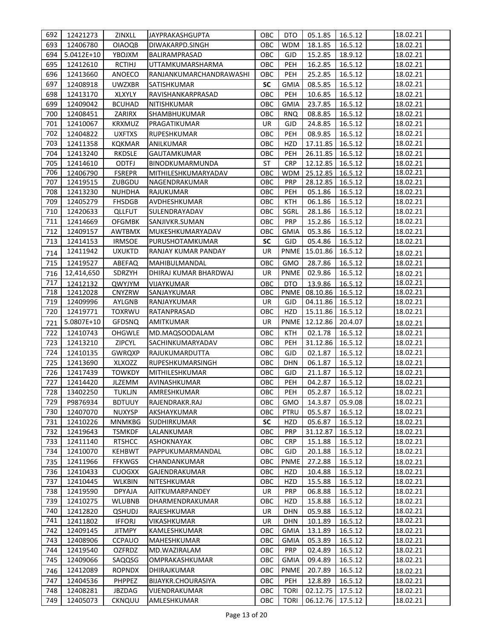| 692 | 12421273     | ZINXLL        | JAYPRAKASHGUPTA         | ОВС       | DTO         | 05.1.85  | 16.5.12 | 18.02.21 |
|-----|--------------|---------------|-------------------------|-----------|-------------|----------|---------|----------|
| 693 | 12406780     | <b>OIAOQB</b> | DIWAKARPD.SINGH         | OBC       | <b>WDM</b>  | 18.1.85  | 16.5.12 | 18.02.21 |
| 694 | $5.0412E+10$ | YBOJXM        | BALIRAMPRASAD           | OBC       | <b>GJD</b>  | 15.2.85  | 18.9.12 | 18.02.21 |
| 695 | 12412610     | <b>RCTIHJ</b> | UTTAMKUMARSHARMA        | OBC       | PEH         | 16.2.85  | 16.5.12 | 18.02.21 |
| 696 | 12413660     | ANOECO        | RANJANKUMARCHANDRAWASHI | OBC       | PEH         | 25.2.85  | 16.5.12 | 18.02.21 |
| 697 | 12408918     | <b>UWZXBR</b> | <b>SATISHKUMAR</b>      | <b>SC</b> | <b>GMIA</b> | 08.5.85  | 16.5.12 | 18.02.21 |
| 698 | 12413170     | XLXYLY        | RAVISHANKARPRASAD       | OBC       | PEH         | 10.6.85  | 16.5.12 | 18.02.21 |
| 699 | 12409042     | <b>BCUHAD</b> | NITISHKUMAR             | OBC       | <b>GMIA</b> | 23.7.85  | 16.5.12 | 18.02.21 |
| 700 | 12408451     | ZARIRX        | SHAMBHUKUMAR            | OBC       | <b>RNQ</b>  | 08.8.85  | 16.5.12 | 18.02.21 |
| 701 | 12410067     | <b>KRXMUZ</b> | PRAGATIKUMAR            | <b>UR</b> | <b>GJD</b>  | 24.8.85  | 16.5.12 | 18.02.21 |
| 702 | 12404822     | <b>UXFTXS</b> | <b>RUPESHKUMAR</b>      | OBC       | PEH         | 08.9.85  | 16.5.12 | 18.02.21 |
| 703 | 12411358     | <b>KQKMAR</b> | ANILKUMAR               | OBC       | <b>HZD</b>  | 17.11.85 | 16.5.12 | 18.02.21 |
| 704 | 12413240     | <b>RKDSLE</b> | GAUTAMKUMAR             | OBC       | PEH         | 26.11.85 | 16.5.12 | 18.02.21 |
| 705 | 12414610     | <b>ODTFJ</b>  | BINODKUMARMUNDA         | <b>ST</b> | <b>CRP</b>  | 12.12.85 | 16.5.12 | 18.02.21 |
| 706 | 12406790     | <b>FSREPR</b> | MITHILESHKUMARYADAV     | OBC       | <b>WDM</b>  | 25.12.85 | 16.5.12 | 18.02.21 |
| 707 | 12419515     | ZUBGDU        | NAGENDRAKUMAR           | OBC       | <b>PRP</b>  | 28.12.85 | 16.5.12 | 18.02.21 |
| 708 | 12413230     | NUHDHA        | RAJUKUMAR               | OBC       | <b>PEH</b>  | 05.1.86  | 16.5.12 | 18.02.21 |
| 709 | 12405279     | <b>FHSDGB</b> | AVDHESHKUMAR            | OBC       | <b>KTH</b>  | 06.1.86  | 16.5.12 | 18.02.21 |
| 710 | 12420633     | <b>QLLFUT</b> | SULENDRAYADAV           | OBC       | SGRL        | 28.1.86  | 16.5.12 | 18.02.21 |
| 711 | 12414669     | <b>OFGMBK</b> | SANJIVKR.SUMAN          | OBC       | PRP         | 15.2.86  | 16.5.12 | 18.02.21 |
| 712 | 12409157     | <b>AWTBMX</b> | MUKESHKUMARYADAV        | OBC       | <b>GMIA</b> | 05.3.86  | 16.5.12 | 18.02.21 |
| 713 | 12414153     | <b>IRMSOE</b> | PURUSHOTAMKUMAR         | <b>SC</b> | <b>GJD</b>  | 05.4.86  | 16.5.12 | 18.02.21 |
| 714 | 12411942     | <b>UXUKTD</b> | RANJAY KUMAR PANDAY     | UR        | <b>PNME</b> | 15.01.86 | 16.5.12 | 18.02.21 |
| 715 | 12419527     | ABEFAQ        | MAHIBULMANDAL           | ОВС       | <b>GMO</b>  | 28.7.86  | 16.5.12 | 18.02.21 |
| 716 | 12,414,650   | SDRZYH        | DHIRAJ KUMAR BHARDWAJ   | <b>UR</b> | <b>PNME</b> | 02.9.86  | 16.5.12 | 18.02.21 |
| 717 | 12412132     | QWYJYM        | VIJAYKUMAR              | OBC       | <b>DTO</b>  | 13.9.86  | 16.5.12 | 18.02.21 |
| 718 | 12412028     | CNYZRW        | SANJAYKUMAR             | OBC       | <b>PNME</b> | 08.10.86 | 16.5.12 | 18.02.21 |
| 719 | 12409996     | AYLGNB        | RANJAYKUMAR             | <b>UR</b> | <b>GJD</b>  | 04.11.86 | 16.5.12 | 18.02.21 |
| 720 | 12419771     | <b>TOXRWU</b> | RATANPRASAD             | OBC       | <b>HZD</b>  | 15.11.86 | 16.5.12 | 18.02.21 |
| 721 | 5.0807E+10   | <b>GFDSNQ</b> | AMITKUMAR               | UR        | <b>PNME</b> | 12.12.86 | 20.4.07 | 18.02.21 |
| 722 | 12410743     | <b>OHGWLE</b> | MD.MAQSOODALAM          | OBC       | <b>KTH</b>  | 02.1.78  | 16.5.12 | 18.02.21 |
| 723 | 12413210     | ZIPCYL        | SACHINKUMARYADAV        | OBC       | PEH         | 31.12.86 | 16.5.12 | 18.02.21 |
| 724 | 12410135     | <b>GWRQXP</b> | RAJUKUMARDUTTA          | OBC       | <b>GJD</b>  | 02.1.87  | 16.5.12 | 18.02.21 |
| 725 | 12413690     | XLXOZZ        | RUPESHKUMARSINGH        | OBC       | <b>DHN</b>  | 06.1.87  | 16.5.12 | 18.02.21 |
| 726 | 12417439     | <b>TOWKDY</b> | MITHILESHKUMAR          | OBC       | <b>GJD</b>  | 21.1.87  | 16.5.12 | 18.02.21 |
| 727 | 12414420     | JLZEMM        | AVINASHKUMAR            | OBC       | <b>PEH</b>  | 04.2.87  | 16.5.12 | 18.02.21 |
| 728 | 13402250     | <b>TUKLJN</b> | AMRESHKUMAR             | OBC       | PEH         | 05.2.87  | 16.5.12 | 18.02.21 |
| 729 | P9876934     | <b>BDTUUY</b> | RAJENDRAKR.RAJ          | OBC       | GMO         | 14.3.87  | 05.9.08 | 18.02.21 |
| 730 | 12407070     | <b>NUXYSP</b> | AKSHAYKUMAR             | OBC       | <b>PTRU</b> | 05.5.87  | 16.5.12 | 18.02.21 |
| 731 | 12410226     | <b>MNMKBG</b> | SUDHIRKUMAR             | SC        | HZD         | 05.6.87  | 16.5.12 | 18.02.21 |
| 732 | 12419643     | <b>TSMKDF</b> | LALANKUMAR              | OBC       | <b>PRP</b>  | 31.12.87 | 16.5.12 | 18.02.21 |
| 733 | 12411140     | <b>RTSHCC</b> | ASHOKNAYAK              | OBC       | <b>CRP</b>  | 15.1.88  | 16.5.12 | 18.02.21 |
| 734 | 12410070     | <b>KEHBWT</b> | PAPPUKUMARMANDAL        | OBC       | GJD         | 20.1.88  | 16.5.12 | 18.02.21 |
| 735 | 12411966     | <b>FFKWGS</b> | CHANDANKUMAR            | ОВС       | <b>PNME</b> | 27.2.88  | 16.5.12 | 18.02.21 |
| 736 | 12410433     | <b>CUOGXX</b> | GAJENDRAKUMAR           | OBC       | HZD         | 10.4.88  | 16.5.12 | 18.02.21 |
| 737 | 12410445     | <b>WLKBIN</b> | NITESHKUMAR             | OBC       | HZD         | 15.5.88  | 16.5.12 | 18.02.21 |
| 738 | 12419590     | <b>DPYAJA</b> | AJITKUMARPANDEY         | UR        | <b>PRP</b>  | 06.8.88  | 16.5.12 | 18.02.21 |
| 739 | 12410275     | <b>WLUBNB</b> | DHARMENDRAKUMAR         | OBC       | HZD         | 15.8.88  | 16.5.12 | 18.02.21 |
| 740 | 12412820     | <b>QSHUDJ</b> | RAJESHKUMAR             | UR        | <b>DHN</b>  | 05.9.88  | 16.5.12 | 18.02.21 |
| 741 | 12411802     | <b>IFFORJ</b> | VIKASHKUMAR             | UR        | <b>DHN</b>  | 10.1.89  | 16.5.12 | 18.02.21 |
| 742 | 12409145     | <b>JITMPY</b> | KAMLESHKUMAR            | ОВС       | <b>GMIA</b> | 13.1.89  | 16.5.12 | 18.02.21 |
| 743 | 12408906     | <b>CCPAUO</b> | MAHESHKUMAR             | OBC       | <b>GMIA</b> | 05.3.89  | 16.5.12 | 18.02.21 |
| 744 | 12419540     | <b>OZFRDZ</b> | MD.WAZIRALAM            | OBC       | <b>PRP</b>  | 02.4.89  | 16.5.12 | 18.02.21 |
| 745 | 12409066     | SAQQSG        | OMPRAKASHKUMAR          | OBC       | GMIA        | 09.4.89  | 16.5.12 | 18.02.21 |
| 746 | 12412089     | <b>ROPNDX</b> | DHIRAJKUMAR             | OBC       | <b>PNME</b> | 20.7.89  | 16.5.12 | 18.02.21 |
| 747 | 12404536     | <b>PHPPEZ</b> | BIJAYKR.CHOURASIYA      | OBC       | PEH         | 12.8.89  | 16.5.12 | 18.02.21 |
| 748 | 12408281     | JBZDAG        | VIJENDRAKUMAR           | OBC       | <b>TORI</b> | 02.12.75 | 17.5.12 | 18.02.21 |
| 749 | 12405073     | CKNQUU        | AMLESHKUMAR             | OBC       | <b>TORI</b> | 06.12.76 | 17.5.12 | 18.02.21 |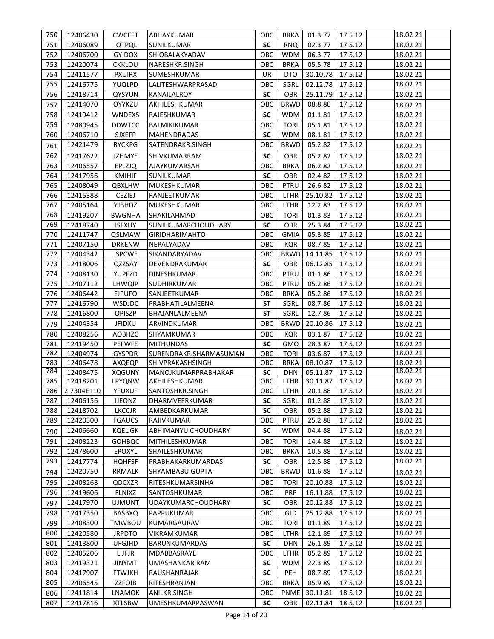| 750 | 12406430       | <b>CWCEFT</b> | ABHAYKUMAR                | ОВС       | <b>BRKA</b> | 01.3.77                  | 17.5.12 | 18.02.21 |
|-----|----------------|---------------|---------------------------|-----------|-------------|--------------------------|---------|----------|
| 751 | 12406089       | <b>IOTPQL</b> | <b>SUNILKUMAR</b>         | <b>SC</b> | <b>RNQ</b>  | 02.3.77                  | 17.5.12 | 18.02.21 |
| 752 | 12406700       | <b>GYIDOX</b> | SHIOBALAKYADAV            | OBC       | <b>WDM</b>  | 06.3.77                  | 17.5.12 | 18.02.21 |
| 753 | 12420074       | <b>CKKLOU</b> | NARESHKR.SINGH            | OBC       | <b>BRKA</b> | 05.5.78                  | 17.5.12 | 18.02.21 |
| 754 | 12411577       | <b>PXUIRX</b> | SUMESHKUMAR               | <b>UR</b> | <b>DTO</b>  | 30.10.78                 | 17.5.12 | 18.02.21 |
| 755 | 12416775       | YUQLPD        | LALITESHWARPRASAD         | OBC       | SGRL        | 02.12.78                 | 17.5.12 | 18.02.21 |
| 756 | 12418714       | QYSYUN        | KANAILALROY               | SC        | <b>OBR</b>  | 25.11.79                 | 17.5.12 | 18.02.21 |
| 757 | 12414070       | OYYKZU        | AKHILESHKUMAR             | OBC       | <b>BRWD</b> | 08.8.80                  | 17.5.12 | 18.02.21 |
| 758 | 12419412       | <b>WNDEXS</b> | RAJESHKUMAR               | <b>SC</b> | <b>WDM</b>  | 01.1.81                  | 17.5.12 | 18.02.21 |
| 759 | 12480945       | <b>DDWTCC</b> | BALMIKIKUMAR              | OBC       | <b>TORI</b> | 05.1.81                  | 17.5.12 | 18.02.21 |
| 760 | 12406710       | <b>SJXEFP</b> | <b>MAHENDRADAS</b>        | <b>SC</b> | <b>WDM</b>  | 08.1.81                  | 17.5.12 | 18.02.21 |
| 761 | 12421479       | <b>RYCKPG</b> | SATENDRAKR.SINGH          | ОВС       | <b>BRWD</b> | 05.2.82                  | 17.5.12 | 18.02.21 |
| 762 | 12417622       | JZHMYE        | SHIVKUMARRAM              | <b>SC</b> | <b>OBR</b>  | 05.2.82                  | 17.5.12 | 18.02.21 |
| 763 | 12406557       | EPLZJQ        | AJAYKUMARSAH              | OBC       | <b>BRKA</b> | 06.2.82                  | 17.5.12 | 18.02.21 |
| 764 | 12417956       | <b>KMIHIF</b> | SUNILKUMAR                | <b>SC</b> | <b>OBR</b>  | 02.4.82                  | 17.5.12 | 18.02.21 |
| 765 | 12408049       | <b>QBXLHW</b> | MUKESHKUMAR               | OBC       | PTRU        | 26.6.82                  | 17.5.12 | 18.02.21 |
| 766 | 12415388       | CEZIEJ        | RANJEETKUMAR              | OBC       | <b>LTHR</b> | 25.10.82                 | 17.5.12 | 18.02.21 |
| 767 | 12405164       | <b>YJBHDZ</b> | MUKESHKUMAR               | OBC       | <b>LTHR</b> | 12.2.83                  | 17.5.12 | 18.02.21 |
| 768 | 12419207       | <b>BWGNHA</b> | SHAKILAHMAD               | OBC       | <b>TORI</b> | 01.3.83                  | 17.5.12 | 18.02.21 |
| 769 | 12418740       | <b>ISFXUY</b> | SUNILKUMARCHOUDHARY       | <b>SC</b> | <b>OBR</b>  | 25.3.84                  | 17.5.12 | 18.02.21 |
| 770 | 12411747       | QSLMAW        | <b>GIRIDHARIMAHTO</b>     | OBC       | <b>GMIA</b> | 05.3.85                  | 17.5.12 | 18.02.21 |
| 771 | 12407150       | <b>DRKENW</b> | NEPALYADAV                | OBC       | <b>KQR</b>  | 08.7.85                  | 17.5.12 | 18.02.21 |
| 772 | 12404342       | <b>JSPCWE</b> | SIKANDARYADAV             | OBC       | <b>BRWD</b> | 14.11.85                 | 17.5.12 | 18.02.21 |
| 773 | 12418006       | QZZSAY        | DEVENDRAKUMAR             | <b>SC</b> | <b>OBR</b>  | 06.12.85                 | 17.5.12 | 18.02.21 |
| 774 | 12408130       | YUPFZD        | <b>DINESHKUMAR</b>        | OBC       | PTRU        | 01.1.86                  | 17.5.12 | 18.02.21 |
| 775 | 12407112       | <b>LHWQIP</b> | SUDHIRKUMAR               | OBC       | PTRU        | 05.2.86                  | 17.5.12 | 18.02.21 |
| 776 | 12406442       | <b>EJPUFO</b> | SANJEETKUMAR              | OBC       | <b>BRKA</b> | 05.2.86                  | 17.5.12 | 18.02.21 |
| 777 | 12416790       | <b>WSDJDC</b> | PRABHATILALMEENA          | <b>ST</b> | SGRL        | 08.7.86                  | 17.5.12 | 18.02.21 |
| 778 | 12416800       | <b>OPISZP</b> | BHAJANLALMEENA            | <b>ST</b> | SGRL        | 12.7.86                  | 17.5.12 | 18.02.21 |
| 779 | 12404354       | <b>JFIDXU</b> | ARVINDKUMAR               | OBC       | <b>BRWD</b> | 20.10.86                 | 17.5.12 | 18.02.21 |
| 780 | 12408256       | <b>AOBHZC</b> | SHYAMKUMAR                | OBC       | KQR         | 03.1.87                  | 17.5.12 | 18.02.21 |
| 781 | 12419450       | <b>PEFWFE</b> | <b>MITHUNDAS</b>          | <b>SC</b> | GMO         | 28.3.87                  | 17.5.12 | 18.02.21 |
| 782 | 12404974       | <b>GYSPDR</b> | SURENDRAKR.SHARMASUMAN    | OBC       | <b>TORI</b> | 03.6.87                  | 17.5.12 | 18.02.21 |
| 783 | 12406478       | AXQEQP        | SHIVPRAKASHSINGH          | OBC       | <b>BRKA</b> | 08.10.87                 | 17.5.12 | 18.02.21 |
| 784 | 12408475       | <b>XQGUNY</b> | MANOJKUMARPRABHAKAR       | <b>SC</b> | <b>DHN</b>  | 05.11.87                 | 17.5.12 | 18.02.21 |
| 785 | 12418201       | LPYQNW        | AKHILESHKUMAR             | OBC       | <b>LTHR</b> | 30.11.87 17.5.12         |         | 18.02.21 |
|     | 786 2.7304E+10 | YFUXUF        | SANTOSHKR.SINGH           |           |             | OBC LTHR 20.1.88 17.5.12 |         | 18.02.21 |
| 787 | 12406156       | <b>IJEONZ</b> | DHARMVEERKUMAR            | SC        | SGRL        | 01.2.88                  | 17.5.12 | 18.02.21 |
| 788 | 12418702       | <b>LKCCJR</b> | AMBEDKARKUMAR             | <b>SC</b> | OBR         | 05.2.88                  | 17.5.12 | 18.02.21 |
| 789 | 12420300       | <b>FGAUCS</b> | RAJIVKUMAR                | OBC       | <b>PTRU</b> | 25.2.88                  | 17.5.12 | 18.02.21 |
| 790 | 12406660       | <b>KQEUGK</b> | ABHIMANYU CHOUDHARY       | SC        | <b>WDM</b>  | 04.4.88                  | 17.5.12 | 18.02.21 |
| 791 | 12408223       | <b>GOHBQC</b> | MITHILESHKUMAR            | OBC       | <b>TORI</b> | 14.4.88                  | 17.5.12 | 18.02.21 |
| 792 | 12478600       | EPOXYL        | SHAILESHKUMAR             | ОВС       | <b>BRKA</b> | 10.5.88                  | 17.5.12 | 18.02.21 |
| 793 | 12417774       | <b>HQHFSF</b> | PRABHAKARKUMARDAS         | <b>SC</b> | OBR         | 12.5.88                  | 17.5.12 | 18.02.21 |
| 794 | 12420750       | <b>RRMALK</b> | SHYAMBABU GUPTA           | OBC       | <b>BRWD</b> | 01.6.88                  | 17.5.12 | 18.02.21 |
| 795 | 12408268       | QDCXZR        | RITESHKUMARSINHA          | OBC       | <b>TORI</b> | 20.10.88                 | 17.5.12 | 18.02.21 |
| 796 | 12419606       | <b>FLNIXZ</b> | SANTOSHKUMAR              | OBC       | <b>PRP</b>  | 16.11.88                 | 17.5.12 | 18.02.21 |
| 797 | 12417970       | <b>UJMUNT</b> | <b>UDAYKUMARCHOUDHARY</b> | <b>SC</b> | OBR         | 20.12.88                 | 17.5.12 | 18.02.21 |
| 798 | 12417350       | <b>BASBXQ</b> | PAPPUKUMAR                | OBC       | GJD         | 25.12.88                 | 17.5.12 | 18.02.21 |
| 799 | 12408300       | <b>TMWBOU</b> | KUMARGAURAV               | OBC       | <b>TORI</b> | 01.1.89                  | 17.5.12 | 18.02.21 |
| 800 | 12420580       | <b>JRPDTO</b> | VIKRAMKUMAR               | OBC       | LTHR        | 12.1.89                  | 17.5.12 | 18.02.21 |
| 801 | 12413800       | <b>UFGJHD</b> | BARUNKUMARDAS             | <b>SC</b> | <b>DHN</b>  | 26.1.89                  | 17.5.12 | 18.02.21 |
| 802 | 12405206       | LIJFJR        | MDABBASRAYE               | OBC       | LTHR        | 05.2.89                  | 17.5.12 | 18.02.21 |
| 803 | 12419321       | <b>JINYMT</b> | UMASHANKAR RAM            | SC        | WDM         | 22.3.89                  | 17.5.12 | 18.02.21 |
| 804 | 12417907       | <b>FTWJKH</b> | RAUSHANRAJAK              | <b>SC</b> | PEH         | 08.7.89                  | 17.5.12 | 18.02.21 |
| 805 | 12406545       | ZZFOIB        | RITESHRANJAN              | OBC       | <b>BRKA</b> | 05.9.89                  | 17.5.12 | 18.02.21 |
| 806 | 12411814       | <b>LNAMOK</b> | ANILKR.SINGH              | OBC       | PNME        | 30.11.81                 | 18.5.12 | 18.02.21 |
| 807 | 12417816       | <b>XTLSBW</b> | UMESHKUMARPASWAN          | SC        | <b>OBR</b>  | 02.11.84                 | 18.5.12 | 18.02.21 |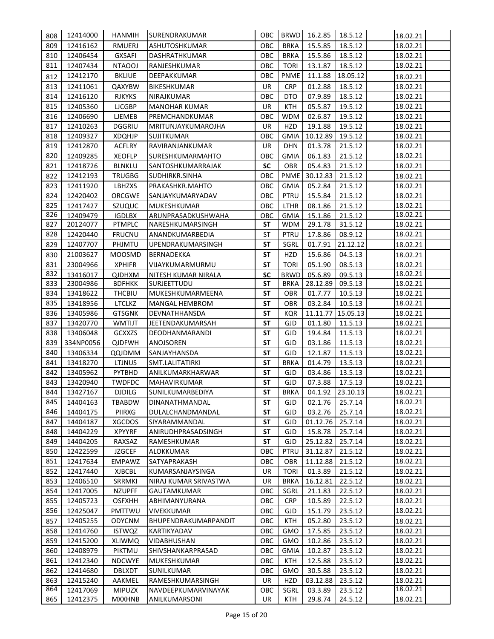| 808 | 12414000  | <b>HANMIH</b> | SURENDRAKUMAR         | ОВС                      | <b>BRWD</b> | 16.2.85          | 18.5.12  | 18.02.21 |
|-----|-----------|---------------|-----------------------|--------------------------|-------------|------------------|----------|----------|
| 809 | 12416162  | <b>RMUERJ</b> | ASHUTOSHKUMAR         | OBC                      | <b>BRKA</b> | 15.5.85          | 18.5.12  | 18.02.21 |
| 810 | 12406454  | <b>GXSAFI</b> | <b>DASHRATHKUMAR</b>  | OBC                      | <b>BRKA</b> | 15.5.86          | 18.5.12  | 18.02.21 |
| 811 | 12407434  | <b>NTAOOJ</b> | RANJESHKUMAR          | OBC                      | <b>TORI</b> | 13.1.87          | 18.5.12  | 18.02.21 |
| 812 | 12412170  | <b>BKLIUE</b> | DEEPAKKUMAR           | OBC                      | <b>PNME</b> | 11.1.88          | 18.05.12 | 18.02.21 |
| 813 | 12411061  | QAXYBW        | <b>BIKESHKUMAR</b>    | <b>UR</b>                | <b>CRP</b>  | 01.2.88          | 18.5.12  | 18.02.21 |
| 814 | 12416120  | <b>RJKYKS</b> | NIRAJKUMAR            | OBC                      | <b>DTO</b>  | 07.9.89          | 18.5.12  | 18.02.21 |
| 815 | 12405360  | <b>LJCGBP</b> | <b>MANOHAR KUMAR</b>  | <b>UR</b>                | <b>KTH</b>  | 05.5.87          | 19.5.12  | 18.02.21 |
| 816 | 12406690  | LJEMEB        | PREMCHANDKUMAR        | OBC                      | <b>WDM</b>  | 02.6.87          | 19.5.12  | 18.02.21 |
| 817 | 12410263  | <b>DGGRIU</b> | MRITUNJAYKUMAROJHA    | UR                       | <b>HZD</b>  | 19.1.88          | 19.5.12  | 18.02.21 |
| 818 | 12409327  | <b>XDQHJP</b> | SUJITKUMAR            | овс                      | GMIA        | 10.12.89         | 19.5.12  | 18.02.21 |
| 819 | 12412870  | <b>ACFLRY</b> | RAVIRANJANKUMAR       | UR                       | <b>DHN</b>  | 01.3.78          | 21.5.12  | 18.02.21 |
| 820 | 12409285  | <b>XEOFLP</b> | SURESHKUMARMAHTO      | овс                      | GMIA        | 06.1.83          | 21.5.12  | 18.02.21 |
| 821 | 12418726  | <b>BLNKLU</b> | SANTOSHKUMARRAJAK     | <b>SC</b>                | <b>OBR</b>  | 05.4.83          | 21.5.12  | 18.02.21 |
| 822 | 12412193  | <b>TRUGBG</b> | SUDHIRKR.SINHA        | OBC                      | <b>PNME</b> | 30.12.83         | 21.5.12  | 18.02.21 |
| 823 | 12411920  | LBHZXS        | PRAKASHKR.MAHTO       | OBC                      | <b>GMIA</b> | 05.2.84          | 21.5.12  | 18.02.21 |
| 824 | 12420402  | ORCGWE        | SANJAYKUMARYADAV      | OBC                      | PTRU        | 15.5.84          | 21.5.12  | 18.02.21 |
| 825 | 12417427  | SZUQUC        | MUKESHKUMAR           | OBC                      | <b>LTHR</b> | 08.1.86          | 21.5.12  | 18.02.21 |
| 826 | 12409479  | <b>IGDLBX</b> | ARUNPRASADKUSHWAHA    | OBC                      | <b>GMIA</b> | 15.1.86          | 21.5.12  | 18.02.21 |
| 827 | 20124077  | <b>PTMPLC</b> | NARESHKUMARSINGH      | SΤ                       | <b>WDM</b>  | 29.1.78          | 31.5.12  | 18.02.21 |
| 828 | 12420440  | <b>FRUCNU</b> | ANANDKUMARBEDIA       | ST                       | PTRU        | 17.8.86          | 08.9.12  | 18.02.21 |
| 829 | 12407707  | PHJMTU        | UPENDRAKUMARSINGH     | <b>ST</b>                | SGRL        | 01.7.91          | 21.12.12 | 18.02.21 |
| 830 | 21003627  | <b>MOOSMD</b> | BERNADEKKA            | <b>ST</b>                | <b>HZD</b>  | 15.6.86          | 04.5.13  | 18.02.21 |
| 831 | 23004966  | <b>XPHIFR</b> | VIJAYKUMARMURMU       | <b>ST</b>                | <b>TORI</b> | 05.1.90          | 08.5.13  | 18.02.21 |
| 832 | 13416017  | <b>QJDHXM</b> | NITESH KUMAR NIRALA   | <b>SC</b>                | <b>BRWD</b> | 05.6.89          | 09.5.13  | 18.02.21 |
| 833 | 23004986  | <b>BDFHKK</b> | SURJEETTUDU           | <b>ST</b>                | <b>BRKA</b> | 28.12.89         | 09.5.13  | 18.02.21 |
| 834 | 13418622  | <b>THCBIU</b> | MUKESHKUMARMEENA      | <b>ST</b>                | <b>OBR</b>  | 01.7.77          | 10.5.13  | 18.02.21 |
| 835 | 13418956  | <b>LTCLKZ</b> | MANGAL HEMBROM        | <b>ST</b>                | <b>OBR</b>  | 03.2.84          | 10.5.13  | 18.02.21 |
| 836 | 13405986  | <b>GTSGNK</b> | DEVNATHHANSDA         | <b>ST</b>                | <b>KQR</b>  | 11.11.77         | 15.05.13 | 18.02.21 |
| 837 | 13420770  | <b>WMTIJT</b> | JEETENDAKUMARSAH      | SΤ                       | <b>GJD</b>  | 01.1.80          | 11.5.13  | 18.02.21 |
| 838 | 13406048  | GCXXZS        | DEODHANMARANDI        | <b>ST</b>                | <b>GJD</b>  | 19.4.84          | 11.5.13  | 18.02.21 |
| 839 | 334NP0056 | <b>QJDFWH</b> | ANOJSOREN             | <b>ST</b>                | <b>GJD</b>  | 03.1.86          | 11.5.13  | 18.02.21 |
| 840 | 13406334  | QQJDMM        | <b>SANJAYHANSDA</b>   | <b>ST</b>                | <b>GJD</b>  | 12.1.87          | 11.5.13  | 18.02.21 |
| 841 | 13418270  | <b>LTJNUS</b> | SMT.LALITATIRKI       | SΤ                       | <b>BRKA</b> | 01.4.79          | 13.5.13  | 18.02.21 |
| 842 | 13405962  | PYTBHD        | ANILKUMARKHARWAR      | <b>ST</b>                | <b>GJD</b>  | 03.4.86          | 13.5.13  | 18.02.21 |
| 843 | 13420940  | <b>TWDFDC</b> | <b>MAHAVIRKUMAR</b>   | <b>ST</b>                | <b>GJD</b>  | 07.3.88          | 17.5.13  | 18.02.21 |
| 844 | 13427167  | <b>DJDILG</b> | SUNILKUMARBEDIYA      | $\overline{\mathsf{ST}}$ | <b>BRKA</b> | 04.1.92 23.10.13 |          | 18.02.21 |
| 845 | 14404163  | <b>TBABDW</b> | DINANATHMANDAL        | SΤ                       | GJD.        | 02.1.76          | 25.7.14  | 18.02.21 |
| 846 | 14404175  | PIIRXG        | DULALCHANDMANDAL      | SΤ                       | GJD         | 03.2.76          | 25.7.14  | 18.02.21 |
| 847 | 14404187  | <b>XGCDOS</b> | SIYARAMMANDAL         | SΤ                       | GJD         | 01.12.76         | 25.7.14  | 18.02.21 |
| 848 | 14404229  | <b>XPYYRF</b> | ANIRUDHPRASADSINGH    | SΤ                       | GJD         | 15.8.78          | 25.7.14  | 18.02.21 |
| 849 | 14404205  | RAXSAZ        | RAMESHKUMAR           | SΤ                       | GJD         | 25.12.82         | 25.7.14  | 18.02.21 |
| 850 | 12422599  | <b>JZGCEF</b> | ALOKKUMAR             | овс                      | <b>PTRU</b> | 31.12.87         | 21.5.12  | 18.02.21 |
| 851 | 12417634  | <b>EMPAWZ</b> | SATYAPRAKASH          | ОВС                      | OBR         | 11.12.88         | 21.5.12  | 18.02.21 |
| 852 | 12417440  | XJBCBL        | KUMARSANJAYSINGA      | UR                       | <b>TORI</b> | 01.3.89          | 21.5.12  | 18.02.21 |
| 853 | 12406510  | SRRMKI        | NIRAJ KUMAR SRIVASTWA | UR                       | <b>BRKA</b> | 16.12.81         | 22.5.12  | 18.02.21 |
| 854 | 12417005  | <b>NZUPFF</b> | <b>GAUTAMKUMAR</b>    | OBC                      | SGRL        | 21.1.83          | 22.5.12  | 18.02.21 |
| 855 | 12405723  | <b>OSFXHH</b> | ABHIMANYURANA         | OBC                      | <b>CRP</b>  | 10.5.89          | 22.5.12  | 18.02.21 |
| 856 | 12425047  | PMTTWU        | VIVEKKUMAR            | OBC                      | <b>GJD</b>  | 15.1.79          | 23.5.12  | 18.02.21 |
| 857 | 12405255  | <b>ODYCNM</b> | BHUPENDRAKUMARPANDIT  | OBC                      | KTH         | 05.2.80          | 23.5.12  | 18.02.21 |
| 858 | 12414760  | <b>ISTWQZ</b> | KARTIKYADAV           | OBC                      | GMO         | 17.5.85          | 23.5.12  | 18.02.21 |
| 859 | 12415200  | <b>XLIWMQ</b> | VIDABHUSHAN           | ОВС                      | GMO         | 10.2.86          | 23.5.12  | 18.02.21 |
| 860 | 12408979  | PIKTMU        | SHIVSHANKARPRASAD     | OBC                      | <b>GMIA</b> | 10.2.87          | 23.5.12  | 18.02.21 |
| 861 | 12412340  | <b>NDCWYE</b> | MUKESHKUMAR           | OBC                      | KTH         | 12.5.88          | 23.5.12  | 18.02.21 |
| 862 | 12414680  | <b>DBLXDT</b> | SUNILKUMAR            | OBC                      | <b>GMO</b>  | 30.5.88          | 23.5.12  | 18.02.21 |
| 863 | 12415240  | AAKMEL        | RAMESHKUMARSINGH      | <b>UR</b>                | <b>HZD</b>  | 03.12.88         | 23.5.12  | 18.02.21 |
| 864 | 12417069  | <b>MIPUZX</b> | NAVDEEPKUMARVINAYAK   | OBC                      | SGRL        | 03.3.89          | 23.5.12  | 18.02.21 |
| 865 | 12412375  | <b>MXXHNB</b> | ANILKUMARSONI         | UR                       | KTH         | 29.8.74          | 24.5.12  | 18.02.21 |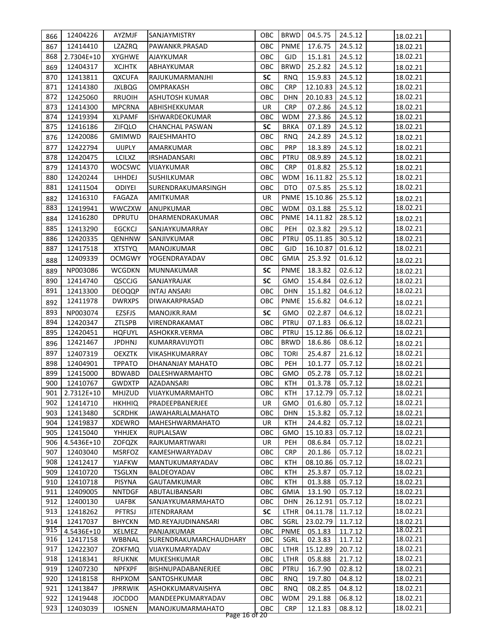| 866        | 12404226               | AYZMJF           | SANJAYMISTRY                          | ОВС               | <b>BRWD</b>         | 04.5.75            | 24.5.12            | 18.02.21             |
|------------|------------------------|------------------|---------------------------------------|-------------------|---------------------|--------------------|--------------------|----------------------|
| 867        | 12414410               | <b>LZAZRQ</b>    | PAWANKR.PRASAD                        | OBC               | <b>PNME</b>         | 17.6.75            | 24.5.12            | 18.02.21             |
| 868        | 2.7304E+10             | <b>XYGHWE</b>    | <b>AJAYKUMAR</b>                      | OBC               | <b>GJD</b>          | 15.1.81            | 24.5.12            | 18.02.21             |
| 869        | 12404317               | <b>XCJHTK</b>    | ABHAYKUMAR                            | OBC               | <b>BRWD</b>         | 25.2.82            | 24.5.12            | 18.02.21             |
| 870        | 12413811               | <b>QXCUFA</b>    | RAJUKUMARMANJHI                       | SC                | <b>RNQ</b>          | 15.9.83            | 24.5.12            | 18.02.21             |
| 871        | 12414380               | <b>JXLBQG</b>    | OMPRAKASH                             | OBC               | <b>CRP</b>          | 12.10.83           | 24.5.12            | 18.02.21             |
| 872        | 12425060               | <b>RRUOIH</b>    | <b>ASHUTOSH KUMAR</b>                 | ОВС               | DHN                 | 20.10.83           | 24.5.12            | 18.02.21             |
| 873        | 12414300               | <b>MPCRNA</b>    | ABHISHEKKUMAR                         | <b>UR</b>         | <b>CRP</b>          | 07.2.86            | 24.5.12            | 18.02.21             |
| 874        | 12419394               | <b>XLPAMF</b>    | ISHWARDEOKUMAR                        | ОВС               | <b>WDM</b>          | 27.3.86            | 24.5.12            | 18.02.21             |
| 875        | 12416186               | <b>ZIFQLO</b>    | <b>CHANCHAL PASWAN</b>                | <b>SC</b>         | <b>BRKA</b>         | 07.1.89            | 24.5.12            | 18.02.21             |
| 876        | 12420086               | <b>GMIMWD</b>    | <b>RAJESHMAHTO</b>                    | OBC               | <b>RNQ</b>          | 24.2.89            | 24.5.12            | 18.02.21             |
| 877        | 12422794               | <b>UIJPLY</b>    | AMARKUMAR                             | OBC               | <b>PRP</b>          | 18.3.89            | 24.5.12            | 18.02.21             |
| 878        | 12420475               | <b>LCILXZ</b>    | <b>IRSHADANSARI</b>                   | OBC               | PTRU                | 08.9.89            | 24.5.12            | 18.02.21             |
| 879        | 12414370               | <b>WOCSWC</b>    | <b>VIJAYKUMAR</b>                     | OBC               | <b>CRP</b>          | 01.8.82            | 25.5.12            | 18.02.21             |
| 880        | 12420244               | <b>LHHDEJ</b>    | <b>SUSHILKUMAR</b>                    | OBC               | <b>WDM</b>          | 16.11.82           | 25.5.12            | 18.02.21             |
| 881        | 12411504               | <b>ODIYEI</b>    | SURENDRAKUMARSINGH                    | OBC               | DTO                 | 07.5.85            | 25.5.12            | 18.02.21             |
| 882        | 12416310               | FAGAZA           | <b>AMITKUMAR</b>                      | <b>UR</b>         |                     | PNME 15.10.86      | 25.5.12            | 18.02.21             |
| 883        | 12419941               | <b>WWCZXW</b>    | ANUPKUMAR                             | OBC               | <b>WDM</b>          | 03.1.88            | 25.5.12            | 18.02.21             |
| 884        | 12416280               | <b>DPRUTU</b>    | DHARMENDRAKUMAR                       | ОВС               |                     | PNME 14.11.82      | 28.5.12            | 18.02.21             |
| 885        | 12413290               | <b>EGCKCJ</b>    | SANJAYKUMARRAY                        | OBC               | PEH                 | 02.3.82            | 29.5.12            | 18.02.21             |
| 886        | 12420335               | <b>QENHNW</b>    | SANJIVKUMAR                           | OBC               | PTRU                | 05.11.85           | 30.5.12            | 18.02.21             |
| 887        | 12417518               | <b>XTSTYQ</b>    | MANOJKUMAR                            | OBC               | <b>GJD</b>          | 16.10.87           | 01.6.12            | 18.02.21             |
| 888        | 12409339               | <b>OCMGWY</b>    | YOGENDRAYADAV                         | OBC               | <b>GMIA</b>         | 25.3.92            | 01.6.12            | 18.02.21             |
| 889        | NP003086               | <b>WCGDKN</b>    | MUNNAKUMAR                            | <b>SC</b>         | <b>PNME</b>         | 18.3.82            | 02.6.12            | 18.02.21             |
| 890        | 12414740               | QSCCJG           | SANJAYRAJAK                           | <b>SC</b>         | GMO                 | 15.4.84            | 02.6.12            | 18.02.21             |
| 891        | 12413300               | <b>DEOQQP</b>    | INTAJ ANSARI                          | ОВС               | <b>DHN</b>          | 15.1.82            | 04.6.12            | 18.02.21             |
| 892        | 12411978               | <b>DWRXPS</b>    | DIWAKARPRASAD                         | ОВС               | <b>PNME</b>         | 15.6.82            | 04.6.12            |                      |
| 893        | NP003074               | <b>EZSFJS</b>    | MANOJKR.RAM                           | <b>SC</b>         | <b>GMO</b>          | 02.2.87            | 04.6.12            | 18.02.21<br>18.02.21 |
| 894        | 12420347               | <b>ZTLSPB</b>    | VIRENDRAKAMAT                         | ОВС               | PTRU                | 07.1.83            | 06.6.12            | 18.02.21             |
| 895        | 12420451               | HQFUYL           | ASHOKKR.VERMA                         | ОВС               | PTRU                | 15.12.86           | 06.6.12            | 18.02.21             |
| 896        | 12421467               | <b>JPDHNJ</b>    | KUMARRAVIJYOTI                        | OBC               | <b>BRWD</b>         | 18.6.86            | 08.6.12            | 18.02.21             |
| 897        | 12407319               | <b>OEXZTK</b>    | VIKASHKUMARRAY                        | OBC               | <b>TORI</b>         | 25.4.87            | 21.6.12            | 18.02.21             |
| 898        | 12404901               | <b>TPPATO</b>    | DHANANJAY MAHATO                      | OBC               | PEH                 | 10.1.77            | 05.7.12            | 18.02.21             |
| 899        | 12415000               | <b>BDWABD</b>    | DALESHWARMAHTO                        | OBC               | GMO                 | 05.2.78            | 05.7.12            | 18.02.21             |
| 900        | 12410767               | <b>GWDXTP</b>    | AZADANSARI                            | OBC               | KTH                 | 01.3.78            | 05.7.12            | 18.02.21             |
| 901        | 2.7312E+10             | MHJZUD           | VIJAYKUMARMAHTO                       | OBC               | KTH                 | 17.12.79           | 05.7.12            | 18.02.21             |
| 902        | 12414710               | <b>HKHHIQ</b>    | PRADEEPBANERJEE                       | UR                | GMO                 | 01.6.80            | 05.7.12            | 18.02.21             |
| 903        | 12413480               | <b>SCRDHK</b>    | <b>JAWAHARLALMAHATO</b>               | OBC               | DHN                 | 15.3.82            | 05.7.12            | 18.02.21             |
| 904        | 12419837               | <b>XDEWRO</b>    | <b>MAHESHWARMAHATO</b>                | UR                | KTH                 | 24.4.82            | 05.7.12            | 18.02.21             |
| 905        | 12415040               | YHHJEX           | RUPLALSAW                             | ОВС               | <b>GMO</b>          | 15.10.83           | 05.7.12            | 18.02.21             |
| 906        | 4.5436E+10             | <b>ZOFQZK</b>    | RAJKUMARTIWARI                        | UR                | PEH                 | 08.6.84            | 05.7.12            | 18.02.21             |
| 907        | 12403040               | <b>MSRFOZ</b>    | KAMESHWARYADAV                        | OBC               | <b>CRP</b>          | 20.1.86            | 05.7.12            | 18.02.21             |
| 908        | 12412417               | YJAFKW           | MANTUKUMARYADAV                       | OBC               | <b>KTH</b>          | 08.10.86           | 05.7.12            | 18.02.21             |
| 909        | 12410720               | <b>TSGLXN</b>    | BALDEOYADAV                           | OBC               | <b>KTH</b>          | 25.3.87            | 05.7.12            | 18.02.21             |
| 910        | 12410718               | <b>PISYNA</b>    | GAUTAMKUMAR                           | OBC               | <b>KTH</b>          | 01.3.88            | 05.7.12            | 18.02.21             |
| 911        | 12409005               | <b>NNTDGF</b>    | ABUTALIBANSARI                        | OBC               | <b>GMIA</b>         | 13.1.90            | 05.7.12            | 18.02.21             |
| 912        | 12400130               | <b>UAFBK</b>     | SANJAYKUMARMAHATO                     | ОВС               | <b>DHN</b>          | 26.12.91           | 05.7.12            | 18.02.21             |
| 913        | 12418262               | PFTRSJ           | <b>JITENDRARAM</b>                    | <b>SC</b>         | LTHR                | 04.11.78           | 11.7.12            | 18.02.21             |
| 914<br>915 | 12417037               | <b>BHYCKN</b>    | MD.REYAJUDINANSARI                    | OBC               | SGRL                | 23.02.79           | 11.7.12            | 18.02.21<br>18.02.21 |
| 916        | 4.5436E+10<br>12417158 | XELMEZ<br>WBBNAL | PANJAJKUMAR<br>SURENDRAKUMARCHAUDHARY | <b>OBC</b><br>OBC | <b>PNME</b><br>SGRL | 05.1.83<br>02.3.83 | 11.7.12<br>11.7.12 | 18.02.21             |
| 917        | 12422307               | ZOKFMQ           | VIJAYKUMARYADAV                       | OBC               | <b>LTHR</b>         | 15.12.89           | 20.7.12            | 18.02.21             |
| 918        | 12418341               | <b>RFUKNK</b>    | MUKESHKUMAR                           | OBC               | <b>LTHR</b>         | 05.8.88            | 21.7.12            | 18.02.21             |
| 919        | 12407230               | <b>NPFXPF</b>    | BISHNUPADABANERJEE                    | OBC               | PTRU                | 16.7.90            | 02.8.12            | 18.02.21             |
| 920        | 12418158               | <b>RHPXOM</b>    | SANTOSHKUMAR                          | OBC               | <b>RNQ</b>          | 19.7.80            | 04.8.12            | 18.02.21             |
| 921        | 12413847               | <b>JPRRWIK</b>   | ASHOKKUMARVAISHYA                     | OBC               | <b>RNQ</b>          | 08.2.85            | 04.8.12            | 18.02.21             |
| 922        | 12419448               | <b>JOCDDO</b>    | MANDEEPKUMARYADAV                     | ОВС               | WDM                 | 29.1.88            | 06.8.12            | 18.02.21             |
| 923        | 12403039               | <b>IOSNEN</b>    | MANOJKUMARMAHATO                      | ОВС               | <b>CRP</b>          | 12.1.83            | 08.8.12            | 18.02.21             |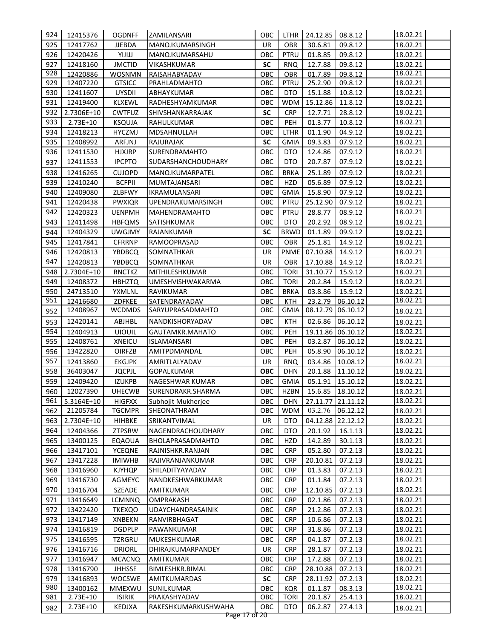| 924        | 12415376               | <b>OGDNFF</b>                  | ZAMILANSARI                          | ОВС        | LTHR                      | 24.12.85                  | 08.8.12              | 18.02.21             |  |
|------------|------------------------|--------------------------------|--------------------------------------|------------|---------------------------|---------------------------|----------------------|----------------------|--|
| 925        | 12417762               | <b>JJEBDA</b>                  | MANOJKUMARSINGH                      | <b>UR</b>  | <b>OBR</b>                | 30.6.81                   | 09.8.12              | 18.02.21             |  |
| 926        | 12420426               | YIJIJJ                         | MANOJKUMARSAHU                       | OBC        | PTRU                      | 01.8.85                   | 09.8.12              | 18.02.21             |  |
| 927        | 12418160               | <b>JMCTID</b>                  | VIKASHKUMAR                          | <b>SC</b>  | <b>RNQ</b>                | 12.7.88                   | 09.8.12              | 18.02.21             |  |
| 928        | 12420886               | <b>WOSNMN</b>                  | RAISAHABYADAV                        | OBC        | <b>OBR</b>                | 01.7.89                   | 09.8.12              | 18.02.21             |  |
| 929        | 12407220               | <b>GTSICC</b>                  | PRAHLADMAHTO                         | OBC        | <b>PTRU</b>               | 25.2.90                   | 09.8.12              | 18.02.21             |  |
| 930        | 12411607               | <b>UYSDII</b>                  | ABHAYKUMAR                           | OBC        | DTO                       | 15.1.88                   | 10.8.12              | 18.02.21             |  |
| 931        | 12419400               | <b>KLXEWL</b>                  | RADHESHYAMKUMAR                      | OBC        | <b>WDM</b>                | 15.12.86                  | 11.8.12              | 18.02.21             |  |
| 932        | 2.7306E+10             | <b>CWTFUZ</b>                  | SHIVSHANKARRAJAK                     | <b>SC</b>  | <b>CRP</b>                | 12.7.71                   | 28.8.12              | 18.02.21             |  |
| 933        | 2.73E+10               | <b>KSQUJA</b>                  | RAHULKUMAR                           | OBC        | PEH                       | 01.3.77                   | 10.8.12              | 18.02.21             |  |
| 934        | 12418213               | <b>HYCZMJ</b>                  | MDSAHNULLAH                          | OBC        | <b>LTHR</b>               | 01.1.90                   | 04.9.12              | 18.02.21             |  |
| 935        | 12408992               | ARFJNJ                         | RAJURAJAK                            | <b>SC</b>  | <b>GMIA</b>               | 09.3.83                   | 07.9.12              | 18.02.21             |  |
| 936        | 12411530               | <b>HJXJRP</b>                  | SURENDRAMAHTO                        | OBC        | DTO                       | 12.4.86                   | 07.9.12              | 18.02.21             |  |
| 937        | 12411553               | <b>IPCPTO</b>                  | SUDARSHANCHOUDHARY                   | OBC        | <b>DTO</b>                | 20.7.87                   | 07.9.12              | 18.02.21             |  |
| 938        | 12416265               | <b>CUJOPD</b>                  | MANOJKUMARPATEL                      | OBC        | <b>BRKA</b>               | 25.1.89                   | 07.9.12              | 18.02.21             |  |
| 939        | 12410240               | <b>BCFPII</b>                  | MUMTAJANSARI                         | OBC        | HZD                       | 05.6.89                   | 07.9.12              | 18.02.21             |  |
| 940        | 12409080               | ZLBFWY                         | IKRAMULANSARI                        | OBC        | <b>GMIA</b>               | 15.8.90                   | 07.9.12              | 18.02.21             |  |
| 941        | 12420438               | <b>PWXIQR</b>                  | UPENDRAKUMARSINGH                    | OBC        | PTRU                      | 25.12.90                  | 07.9.12              | 18.02.21             |  |
| 942        | 12420323               |                                |                                      | OBC        | PTRU                      |                           |                      | 18.02.21             |  |
| 943        | 12411498               | <b>UENPMH</b>                  | MAHENDRAMAHTO                        | OBC        |                           | 28.8.77                   | 08.9.12              |                      |  |
| 944        | 12404329               | <b>HBFQMS</b><br><b>UWGJMY</b> | SATISHKUMAR<br>RAJANKUMAR            | <b>SC</b>  | DTO<br><b>BRWD</b>        | 20.2.92<br>01.1.89        | 08.9.12<br>09.9.12   | 18.02.21             |  |
| 945        |                        |                                |                                      | OBC        | <b>OBR</b>                |                           |                      | 18.02.21             |  |
|            | 12417841               | <b>CFRRNP</b>                  | RAMOOPRASAD                          |            |                           | 25.1.81                   | 14.9.12              | 18.02.21             |  |
| 946        | 12420813               | YBDBCQ                         | SOMNATHKAR                           | UR         | <b>PNME</b>               | 07.10.88                  | 14.9.12              | 18.02.21             |  |
| 947        | 12420813               | <b>YBDBCQ</b>                  | SOMNATHKAR                           | UR         | OBR                       | 17.10.88                  | 14.9.12              | 18.02.21             |  |
| 948        | 2.7304E+10             | <b>RNCTKZ</b>                  | MITHILESHKUMAR                       | ОВС        | <b>TORI</b>               | 31.10.77                  | 15.9.12              | 18.02.21             |  |
| 949        | 12408372               | <b>HBHZTQ</b>                  | UMESHVISHWAKARMA                     | OBC        | <b>TORI</b>               | 20.2.84                   | 15.9.12              | 18.02.21             |  |
| 950<br>951 | 24713510               | YXMLNL                         | RAVIKUMAR                            | OBC        | <b>BRKA</b>               | 03.8.86                   | 15.9.12              | 18.02.21<br>18.02.21 |  |
|            | 12416680<br>12408967   | ZDFKEE<br><b>WCDMDS</b>        | SATENDRAYADAV<br>SARYUPRASADMAHTO    | OBC<br>OBC | <b>KTH</b><br><b>GMIA</b> | 23.2.79<br>08.12.79       | 06.10.12<br>06.10.12 |                      |  |
| 952        |                        | ABJHBL                         |                                      |            |                           |                           |                      | 18.02.21             |  |
| 953        | 12420141               |                                | NANDKISHORYADAV                      | OBC        | KTH                       | 02.6.86                   | 06.10.12             | 18.02.21             |  |
| 954        | 12404913               | <b>UIOUIL</b>                  | GAUTAMKR.MAHATO                      | OBC        | PEH<br>PEH                | 19.11.86                  | 06.10.12             | 18.02.21<br>18.02.21 |  |
| 955<br>956 | 12408761<br>13422820   | <b>XNEICU</b><br><b>OIRFZB</b> | <b>ISLAMANSARI</b><br>AMITPDMANDAL   | OBC<br>OBC | PEH                       | 03.2.87<br>05.8.90        | 06.10.12<br>06.10.12 |                      |  |
| 957        |                        |                                |                                      | UR         |                           |                           | 10.08.12             | 18.02.21<br>18.02.21 |  |
| 958        | 12413860<br>36403047   | <b>EKGJPK</b><br><b>JQCPJL</b> | AMRITLALYADAV<br><b>GOPALKUMAR</b>   | <b>OBC</b> | <b>RNQ</b><br><b>DHN</b>  | 03.4.86<br>20.1.88        | 11.10.12             | 18.02.21             |  |
| 959        | 12409420               | <b>IZUKPB</b>                  | NAGESHWAR KUMAR                      | OBC        | <b>GMIA</b>               | 05.1.91                   | 15.10.12             | 18.02.21             |  |
|            | 960 12027390           | <b>UHECWB</b>                  | SURENDRAKR.SHARMA                    |            |                           | OBC HZBN 15.6.85 18.10.12 |                      | 18.02.21             |  |
| 961        |                        |                                |                                      |            |                           |                           |                      | 18.02.21             |  |
| 962        | 5.3164E+10<br>21205784 | <b>HIGFXX</b><br><b>TGCMPR</b> | Subhojit Mukherjee<br>SHEONATHRAM    | OBC<br>ОВС | <b>DHN</b><br><b>WDM</b>  | 27.11.77<br>03.2.76       | 21.11.12<br>06.12.12 | 18.02.21             |  |
|            |                        |                                |                                      | <b>UR</b>  |                           |                           |                      |                      |  |
| 963        | 2.7304E+10             | HIHBKE                         | SRIKANTVIMAL                         |            | DTO                       | 04.12.88                  | 22.12.12             | 18.02.21             |  |
| 964        | 12404366               | ZTPSRW                         | NAGENDRACHOUDHARY                    | OBC        | DTO                       | 20.1.92                   | 16.1.13              | 18.02.21             |  |
| 965        | 13400125               | <b>EQAOUA</b>                  | BHOLAPRASADMAHTO                     | OBC        | HZD                       | 14.2.89                   | 30.1.13              | 18.02.21             |  |
| 966<br>967 | 13417101<br>13417228   | <b>YCEQNE</b><br><b>IMIWHB</b> | RAJNISHKR.RANJAN<br>RAJIVRANJANKUMAR | OBC<br>OBC | <b>CRP</b><br><b>CRP</b>  | 05.2.80<br>20.10.81       | 07.2.13              | 18.02.21<br>18.02.21 |  |
|            |                        |                                |                                      |            |                           |                           | 07.2.13              |                      |  |
| 968        | 13416960               | <b>KJYHQP</b>                  | SHILADITYAYADAV                      | ОВС        | <b>CRP</b>                | 01.3.83                   | 07.2.13              | 18.02.21             |  |
| 969        | 13416730<br>13416704   | AGMEYC                         | NANDKESHWARKUMAR                     | ОВС<br>OBC | <b>CRP</b>                | 01.1.84                   | 07.2.13              | 18.02.21             |  |
| 970<br>971 | 13416649               | SZEADE<br><b>LCMNNQ</b>        | <b>AMITKUMAR</b><br><b>OMPRAKASH</b> | OBC        | <b>CRP</b><br><b>CRP</b>  | 12.10.85<br>02.1.86       | 07.2.13<br>07.2.13   | 18.02.21<br>18.02.21 |  |
| 972        | 13422420               |                                | UDAYCHANDRASAINIK                    | OBC        | <b>CRP</b>                | 21.2.86                   |                      | 18.02.21             |  |
| 973        |                        | <b>TKEXQO</b>                  |                                      |            |                           |                           | 07.2.13              | 18.02.21             |  |
| 974        | 13417149<br>13416819   | XNBEKN<br><b>DGDPLP</b>        | RANVIRBHAGAT<br>PAWANKUMAR           | OBC<br>OBC | <b>CRP</b><br><b>CRP</b>  | 10.6.86<br>31.8.86        | 07.2.13              | 18.02.21             |  |
| 975        | 13416595               | TZRGRU                         | MUKESHKUMAR                          | OBC        | <b>CRP</b>                | 04.1.87                   | 07.2.13<br>07.2.13   | 18.02.21             |  |
| 976        | 13416716               | <b>DRIORL</b>                  | DHIRAJKUMARPANDEY                    | <b>UR</b>  | <b>CRP</b>                | 28.1.87                   | 07.2.13              | 18.02.21             |  |
| 977        | 13416947               | <b>MCACNQ</b>                  | <b>AMITKUMAR</b>                     | OBC        | <b>CRP</b>                | 17.2.88                   | 07.2.13              | 18.02.21             |  |
| 978        | 13416790               | <b>JHHSSE</b>                  | BIMLESHKR.BIMAL                      | OBC        | <b>CRP</b>                | 28.10.88                  | 07.2.13              | 18.02.21             |  |
| 979        | 13416893               | <b>WOCSWE</b>                  | <b>AMITKUMARDAS</b>                  | <b>SC</b>  | <b>CRP</b>                | 28.11.92                  | 07.2.13              | 18.02.21             |  |
| 980        | 13400162               | <b>MMEXWU</b>                  | <b>SUNILKUMAR</b>                    | OBC        | <b>KQR</b>                | 01.1.87                   | 08.3.13              | 18.02.21             |  |
| 981        | $2.73E+10$             | <b>ISIRIK</b>                  | PRAKASHYADAV                         | OBC        | <b>TORI</b>               | 20.1.87                   | 25.4.13              | 18.02.21             |  |
| 982        | $2.73E+10$             | KEDJXA                         | RAKESHKUMARKUSHWAHA                  | OBC        | <b>DTO</b>                | 06.2.87                   | 27.4.13              | 18.02.21             |  |
|            |                        |                                |                                      |            |                           |                           |                      |                      |  |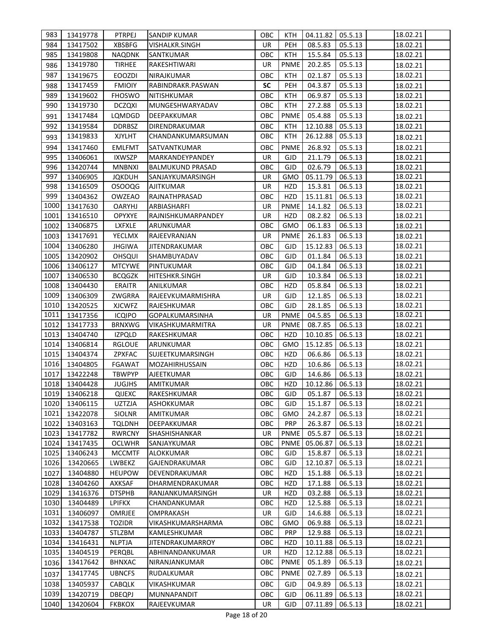| 983  | 13419778 | PTRPEJ        | <b>SANDIP KUMAR</b>     | OBC       | KTH.        | 04.11.82 | 05.5.13 | 18.02.21 |
|------|----------|---------------|-------------------------|-----------|-------------|----------|---------|----------|
| 984  | 13417502 | <b>XBSBFG</b> | VISHALKR.SINGH          | <b>UR</b> | <b>PEH</b>  | 08.5.83  | 05.5.13 | 18.02.21 |
| 985  | 13419808 | <b>NAQDNK</b> | <b>SANTKUMAR</b>        | OBC       | <b>KTH</b>  | 15.5.84  | 05.5.13 | 18.02.21 |
| 986  | 13419780 | <b>TIRHEE</b> | RAKESHTIWARI            | <b>UR</b> | <b>PNME</b> | 20.2.85  | 05.5.13 | 18.02.21 |
| 987  | 13419675 | <b>EOOZDI</b> | NIRAJKUMAR              | OBC       | <b>KTH</b>  | 02.1.87  | 05.5.13 | 18.02.21 |
| 988  | 13417459 | <b>FMIOIY</b> | RABINDRAKR.PASWAN       | <b>SC</b> | PEH         | 04.3.87  | 05.5.13 | 18.02.21 |
| 989  | 13419602 | <b>FHOSWO</b> | NITISHKUMAR             | OBC       | <b>KTH</b>  | 06.9.87  | 05.5.13 | 18.02.21 |
| 990  | 13419730 | <b>DCZQXI</b> | MUNGESHWARYADAV         | OBC       | <b>KTH</b>  | 27.2.88  | 05.5.13 | 18.02.21 |
| 991  | 13417484 | LQMDGD        | DEEPAKKUMAR             | OBC       | <b>PNME</b> | 05.4.88  | 05.5.13 | 18.02.21 |
| 992  | 13419584 | <b>DDRBSZ</b> | DIRENDRAKUMAR           | OBC       | <b>KTH</b>  | 12.10.88 | 05.5.13 | 18.02.21 |
| 993  | 13419833 | <b>XJYLHT</b> | CHANDANKUMARSUMAN       | ОВС       | KTH         | 26.12.88 | 05.5.13 | 18.02.21 |
| 994  | 13417460 | <b>EMLFMT</b> | SATVANTKUMAR            | OBC       | <b>PNME</b> | 26.8.92  | 05.5.13 | 18.02.21 |
| 995  | 13406061 | <b>IXWSZP</b> | MARKANDEYPANDEY         | UR        | <b>GJD</b>  | 21.1.79  | 06.5.13 | 18.02.21 |
| 996  | 13420744 | <b>MNBNXI</b> | <b>BALMUKUND PRASAD</b> | OBC       | <b>GJD</b>  | 02.6.79  | 06.5.13 | 18.02.21 |
| 997  | 13406905 | <b>JQKDUH</b> | SANJAYKUMARSINGH        | <b>UR</b> | <b>GMO</b>  | 05.11.79 | 06.5.13 | 18.02.21 |
| 998  | 13416509 | <b>OSOOQG</b> | <b>AJITKUMAR</b>        | UR        | <b>HZD</b>  | 15.3.81  | 06.5.13 | 18.02.21 |
| 999  | 13404362 | <b>OWZEAO</b> | RAJNATHPRASAD           | OBC       | <b>HZD</b>  | 15.11.81 | 06.5.13 | 18.02.21 |
| 1000 | 13417630 | <b>OARYHJ</b> | ARBIASHARFI             | <b>UR</b> | <b>PNME</b> | 14.1.82  | 06.5.13 | 18.02.21 |
| 1001 | 13416510 | <b>OPYXYE</b> | RAJNISHKUMARPANDEY      | UR        | HZD         | 08.2.82  | 06.5.13 | 18.02.21 |
| 1002 | 13406875 | LXFXLE        | ARUNKUMAR               | OBC       | <b>GMO</b>  | 06.1.83  | 06.5.13 | 18.02.21 |
| 1003 | 13417691 | <b>YECLMX</b> | RAJEEVRANJAN            | <b>UR</b> | <b>PNME</b> | 26.1.83  | 06.5.13 | 18.02.21 |
| 1004 | 13406280 | <b>JHGIWA</b> | <b>JITENDRAKUMAR</b>    | OBC       | <b>GJD</b>  | 15.12.83 | 06.5.13 | 18.02.21 |
| 1005 | 13420902 | <b>OHSQUI</b> | SHAMBUYADAV             | OBC       | <b>GJD</b>  | 01.1.84  | 06.5.13 | 18.02.21 |
| 1006 | 13406127 | <b>MTCYWE</b> | PINTUKUMAR              | OBC       | <b>GJD</b>  | 04.1.84  | 06.5.13 | 18.02.21 |
| 1007 | 13406530 | <b>BCQGZK</b> | HITESHKR.SINGH          | UR        | GJD         | 10.3.84  | 06.5.13 | 18.02.21 |
| 1008 | 13404430 | <b>ERAITR</b> | ANILKUMAR               | OBC       | <b>HZD</b>  | 05.8.84  | 06.5.13 | 18.02.21 |
| 1009 | 13406309 | ZWGRRA        | RAJEEVKUMARMISHRA       | <b>UR</b> | GJD         | 12.1.85  | 06.5.13 | 18.02.21 |
| 1010 | 13420525 | <b>XJCWFZ</b> | RAJESHKUMAR             | OBC       | GJD         | 28.1.85  | 06.5.13 | 18.02.21 |
| 1011 | 13417356 | <b>ICQIPO</b> | GOPALKUMARSINHA         | UR        | <b>PNME</b> | 04.5.85  | 06.5.13 | 18.02.21 |
| 1012 | 13417733 | <b>BRNXWG</b> | VIKASHKUMARMITRA        | UR        | <b>PNME</b> | 08.7.85  | 06.5.13 | 18.02.21 |
| 1013 | 13404740 | <b>IZPQLD</b> | RAKESHKUMAR             | OBC       | HZD         | 10.10.85 | 06.5.13 | 18.02.21 |
| 1014 | 13406814 | <b>RGLOUE</b> | ARUNKUMAR               | OBC       | GMO         | 15.12.85 | 06.5.13 | 18.02.21 |
| 1015 | 13404374 | ZPXFAC        | SUJEETKUMARSINGH        | OBC       | <b>HZD</b>  | 06.6.86  | 06.5.13 | 18.02.21 |
| 1016 | 13404805 | <b>FGAWAT</b> | MOZAHIRHUSSAIN          | OBC       | HZD         | 10.6.86  | 06.5.13 | 18.02.21 |
| 1017 | 13422248 | <b>TBWPYP</b> | <b>AJEETKUMAR</b>       | OBC       | <b>GJD</b>  | 14.6.86  | 06.5.13 | 18.02.21 |
| 1018 | 13404428 | <b>JUGJHS</b> | AMITKUMAR               | OBC       | <b>HZD</b>  | 10.12.86 | 06.5.13 | 18.02.21 |
| 1019 | 13406218 | QIJEXC        | RAKESHKUMAR             | OBC       | <b>GJD</b>  | 05.1.87  | 06.5.13 | 18.02.21 |
| 1020 | 13406115 | <b>UZTZJA</b> | ASHOKKUMAR              | OBC       | <b>GJD</b>  | 15.1.87  | 06.5.13 | 18.02.21 |
| 1021 | 13422078 | <b>SIOLNR</b> | AMITKUMAR               | OBC       | <b>GMO</b>  | 24.2.87  | 06.5.13 | 18.02.21 |
| 1022 | 13403163 | <b>TQLDNH</b> | DEEPAKKUMAR             | OBC       | <b>PRP</b>  | 26.3.87  | 06.5.13 | 18.02.21 |
| 1023 | 13417782 | <b>RWRCNY</b> | <b>SHASHISHANKAR</b>    | UR        | <b>PNME</b> | 05.5.87  | 06.5.13 | 18.02.21 |
| 1024 | 13417435 | <b>OCLWHR</b> | SANJAYKUMAR             | OBC       | <b>PNME</b> | 05.06.87 | 06.5.13 | 18.02.21 |
| 1025 | 13406243 | <b>MCCMTF</b> | ALOKKUMAR               | OBC       | <b>GJD</b>  | 15.8.87  | 06.5.13 | 18.02.21 |
| 1026 | 13420665 | LWBEKZ        | GAJENDRAKUMAR           | OBC       | <b>GJD</b>  | 12.10.87 | 06.5.13 | 18.02.21 |
| 1027 | 13404880 | <b>HEUPOW</b> | DEVENDRAKUMAR           | OBC       | <b>HZD</b>  | 15.1.88  | 06.5.13 | 18.02.21 |
| 1028 | 13404260 | AXKSAF        | DHARMENDRAKUMAR         | OBC       | <b>HZD</b>  | 17.1.88  | 06.5.13 | 18.02.21 |
| 1029 | 13416376 | <b>DTSPHB</b> | RANJANKUMARSINGH        | <b>UR</b> | <b>HZD</b>  | 03.2.88  | 06.5.13 | 18.02.21 |
| 1030 | 13404489 | <b>LPIFKX</b> | CHANDANKUMAR            | OBC       | <b>HZD</b>  | 12.5.88  | 06.5.13 | 18.02.21 |
| 1031 | 13406097 | OMRJEE        | OMPRAKASH               | <b>UR</b> | <b>GJD</b>  | 14.6.88  | 06.5.13 | 18.02.21 |
| 1032 | 13417538 | <b>TOZIDR</b> | VIKASHKUMARSHARMA       | OBC       | <b>GMO</b>  | 06.9.88  | 06.5.13 | 18.02.21 |
| 1033 | 13404787 | <b>STLZBM</b> | KAMLESHKUMAR            | OBC       | <b>PRP</b>  | 12.9.88  | 06.5.13 | 18.02.21 |
| 1034 | 13416431 | <b>NLPTJA</b> | JITENDRAKUMARROY        | OBC       | HZD         | 10.11.88 | 06.5.13 | 18.02.21 |
| 1035 | 13404519 | PERQBL        | ABHINANDANKUMAR         | UR        | HZD         | 12.12.88 | 06.5.13 | 18.02.21 |
| 1036 | 13417642 | <b>BHNXAC</b> | NIRANJANKUMAR           | OBC       | <b>PNME</b> | 05.1.89  | 06.5.13 | 18.02.21 |
| 1037 | 13417745 | <b>UBNCFS</b> | RUDALKUMAR              | OBC       | <b>PNME</b> | 02.7.89  | 06.5.13 | 18.02.21 |
| 1038 | 13405937 | <b>CABQLK</b> | VIKASHKUMAR             | OBC       | <b>GJD</b>  | 04.9.89  | 06.5.13 | 18.02.21 |
| 1039 | 13420719 | <b>DBEQPJ</b> | MUNNAPANDIT             | OBC       | <b>GJD</b>  | 06.11.89 | 06.5.13 | 18.02.21 |
| 1040 | 13420604 | <b>FKBKOX</b> | RAJEEVKUMAR             | UR        | <b>GJD</b>  | 07.11.89 | 06.5.13 | 18.02.21 |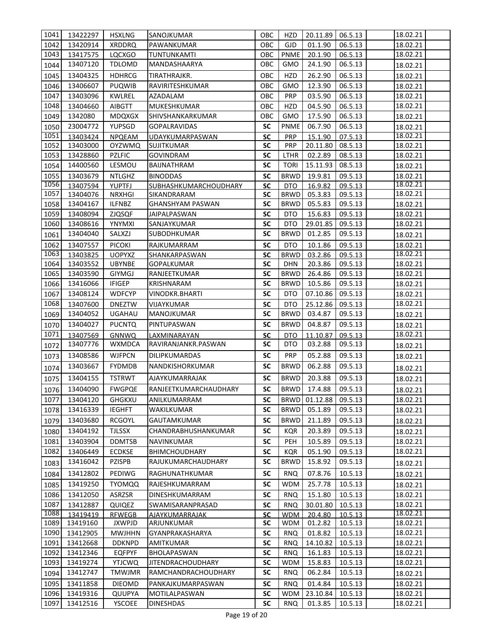| 1041 | 13422297 | <b>HSXLNG</b> | SANOJKUMAR                   | <b>OBC</b>             | HZD         | 20.11.89      | 06.5.13 | 18.02.21 |
|------|----------|---------------|------------------------------|------------------------|-------------|---------------|---------|----------|
| 1042 | 13420914 | <b>XRDDRQ</b> | PAWANKUMAR                   | OBC                    | <b>GJD</b>  | 01.1.90       | 06.5.13 | 18.02.21 |
| 1043 | 13417575 | <b>LQCXGO</b> | TUNTUNKAMTI                  | OBC                    | <b>PNME</b> | 20.1.90       | 06.5.13 | 18.02.21 |
| 1044 | 13407120 | <b>TDLOMD</b> | MANDASHAARYA                 | OBC                    | GMO         | 24.1.90       | 06.5.13 | 18.02.21 |
| 1045 | 13404325 | <b>HDHRCG</b> | TIRATHRAJKR.                 | OBC                    | <b>HZD</b>  | 26.2.90       | 06.5.13 | 18.02.21 |
| 1046 | 13406607 | <b>PUQWIB</b> | RAVIRITESHKUMAR              | OBC                    | <b>GMO</b>  | 12.3.90       | 06.5.13 | 18.02.21 |
| 1047 | 13403096 | <b>KWLREL</b> | AZADALAM                     | OBC                    | <b>PRP</b>  | 03.5.90       | 06.5.13 | 18.02.21 |
| 1048 | 13404660 | <b>AIBGTT</b> | MUKESHKUMAR                  | OBC                    | <b>HZD</b>  | 04.5.90       | 06.5.13 | 18.02.21 |
| 1049 | 1342080  | <b>MDQXGX</b> | SHIVSHANKARKUMAR             | OBC                    | <b>GMO</b>  | 17.5.90       | 06.5.13 | 18.02.21 |
| 1050 | 23004772 | YUPSGD        | <b>GOPALRAVIDAS</b>          | <b>SC</b>              | <b>PNME</b> | 06.7.90       | 06.5.13 | 18.02.21 |
| 1051 | 13403424 | <b>NPQEAM</b> | UDAYKUMARPASWAN              | <b>SC</b>              | <b>PRP</b>  | 15.1.90       | 07.5.13 | 18.02.21 |
| 1052 | 13403000 | <b>OYZWMQ</b> | <b>SUJITKUMAR</b>            | <b>SC</b>              | <b>PRP</b>  | 20.11.80      | 08.5.13 | 18.02.21 |
| 1053 | 13428860 | <b>PZLFIC</b> | <b>GOVINDRAM</b>             | <b>SC</b>              | LTHR        | 02.2.89       | 08.5.13 | 18.02.21 |
| 1054 | 14400560 | LESMOU        | BAIJNATHRAM                  | <b>SC</b>              | <b>TORI</b> | 15.11.93      | 08.5.13 | 18.02.21 |
| 1055 | 13403679 | <b>NTLGHZ</b> | <b>BINODDAS</b>              | <b>SC</b>              | <b>BRWD</b> | 19.9.81       | 09.5.13 | 18.02.21 |
| 1056 | 13407594 | <b>YUPTFJ</b> | <b>SUBHASHKUMARCHOUDHARY</b> | <b>SC</b>              | <b>DTO</b>  | 16.9.82       | 09.5.13 | 18.02.21 |
| 1057 | 13404076 | <b>NRXHGI</b> | SIKANDRARAM                  | <b>SC</b>              | <b>BRWD</b> | 05.3.83       | 09.5.13 | 18.02.21 |
| 1058 | 13404167 | <b>ILFNBZ</b> | GHANSHYAM PASWAN             | <b>SC</b>              | <b>BRWD</b> | 05.5.83       | 09.5.13 | 18.02.21 |
| 1059 | 13408094 | <b>ZJQSQF</b> | JAIPALPASWAN                 | <b>SC</b>              | <b>DTO</b>  | 15.6.83       | 09.5.13 | 18.02.21 |
| 1060 | 13408616 | YNYMXI        | SANJAYKUMAR                  | <b>SC</b>              | DTO         | 29.01.85      | 09.5.13 | 18.02.21 |
| 1061 | 13404040 | SALXZJ        | <b>SUBODHKUMAR</b>           | SC                     | <b>BRWD</b> | 01.2.85       | 09.5.13 | 18.02.21 |
| 1062 | 13407557 | <b>PICOKI</b> | RAJKUMARRAM                  | <b>SC</b>              | <b>DTO</b>  | 10.1.86       | 09.5.13 | 18.02.21 |
| 1063 | 13403825 | <b>UOPYXZ</b> | SHANKARPASWAN                | <b>SC</b>              | <b>BRWD</b> | 03.2.86       | 09.5.13 | 18.02.21 |
| 1064 | 13403552 | <b>UBYNBE</b> | <b>GOPALKUMAR</b>            | <b>SC</b>              | <b>DHN</b>  | 20.3.86       | 09.5.13 | 18.02.21 |
| 1065 | 13403590 | <b>GIYMGJ</b> | RANJEETKUMAR                 | SC                     | BRWD        | 26.4.86       | 09.5.13 | 18.02.21 |
| 1066 | 13416066 | <b>IFIGEP</b> | KRISHNARAM                   | <b>SC</b>              | <b>BRWD</b> | 10.5.86       | 09.5.13 | 18.02.21 |
| 1067 | 13408124 | <b>WDFCYP</b> | VINODKR.BHARTI               | SC                     | <b>DTO</b>  | 07.10.86      | 09.5.13 | 18.02.21 |
| 1068 | 13407600 | <b>DNEZTW</b> | VIJAYKUMAR                   | <b>SC</b>              | <b>DTO</b>  | 25.12.86      | 09.5.13 | 18.02.21 |
| 1069 | 13404052 | <b>UGAHAU</b> | MANOJKUMAR                   | <b>SC</b>              | <b>BRWD</b> | 03.4.87       | 09.5.13 | 18.02.21 |
| 1070 | 13404027 | <b>PUCNTQ</b> | PINTUPASWAN                  | <b>SC</b>              | <b>BRWD</b> | 04.8.87       | 09.5.13 | 18.02.21 |
| 1071 | 13407569 | <b>GNNWQ</b>  | LAXMINARAYAN                 | <b>SC</b><br><b>SC</b> | <b>DTO</b>  | 11.10.87      | 09.5.13 | 18.02.21 |
| 1072 | 13407776 | <b>WXMDCA</b> | RAVIRANJANKR.PASWAN          |                        | DTO         | 03.2.88       | 09.5.13 | 18.02.21 |
| 1073 | 13408586 | <b>WJFPCN</b> | <b>DILIPKUMARDAS</b>         | <b>SC</b>              | <b>PRP</b>  | 05.2.88       | 09.5.13 | 18.02.21 |
| 1074 | 13403667 | <b>FYDMDB</b> | NANDKISHORKUMAR              | SC                     | <b>BRWD</b> | 06.2.88       | 09.5.13 | 18.02.21 |
| 1075 | 13404155 | <b>TSTRWT</b> | <b>AJAYKUMARRAJAK</b>        | SC                     | <b>BRWD</b> | 20.3.88       | 09.5.13 | 18.02.21 |
| 1076 | 13404090 | <b>FWGPQE</b> | RANJEETKUMARCHAUDHARY        | SC                     |             | BRWD 17.4.88  | 09.5.13 | 18.02.21 |
| 1077 | 13404120 | <b>GHGKXU</b> | ANILKUMARRAM                 | <b>SC</b>              |             | BRWD 01.12.88 | 09.5.13 | 18.02.21 |
| 1078 | 13416339 | <b>IEGHFT</b> | WAKILKUMAR                   | <b>SC</b>              | BRWD        | 05.1.89       | 09.5.13 | 18.02.21 |
| 1079 | 13403680 | <b>RCGOYL</b> | GAUTAMKUMAR                  | <b>SC</b>              | <b>BRWD</b> | 21.1.89       | 09.5.13 | 18.02.21 |
| 1080 | 13404192 | <b>TJLSSX</b> | CHANDRABHUSHANKUMAR          | SC                     | <b>KQR</b>  | 20.3.89       | 09.5.13 | 18.02.21 |
| 1081 | 13403904 | <b>DDMTSB</b> | NAVINKUMAR                   | <b>SC</b>              | PEH         | 10.5.89       | 09.5.13 | 18.02.21 |
| 1082 | 13406449 | <b>ECDKSE</b> | <b>BHIMCHOUDHARY</b>         | SC                     | <b>KQR</b>  | 05.1.90       | 09.5.13 | 18.02.21 |
| 1083 | 13416042 | PZISPB        | RAJUKUMARCHAUDHARY           | SC                     | <b>BRWD</b> | 15.8.92       | 09.5.13 | 18.02.21 |
| 1084 | 13412802 | PEDIWG        | RAGHUNATHKUMAR               | <b>SC</b>              | <b>RNQ</b>  | 07.8.76       | 10.5.13 | 18.02.21 |
| 1085 | 13419250 | <b>TYOMQQ</b> | RAJESHKUMARRAM               | SC                     | <b>WDM</b>  | 25.7.78       | 10.5.13 | 18.02.21 |
| 1086 | 13412050 | ASRZSR        | DINESHKUMARRAM               | SC                     | RNQ.        | 15.1.80       | 10.5.13 | 18.02.21 |
| 1087 | 13412887 | QUIQEZ        | SWAMISARANPRASAD             | SC                     | <b>RNQ</b>  | 30.01.80      | 10.5.13 | 18.02.21 |
| 1088 | 13419419 | <b>RFWEGB</b> | AJAYKUMARRAJAK               | <b>SC</b>              | <b>WDM</b>  | 20.4.80       | 10.5.13 | 18.02.21 |
| 1089 | 13419160 | <b>JXWPJD</b> | ARJUNKUMAR                   | <b>SC</b>              | <b>WDM</b>  | 01.2.82       | 10.5.13 | 18.02.21 |
| 1090 | 13412905 | <b>MWJHHN</b> | GYANPRAKASHARYA              | SC                     | <b>RNQ</b>  | 01.8.82       | 10.5.13 | 18.02.21 |
| 1091 | 13412668 | <b>DDKNPD</b> | <b>AMITKUMAR</b>             | <b>SC</b>              | <b>RNQ</b>  | 14.10.82      | 10.5.13 | 18.02.21 |
| 1092 | 13412346 | <b>EQFPYF</b> | <b>BHOLAPASWAN</b>           | <b>SC</b>              | <b>RNQ</b>  | 16.1.83       | 10.5.13 | 18.02.21 |
| 1093 | 13419274 | <b>YTJCWQ</b> | <b>JITENDRACHOUDHARY</b>     | <b>SC</b>              | WDM         | 15.8.83       | 10.5.13 | 18.02.21 |
| 1094 | 13412747 | <b>TMWJMR</b> | RAMCHANDRACHOUDHARY          | <b>SC</b>              | <b>RNQ</b>  | 06.2.84       | 10.5.13 | 18.02.21 |
| 1095 | 13411858 | <b>DIEOMD</b> | PANKAJKUMARPASWAN            | <b>SC</b>              | <b>RNQ</b>  | 01.4.84       | 10.5.13 | 18.02.21 |
| 1096 | 13419316 | QUUPYA        | MOTILALPASWAN                | <b>SC</b>              | WDM         | 23.10.84      | 10.5.13 | 18.02.21 |
| 1097 | 13412516 | YSCOEE        | <b>DINESHDAS</b>             | <b>SC</b>              | <b>RNQ</b>  | 01.3.85       | 10.5.13 | 18.02.21 |